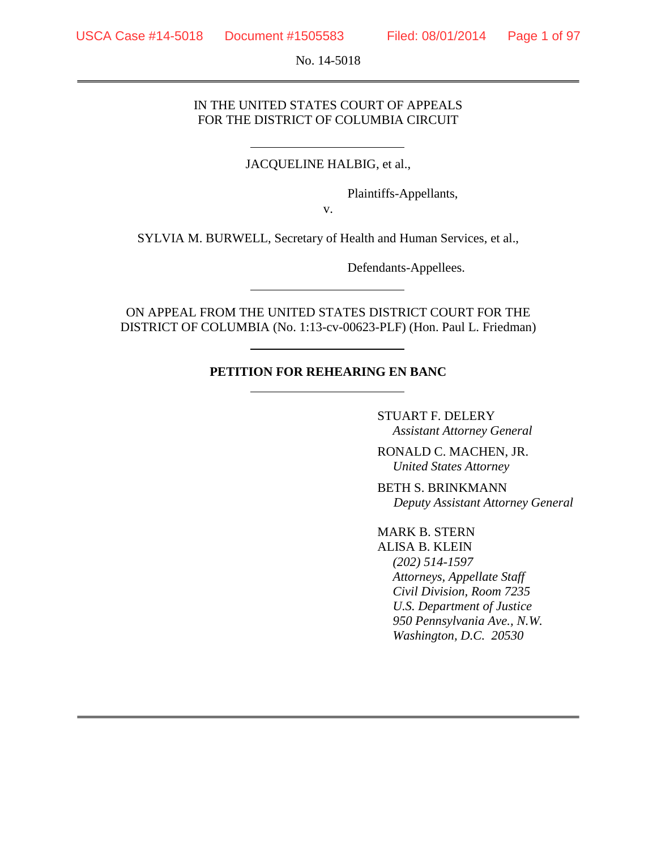No. 14-5018

## IN THE UNITED STATES COURT OF APPEALS FOR THE DISTRICT OF COLUMBIA CIRCUIT

## JACQUELINE HALBIG, et al.,

Plaintiffs-Appellants,

v.

SYLVIA M. BURWELL, Secretary of Health and Human Services, et al.,

Defendants-Appellees.

ON APPEAL FROM THE UNITED STATES DISTRICT COURT FOR THE DISTRICT OF COLUMBIA (No. 1:13-cv-00623-PLF) (Hon. Paul L. Friedman)

## **PETITION FOR REHEARING EN BANC**

STUART F. DELERY *Assistant Attorney General*

RONALD C. MACHEN, JR. *United States Attorney*

BETH S. BRINKMANN *Deputy Assistant Attorney General*

MARK B. STERN ALISA B. KLEIN *(202) 514-1597 Attorneys, Appellate Staff Civil Division, Room 7235 U.S. Department of Justice 950 Pennsylvania Ave., N.W. Washington, D.C. 20530*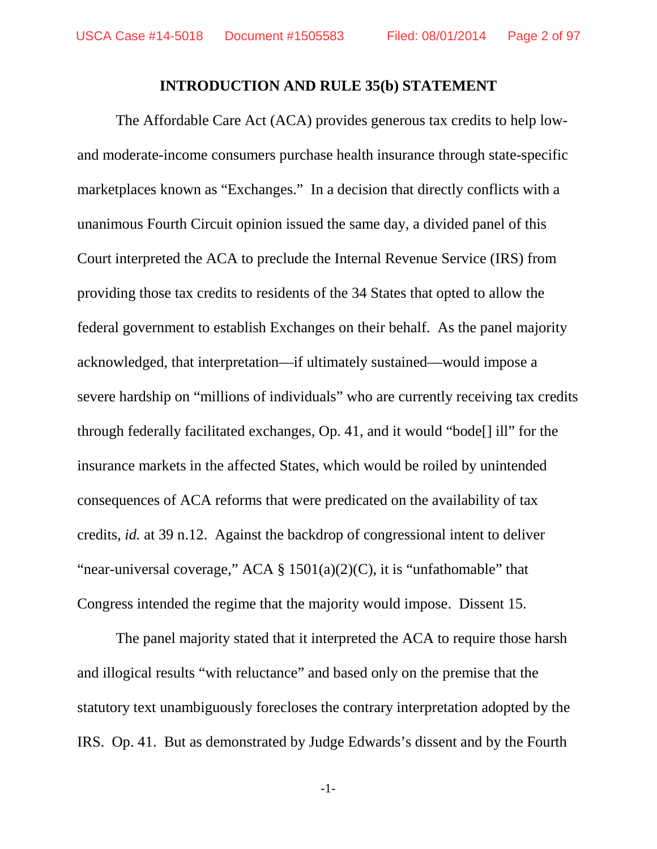## **INTRODUCTION AND RULE 35(b) STATEMENT**

The Affordable Care Act (ACA) provides generous tax credits to help lowand moderate-income consumers purchase health insurance through state-specific marketplaces known as "Exchanges." In a decision that directly conflicts with a unanimous Fourth Circuit opinion issued the same day, a divided panel of this Court interpreted the ACA to preclude the Internal Revenue Service (IRS) from providing those tax credits to residents of the 34 States that opted to allow the federal government to establish Exchanges on their behalf. As the panel majority acknowledged, that interpretation—if ultimately sustained—would impose a severe hardship on "millions of individuals" who are currently receiving tax credits through federally facilitated exchanges, Op. 41, and it would "bode[] ill" for the insurance markets in the affected States, which would be roiled by unintended consequences of ACA reforms that were predicated on the availability of tax credits, *id.* at 39 n.12. Against the backdrop of congressional intent to deliver "near-universal coverage," ACA  $\S$  1501(a)(2)(C), it is "unfathomable" that Congress intended the regime that the majority would impose. Dissent 15.

The panel majority stated that it interpreted the ACA to require those harsh and illogical results "with reluctance" and based only on the premise that the statutory text unambiguously forecloses the contrary interpretation adopted by the IRS. Op. 41. But as demonstrated by Judge Edwards's dissent and by the Fourth

-1-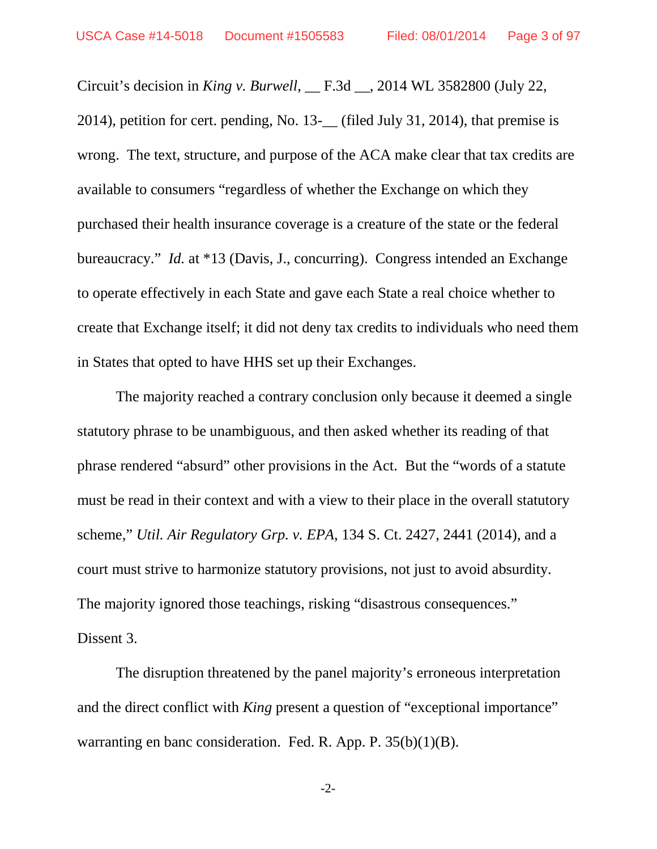Circuit's decision in *King v. Burwell*, \_\_ F.3d \_\_, 2014 WL 3582800 (July 22, 2014), petition for cert. pending, No. 13-\_\_ (filed July 31, 2014), that premise is wrong. The text, structure, and purpose of the ACA make clear that tax credits are available to consumers "regardless of whether the Exchange on which they purchased their health insurance coverage is a creature of the state or the federal bureaucracy." *Id.* at \*13 (Davis, J., concurring). Congress intended an Exchange to operate effectively in each State and gave each State a real choice whether to create that Exchange itself; it did not deny tax credits to individuals who need them in States that opted to have HHS set up their Exchanges.

The majority reached a contrary conclusion only because it deemed a single statutory phrase to be unambiguous, and then asked whether its reading of that phrase rendered "absurd" other provisions in the Act. But the "words of a statute must be read in their context and with a view to their place in the overall statutory scheme," *Util. Air Regulatory Grp. v. EPA*, 134 S. Ct. 2427, 2441 (2014), and a court must strive to harmonize statutory provisions, not just to avoid absurdity. The majority ignored those teachings, risking "disastrous consequences." Dissent 3.

The disruption threatened by the panel majority's erroneous interpretation and the direct conflict with *King* present a question of "exceptional importance" warranting en banc consideration. Fed. R. App. P. 35(b)(1)(B).

-2-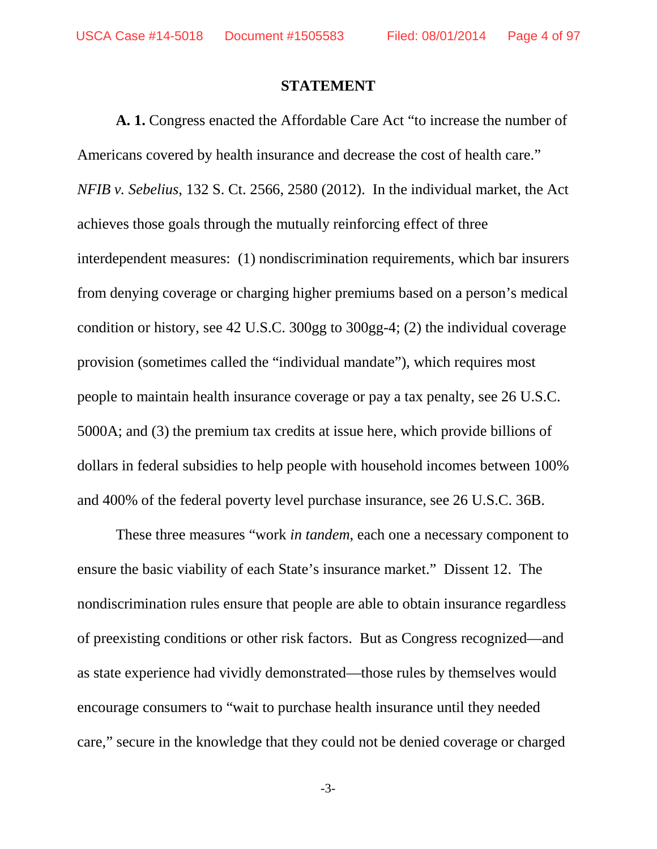## **STATEMENT**

**A. 1.** Congress enacted the Affordable Care Act "to increase the number of Americans covered by health insurance and decrease the cost of health care." *NFIB v. Sebelius*, 132 S. Ct. 2566, 2580 (2012). In the individual market, the Act achieves those goals through the mutually reinforcing effect of three interdependent measures: (1) nondiscrimination requirements, which bar insurers from denying coverage or charging higher premiums based on a person's medical condition or history, see 42 U.S.C. 300gg to 300gg-4; (2) the individual coverage provision (sometimes called the "individual mandate"), which requires most people to maintain health insurance coverage or pay a tax penalty, see 26 U.S.C. 5000A; and (3) the premium tax credits at issue here, which provide billions of dollars in federal subsidies to help people with household incomes between 100% and 400% of the federal poverty level purchase insurance, see 26 U.S.C. 36B.

These three measures "work *in tandem*, each one a necessary component to ensure the basic viability of each State's insurance market." Dissent 12. The nondiscrimination rules ensure that people are able to obtain insurance regardless of preexisting conditions or other risk factors. But as Congress recognized—and as state experience had vividly demonstrated—those rules by themselves would encourage consumers to "wait to purchase health insurance until they needed care," secure in the knowledge that they could not be denied coverage or charged

-3-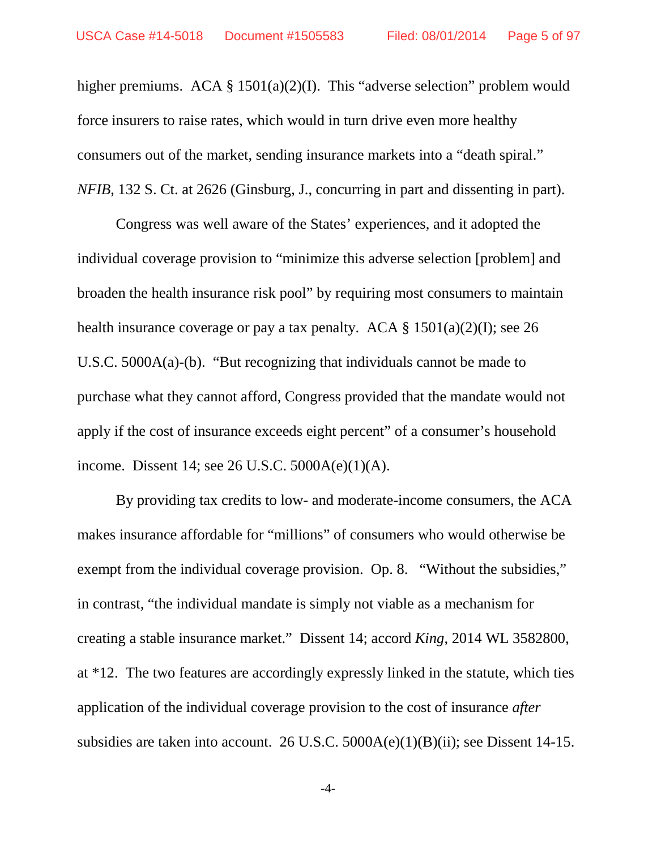higher premiums. ACA § 1501(a)(2)(I). This "adverse selection" problem would force insurers to raise rates, which would in turn drive even more healthy consumers out of the market, sending insurance markets into a "death spiral." *NFIB*, 132 S. Ct. at 2626 (Ginsburg, J., concurring in part and dissenting in part).

Congress was well aware of the States' experiences, and it adopted the individual coverage provision to "minimize this adverse selection [problem] and broaden the health insurance risk pool" by requiring most consumers to maintain health insurance coverage or pay a tax penalty. ACA  $\S$  1501(a)(2)(I); see 26 U.S.C. 5000A(a)-(b). "But recognizing that individuals cannot be made to purchase what they cannot afford, Congress provided that the mandate would not apply if the cost of insurance exceeds eight percent" of a consumer's household income. Dissent 14; see 26 U.S.C. 5000A(e)(1)(A).

By providing tax credits to low- and moderate-income consumers, the ACA makes insurance affordable for "millions" of consumers who would otherwise be exempt from the individual coverage provision. Op. 8. "Without the subsidies," in contrast, "the individual mandate is simply not viable as a mechanism for creating a stable insurance market." Dissent 14; accord *King*, 2014 WL 3582800, at \*12. The two features are accordingly expressly linked in the statute, which ties application of the individual coverage provision to the cost of insurance *after* subsidies are taken into account. 26 U.S.C. 5000A(e)(1)(B)(ii); see Dissent 14-15.

-4-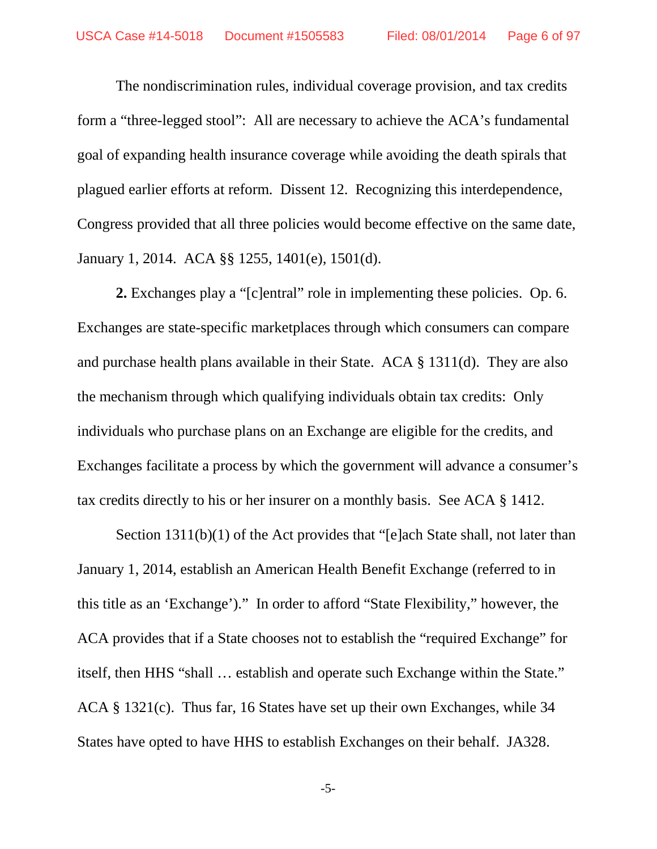The nondiscrimination rules, individual coverage provision, and tax credits form a "three-legged stool": All are necessary to achieve the ACA's fundamental goal of expanding health insurance coverage while avoiding the death spirals that plagued earlier efforts at reform. Dissent 12. Recognizing this interdependence, Congress provided that all three policies would become effective on the same date, January 1, 2014. ACA §§ 1255, 1401(e), 1501(d).

**2.** Exchanges play a "[c]entral" role in implementing these policies. Op. 6. Exchanges are state-specific marketplaces through which consumers can compare and purchase health plans available in their State. ACA § 1311(d). They are also the mechanism through which qualifying individuals obtain tax credits: Only individuals who purchase plans on an Exchange are eligible for the credits, and Exchanges facilitate a process by which the government will advance a consumer's tax credits directly to his or her insurer on a monthly basis. See ACA § 1412.

Section 1311(b)(1) of the Act provides that "[e]ach State shall, not later than January 1, 2014, establish an American Health Benefit Exchange (referred to in this title as an 'Exchange')." In order to afford "State Flexibility," however, the ACA provides that if a State chooses not to establish the "required Exchange" for itself, then HHS "shall … establish and operate such Exchange within the State." ACA § 1321(c). Thus far, 16 States have set up their own Exchanges, while 34 States have opted to have HHS to establish Exchanges on their behalf. JA328.

-5-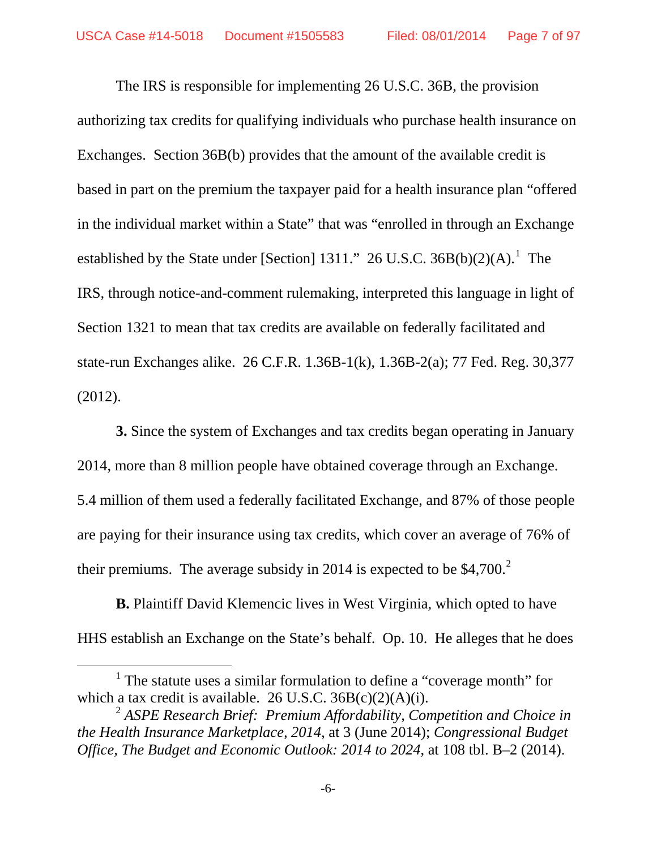The IRS is responsible for implementing 26 U.S.C. 36B, the provision authorizing tax credits for qualifying individuals who purchase health insurance on Exchanges. Section 36B(b) provides that the amount of the available credit is based in part on the premium the taxpayer paid for a health insurance plan "offered in the individual market within a State" that was "enrolled in through an Exchange established by the State under [Section]  $1311$  $1311$ ." 26 U.S.C.  $36B(b)(2)(A)$ .<sup>1</sup> The IRS, through notice-and-comment rulemaking, interpreted this language in light of Section 1321 to mean that tax credits are available on federally facilitated and state-run Exchanges alike. 26 C.F.R. 1.36B-1(k), 1.36B-2(a); 77 Fed. Reg. 30,377 (2012).

**3.** Since the system of Exchanges and tax credits began operating in January 2014, more than 8 million people have obtained coverage through an Exchange. 5.4 million of them used a federally facilitated Exchange, and 87% of those people are paying for their insurance using tax credits, which cover an average of 76% of their premiums. The average subsidy in [2](#page-6-1)014 is expected to be  $$4,700.<sup>2</sup>$ 

**B.** Plaintiff David Klemencic lives in West Virginia, which opted to have HHS establish an Exchange on the State's behalf. Op. 10. He alleges that he does

 $\overline{a}$ 

<span id="page-6-0"></span><sup>&</sup>lt;sup>1</sup> The statute uses a similar formulation to define a "coverage month" for which a tax credit is available. 26 U.S.C.  $36B(c)(2)(A)(i)$ .

<span id="page-6-1"></span><sup>2</sup> *ASPE Research Brief: Premium Affordability, Competition and Choice in the Health Insurance Marketplace, 2014*, at 3 (June 2014); *Congressional Budget Office, The Budget and Economic Outlook: 2014 to 2024*, at 108 tbl. B–2 (2014).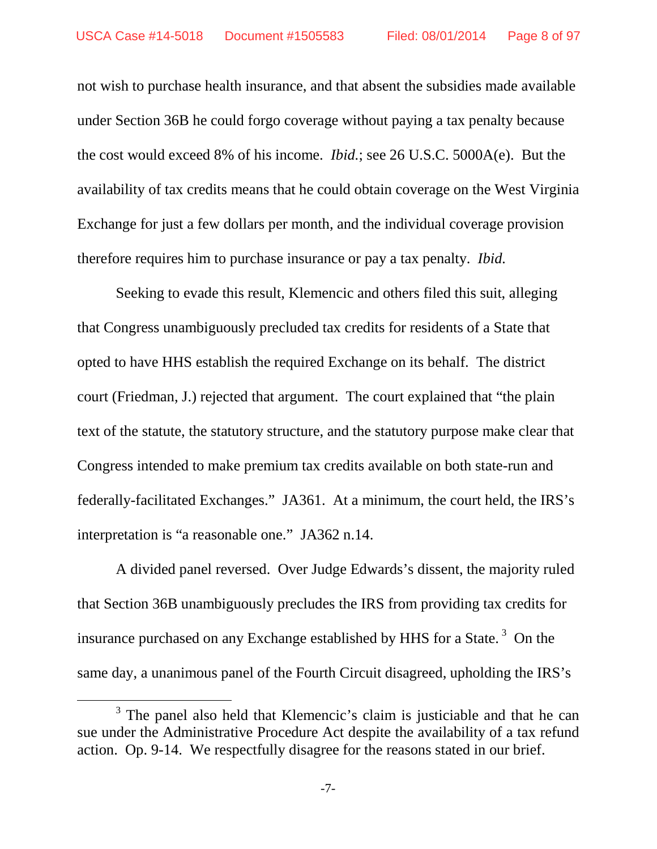not wish to purchase health insurance, and that absent the subsidies made available under Section 36B he could forgo coverage without paying a tax penalty because the cost would exceed 8% of his income. *Ibid.*; see 26 U.S.C. 5000A(e).But the availability of tax credits means that he could obtain coverage on the West Virginia Exchange for just a few dollars per month, and the individual coverage provision therefore requires him to purchase insurance or pay a tax penalty. *Ibid.*

Seeking to evade this result, Klemencic and others filed this suit, alleging that Congress unambiguously precluded tax credits for residents of a State that opted to have HHS establish the required Exchange on its behalf. The district court (Friedman, J.) rejected that argument. The court explained that "the plain text of the statute, the statutory structure, and the statutory purpose make clear that Congress intended to make premium tax credits available on both state-run and federally-facilitated Exchanges." JA361. At a minimum, the court held, the IRS's interpretation is "a reasonable one." JA362 n.14.

A divided panel reversed. Over Judge Edwards's dissent, the majority ruled that Section 36B unambiguously precludes the IRS from providing tax credits for insurance purchased on any Exchange established by HHS for a State.<sup>[3](#page-7-0)</sup> On the same day, a unanimous panel of the Fourth Circuit disagreed, upholding the IRS's

 $\overline{a}$ 

<span id="page-7-0"></span><sup>&</sup>lt;sup>3</sup> The panel also held that Klemencic's claim is justiciable and that he can sue under the Administrative Procedure Act despite the availability of a tax refund action. Op. 9-14. We respectfully disagree for the reasons stated in our brief.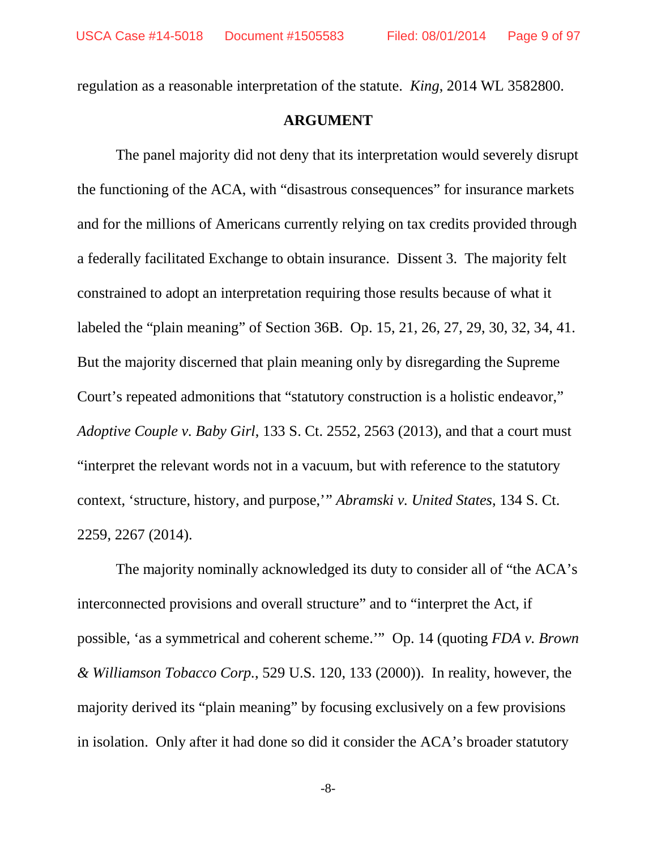regulation as a reasonable interpretation of the statute. *King*, 2014 WL 3582800.

## **ARGUMENT**

The panel majority did not deny that its interpretation would severely disrupt the functioning of the ACA, with "disastrous consequences" for insurance markets and for the millions of Americans currently relying on tax credits provided through a federally facilitated Exchange to obtain insurance. Dissent 3. The majority felt constrained to adopt an interpretation requiring those results because of what it labeled the "plain meaning" of Section 36B. Op. 15, 21, 26, 27, 29, 30, 32, 34, 41. But the majority discerned that plain meaning only by disregarding the Supreme Court's repeated admonitions that "statutory construction is a holistic endeavor," *Adoptive Couple v. Baby Girl*, 133 S. Ct. 2552, 2563 (2013), and that a court must "interpret the relevant words not in a vacuum, but with reference to the statutory context, 'structure, history, and purpose,'" *Abramski v. United States*, 134 S. Ct. 2259, 2267 (2014).

The majority nominally acknowledged its duty to consider all of "the ACA's interconnected provisions and overall structure" and to "interpret the Act, if possible, 'as a symmetrical and coherent scheme.'" Op. 14 (quoting *FDA v. Brown & Williamson Tobacco Corp.*, 529 U.S. 120, 133 (2000)). In reality, however, the majority derived its "plain meaning" by focusing exclusively on a few provisions in isolation. Only after it had done so did it consider the ACA's broader statutory

-8-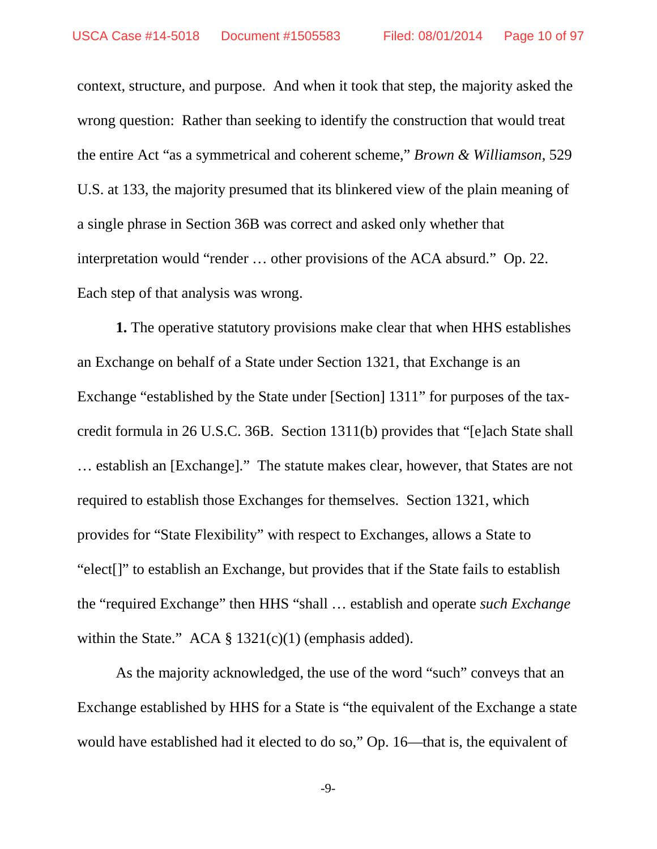context, structure, and purpose. And when it took that step, the majority asked the wrong question: Rather than seeking to identify the construction that would treat the entire Act "as a symmetrical and coherent scheme," *Brown & Williamson*, 529 U.S. at 133, the majority presumed that its blinkered view of the plain meaning of a single phrase in Section 36B was correct and asked only whether that interpretation would "render … other provisions of the ACA absurd." Op. 22. Each step of that analysis was wrong.

**1.** The operative statutory provisions make clear that when HHS establishes an Exchange on behalf of a State under Section 1321, that Exchange is an Exchange "established by the State under [Section] 1311" for purposes of the taxcredit formula in 26 U.S.C. 36B. Section 1311(b) provides that "[e]ach State shall … establish an [Exchange]." The statute makes clear, however, that States are not required to establish those Exchanges for themselves. Section 1321, which provides for "State Flexibility" with respect to Exchanges, allows a State to "elect[]" to establish an Exchange, but provides that if the State fails to establish the "required Exchange" then HHS "shall … establish and operate *such Exchange* within the State." ACA  $\S$  1321(c)(1) (emphasis added).

As the majority acknowledged, the use of the word "such" conveys that an Exchange established by HHS for a State is "the equivalent of the Exchange a state would have established had it elected to do so," Op. 16—that is, the equivalent of

-9-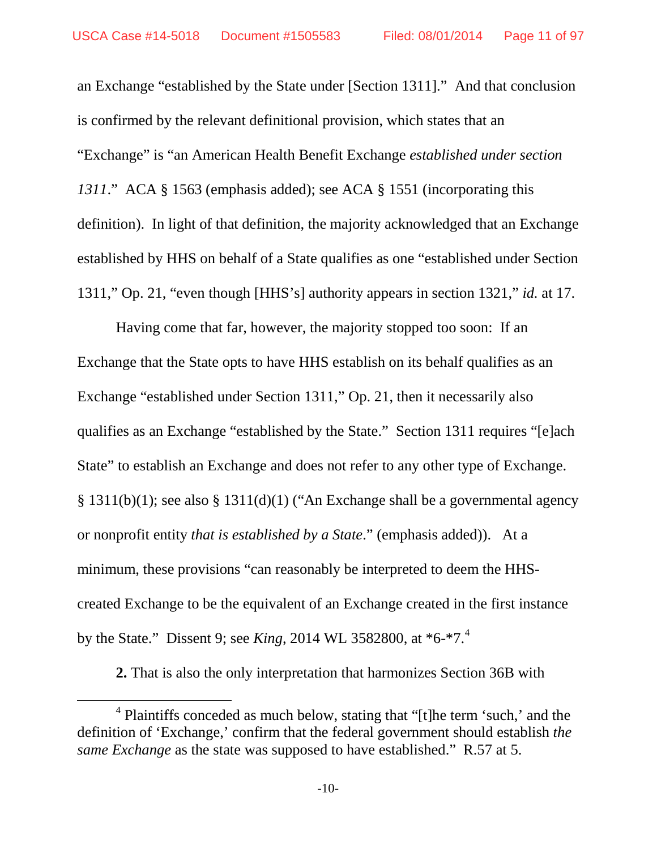an Exchange "established by the State under [Section 1311]." And that conclusion is confirmed by the relevant definitional provision, which states that an "Exchange" is "an American Health Benefit Exchange *established under section 1311*." ACA § 1563 (emphasis added); see ACA § 1551 (incorporating this definition). In light of that definition, the majority acknowledged that an Exchange established by HHS on behalf of a State qualifies as one "established under Section 1311," Op. 21, "even though [HHS's] authority appears in section 1321," *id.* at 17.

Having come that far, however, the majority stopped too soon: If an Exchange that the State opts to have HHS establish on its behalf qualifies as an Exchange "established under Section 1311," Op. 21, then it necessarily also qualifies as an Exchange "established by the State." Section 1311 requires "[e]ach State" to establish an Exchange and does not refer to any other type of Exchange. § 1311(b)(1); see also § 1311(d)(1) ("An Exchange shall be a governmental agency or nonprofit entity *that is established by a State*." (emphasis added)). At a minimum, these provisions "can reasonably be interpreted to deem the HHScreated Exchange to be the equivalent of an Exchange created in the first instance by the State." Dissent 9; see *King*, 2014 WL 3582800, at \*6-\*7.[4](#page-10-0)

**2.** That is also the only interpretation that harmonizes Section 36B with

 $\overline{a}$ 

<span id="page-10-0"></span><sup>4</sup> Plaintiffs conceded as much below, stating that "[t]he term 'such,' and the definition of 'Exchange,' confirm that the federal government should establish *the same Exchange* as the state was supposed to have established." R.57 at 5.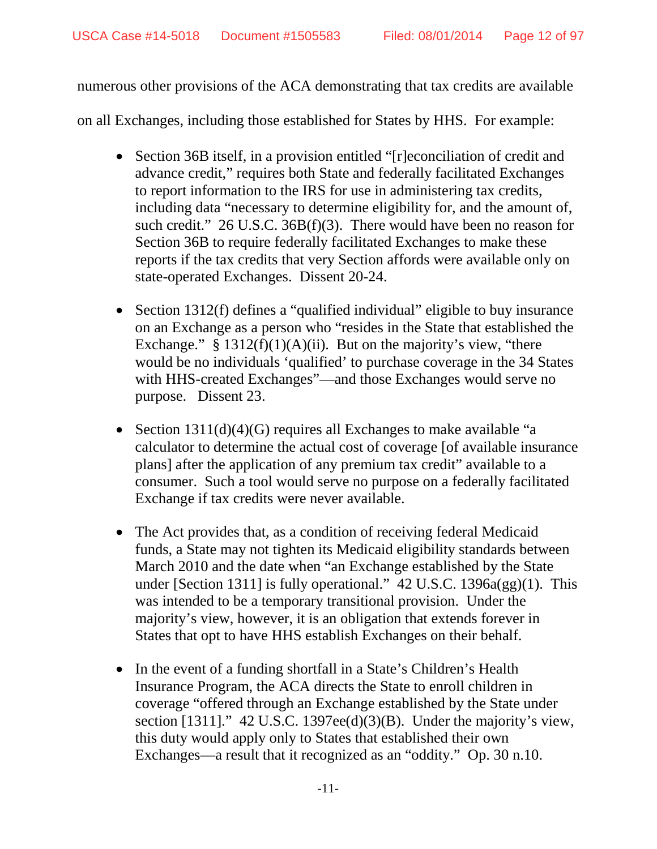numerous other provisions of the ACA demonstrating that tax credits are available

on all Exchanges, including those established for States by HHS. For example:

- Section 36B itself, in a provision entitled "[r]econciliation of credit and advance credit," requires both State and federally facilitated Exchanges to report information to the IRS for use in administering tax credits, including data "necessary to determine eligibility for, and the amount of, such credit." 26 U.S.C. 36B(f)(3). There would have been no reason for Section 36B to require federally facilitated Exchanges to make these reports if the tax credits that very Section affords were available only on state-operated Exchanges. Dissent 20-24.
- Section 1312(f) defines a "qualified individual" eligible to buy insurance on an Exchange as a person who "resides in the State that established the Exchange."  $§ 1312(f)(1)(A)(ii)$ . But on the majority's view, "there would be no individuals 'qualified' to purchase coverage in the 34 States with HHS-created Exchanges"—and those Exchanges would serve no purpose. Dissent 23.
- Section 1311(d)(4)(G) requires all Exchanges to make available "a calculator to determine the actual cost of coverage [of available insurance plans] after the application of any premium tax credit" available to a consumer. Such a tool would serve no purpose on a federally facilitated Exchange if tax credits were never available.
- The Act provides that, as a condition of receiving federal Medicaid funds, a State may not tighten its Medicaid eligibility standards between March 2010 and the date when "an Exchange established by the State under [Section 1311] is fully operational." 42 U.S.C. 1396a(gg)(1). This was intended to be a temporary transitional provision. Under the majority's view, however, it is an obligation that extends forever in States that opt to have HHS establish Exchanges on their behalf.
- In the event of a funding shortfall in a State's Children's Health Insurance Program, the ACA directs the State to enroll children in coverage "offered through an Exchange established by the State under section [1311]." 42 U.S.C. 1397ee(d)(3)(B). Under the majority's view, this duty would apply only to States that established their own Exchanges—a result that it recognized as an "oddity." Op. 30 n.10.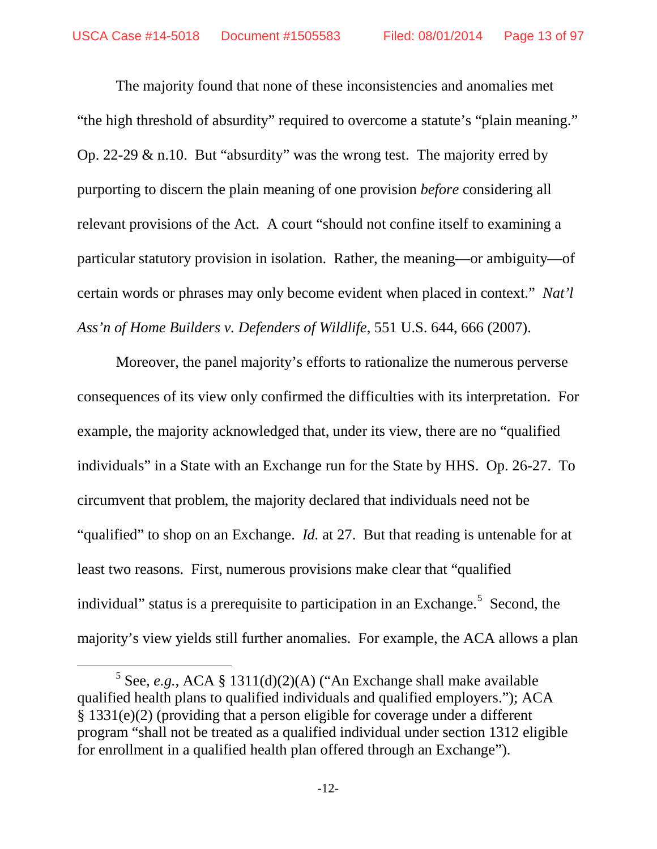The majority found that none of these inconsistencies and anomalies met "the high threshold of absurdity" required to overcome a statute's "plain meaning." Op. 22-29 & n.10. But "absurdity" was the wrong test. The majority erred by purporting to discern the plain meaning of one provision *before* considering all relevant provisions of the Act. A court "should not confine itself to examining a particular statutory provision in isolation. Rather, the meaning—or ambiguity—of certain words or phrases may only become evident when placed in context." *Nat'l Ass'n of Home Builders v. Defenders of Wildlife*, 551 U.S. 644, 666 (2007).

Moreover, the panel majority's efforts to rationalize the numerous perverse consequences of its view only confirmed the difficulties with its interpretation. For example, the majority acknowledged that, under its view, there are no "qualified individuals" in a State with an Exchange run for the State by HHS. Op. 26-27. To circumvent that problem, the majority declared that individuals need not be "qualified" to shop on an Exchange. *Id.* at 27. But that reading is untenable for at least two reasons. First, numerous provisions make clear that "qualified individual" status is a prerequisite to participation in an Exchange.<sup>[5](#page-12-0)</sup> Second, the majority's view yields still further anomalies. For example, the ACA allows a plan

 $\overline{a}$ 

<span id="page-12-0"></span> $5$  See, *e.g.*, ACA § 1311(d)(2)(A) ("An Exchange shall make available qualified health plans to qualified individuals and qualified employers."); ACA § 1331(e)(2) (providing that a person eligible for coverage under a different program "shall not be treated as a qualified individual under section 1312 eligible for enrollment in a qualified health plan offered through an Exchange").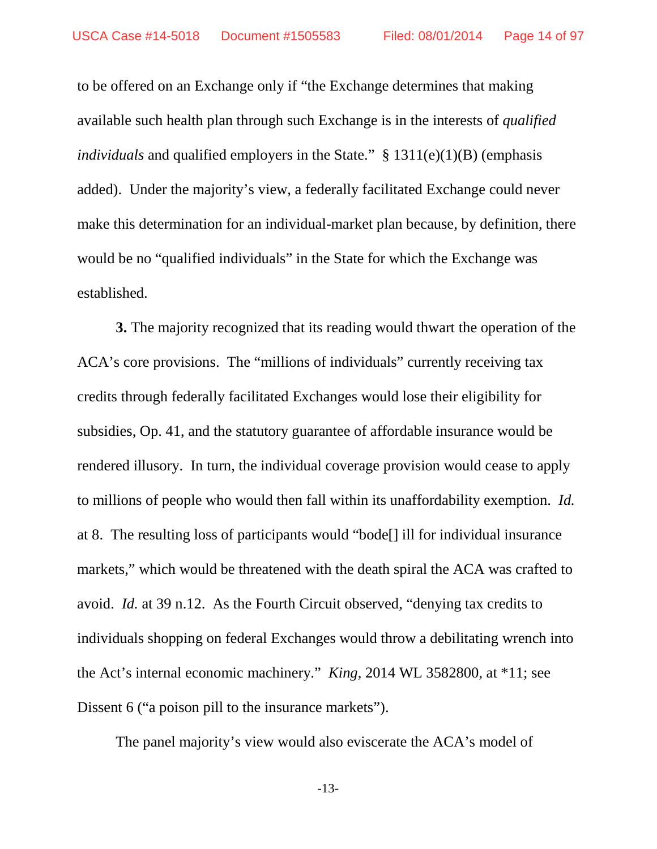to be offered on an Exchange only if "the Exchange determines that making available such health plan through such Exchange is in the interests of *qualified individuals* and qualified employers in the State." § 1311(e)(1)(B) (emphasis added). Under the majority's view, a federally facilitated Exchange could never make this determination for an individual-market plan because, by definition, there would be no "qualified individuals" in the State for which the Exchange was established.

**3.** The majority recognized that its reading would thwart the operation of the ACA's core provisions. The "millions of individuals" currently receiving tax credits through federally facilitated Exchanges would lose their eligibility for subsidies, Op. 41, and the statutory guarantee of affordable insurance would be rendered illusory. In turn, the individual coverage provision would cease to apply to millions of people who would then fall within its unaffordability exemption. *Id.* at 8. The resulting loss of participants would "bode[] ill for individual insurance markets," which would be threatened with the death spiral the ACA was crafted to avoid. *Id.* at 39 n.12. As the Fourth Circuit observed, "denying tax credits to individuals shopping on federal Exchanges would throw a debilitating wrench into the Act's internal economic machinery." *King*, 2014 WL 3582800, at \*11; see Dissent 6 ("a poison pill to the insurance markets").

The panel majority's view would also eviscerate the ACA's model of

-13-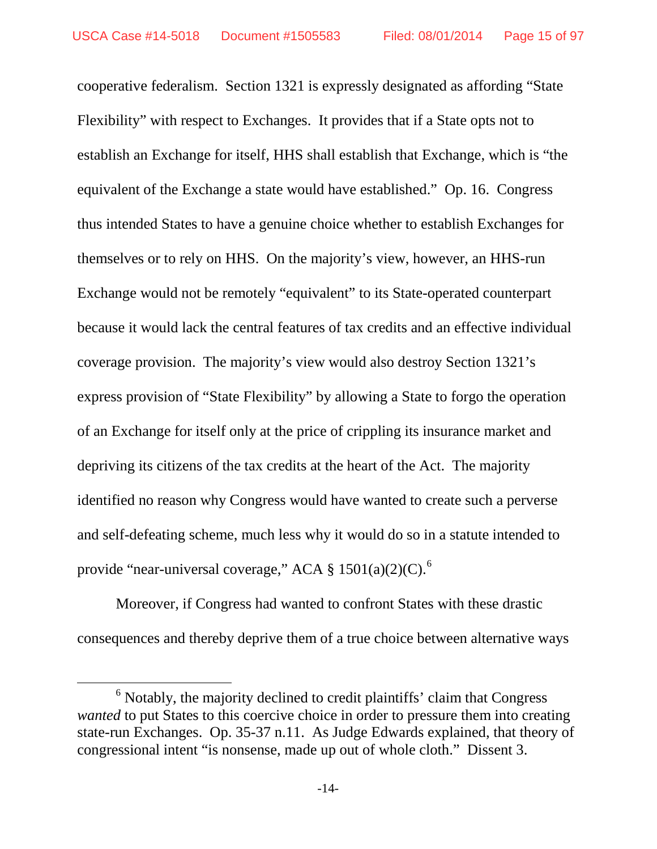cooperative federalism. Section 1321 is expressly designated as affording "State Flexibility" with respect to Exchanges. It provides that if a State opts not to establish an Exchange for itself, HHS shall establish that Exchange, which is "the equivalent of the Exchange a state would have established." Op. 16. Congress thus intended States to have a genuine choice whether to establish Exchanges for themselves or to rely on HHS. On the majority's view, however, an HHS-run Exchange would not be remotely "equivalent" to its State-operated counterpart because it would lack the central features of tax credits and an effective individual coverage provision. The majority's view would also destroy Section 1321's express provision of "State Flexibility" by allowing a State to forgo the operation of an Exchange for itself only at the price of crippling its insurance market and depriving its citizens of the tax credits at the heart of the Act. The majority identified no reason why Congress would have wanted to create such a perverse and self-defeating scheme, much less why it would do so in a statute intended to provide "near-universal coverage," ACA  $\S 1501(a)(2)(C)$ .<sup>[6](#page-14-0)</sup>

Moreover, if Congress had wanted to confront States with these drastic consequences and thereby deprive them of a true choice between alternative ways

 $\overline{a}$ 

<span id="page-14-0"></span> $<sup>6</sup>$  Notably, the majority declined to credit plaintiffs' claim that Congress</sup> *wanted* to put States to this coercive choice in order to pressure them into creating state-run Exchanges. Op. 35-37 n.11. As Judge Edwards explained, that theory of congressional intent "is nonsense, made up out of whole cloth." Dissent 3.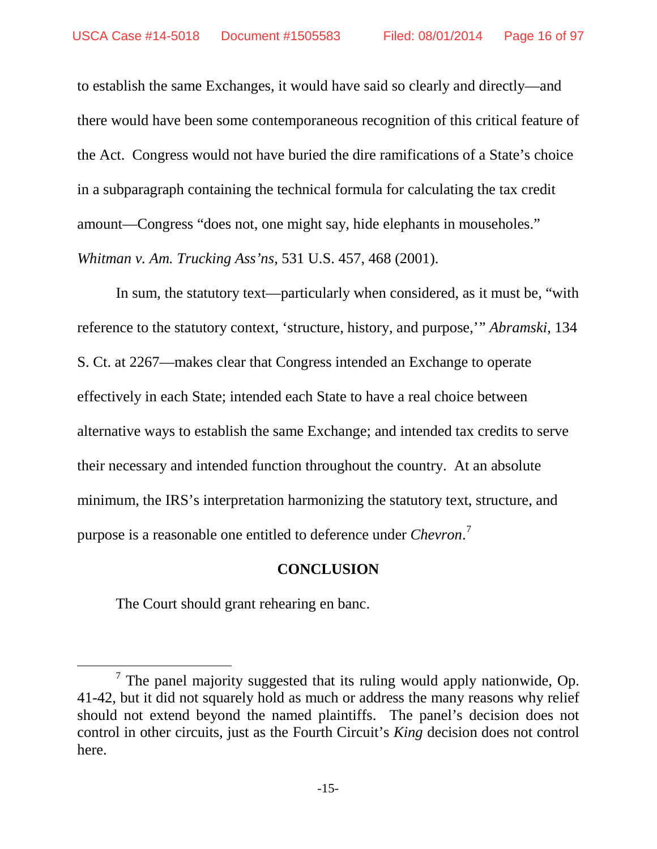to establish the same Exchanges, it would have said so clearly and directly—and there would have been some contemporaneous recognition of this critical feature of the Act. Congress would not have buried the dire ramifications of a State's choice in a subparagraph containing the technical formula for calculating the tax credit amount—Congress "does not, one might say, hide elephants in mouseholes." *Whitman v. Am. Trucking Ass'ns*, 531 U.S. 457, 468 (2001).

In sum, the statutory text—particularly when considered, as it must be, "with reference to the statutory context, 'structure, history, and purpose,'" *Abramski*, 134 S. Ct. at 2267—makes clear that Congress intended an Exchange to operate effectively in each State; intended each State to have a real choice between alternative ways to establish the same Exchange; and intended tax credits to serve their necessary and intended function throughout the country. At an absolute minimum, the IRS's interpretation harmonizing the statutory text, structure, and purpose is a reasonable one entitled to deference under *Chevron*. [7](#page-15-0)

## **CONCLUSION**

The Court should grant rehearing en banc.

 $\overline{a}$ 

<span id="page-15-0"></span> $7$  The panel majority suggested that its ruling would apply nationwide, Op. 41-42, but it did not squarely hold as much or address the many reasons why relief should not extend beyond the named plaintiffs. The panel's decision does not control in other circuits, just as the Fourth Circuit's *King* decision does not control here.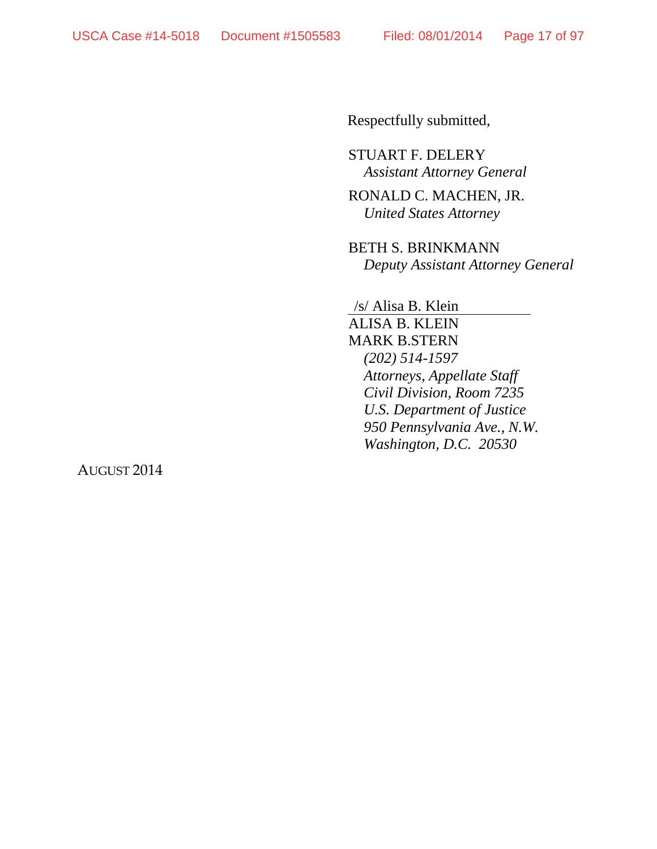Respectfully submitted,

STUART F. DELERY *Assistant Attorney General*

RONALD C. MACHEN, JR. *United States Attorney*

BETH S. BRINKMANN *Deputy Assistant Attorney General*

/s/ Alisa B. Klein

ALISA B. KLEIN MARK B.STERN *(202) 514-1597 Attorneys, Appellate Staff Civil Division, Room 7235 U.S. Department of Justice 950 Pennsylvania Ave., N.W. Washington, D.C. 20530*

AUGUST 2014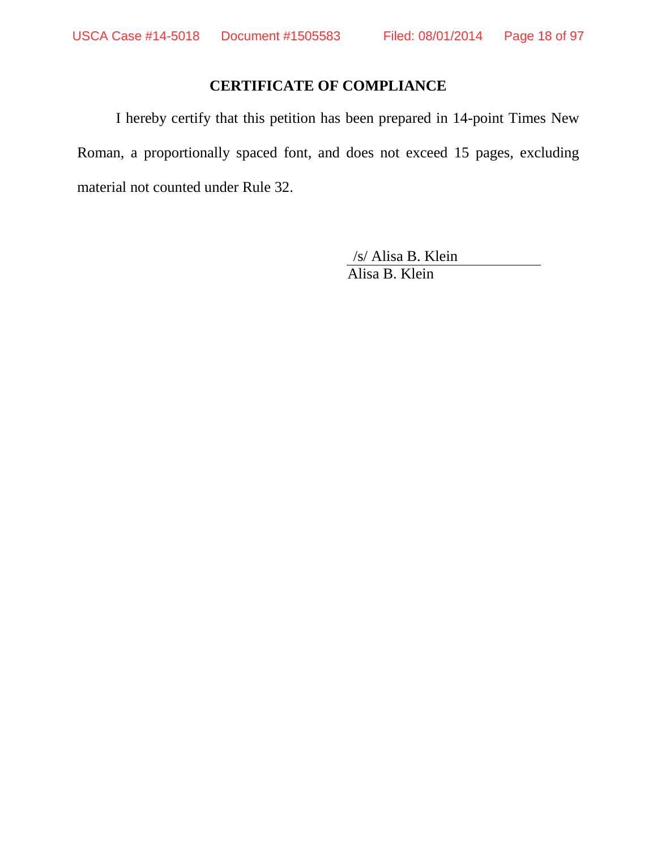## **CERTIFICATE OF COMPLIANCE**

I hereby certify that this petition has been prepared in 14-point Times New Roman, a proportionally spaced font, and does not exceed 15 pages, excluding material not counted under Rule 32.

> /s/ Alisa B. Klein Alisa B. Klein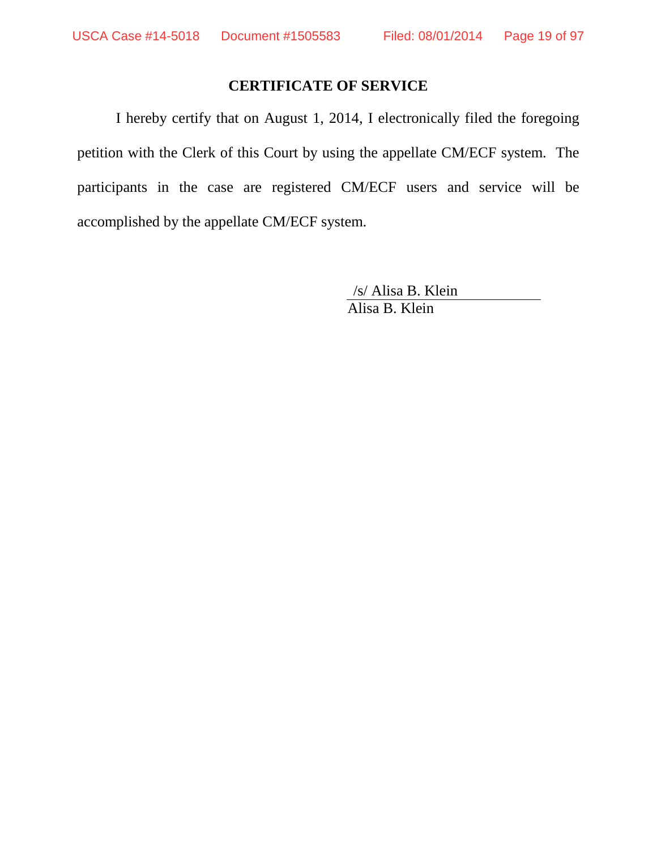## **CERTIFICATE OF SERVICE**

I hereby certify that on August 1, 2014, I electronically filed the foregoing petition with the Clerk of this Court by using the appellate CM/ECF system. The participants in the case are registered CM/ECF users and service will be accomplished by the appellate CM/ECF system.

> /s/ Alisa B. Klein Alisa B. Klein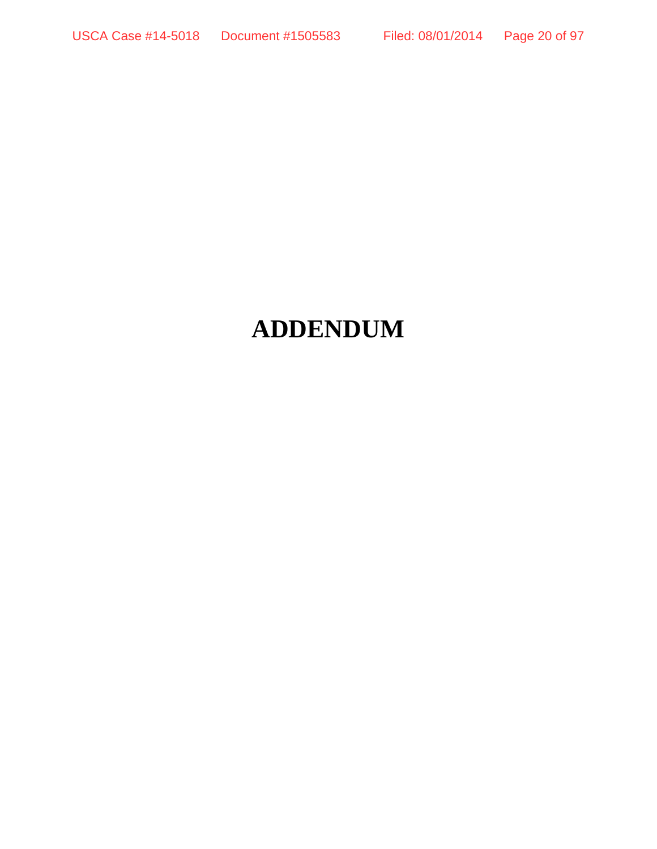# **ADDENDUM**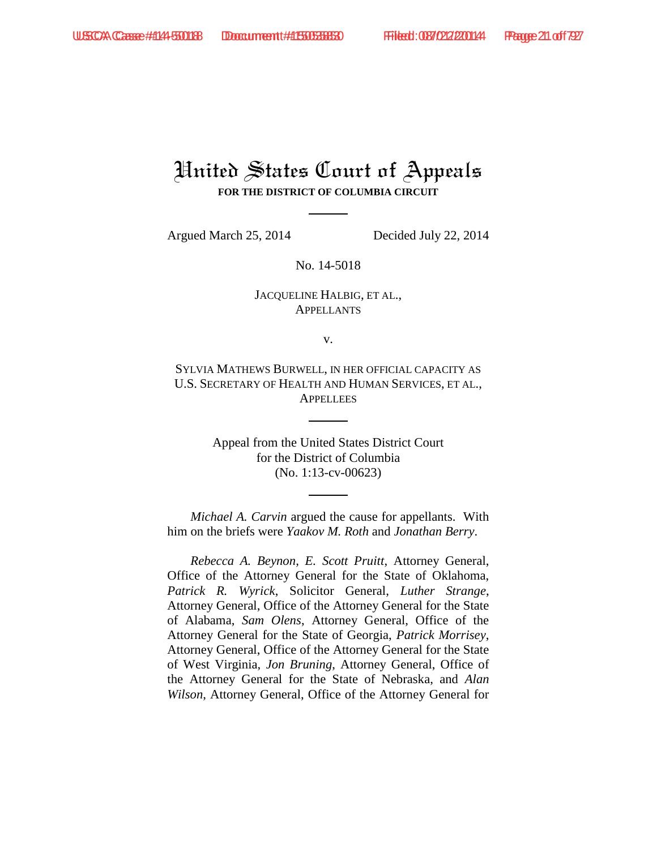# United States Court of Appeals **FOR THE DISTRICT OF COLUMBIA CIRCUIT**

Argued March 25, 2014 Decided July 22, 2014

No. 14-5018

### JACQUELINE HALBIG, ET AL., **APPELLANTS**

v.

SYLVIA MATHEWS BURWELL, IN HER OFFICIAL CAPACITY AS U.S. SECRETARY OF HEALTH AND HUMAN SERVICES, ET AL., **APPELLEES** 

> Appeal from the United States District Court for the District of Columbia (No. 1:13-cv-00623)

*Michael A. Carvin* argued the cause for appellants. With him on the briefs were *Yaakov M. Roth* and *Jonathan Berry*.

*Rebecca A. Beynon*, *E. Scott Pruitt*, Attorney General, Office of the Attorney General for the State of Oklahoma, *Patrick R. Wyrick*, Solicitor General, *Luther Strange*, Attorney General, Office of the Attorney General for the State of Alabama, *Sam Olens*, Attorney General, Office of the Attorney General for the State of Georgia, *Patrick Morrisey*, Attorney General, Office of the Attorney General for the State of West Virginia, *Jon Bruning*, Attorney General, Office of the Attorney General for the State of Nebraska, and *Alan Wilson*, Attorney General, Office of the Attorney General for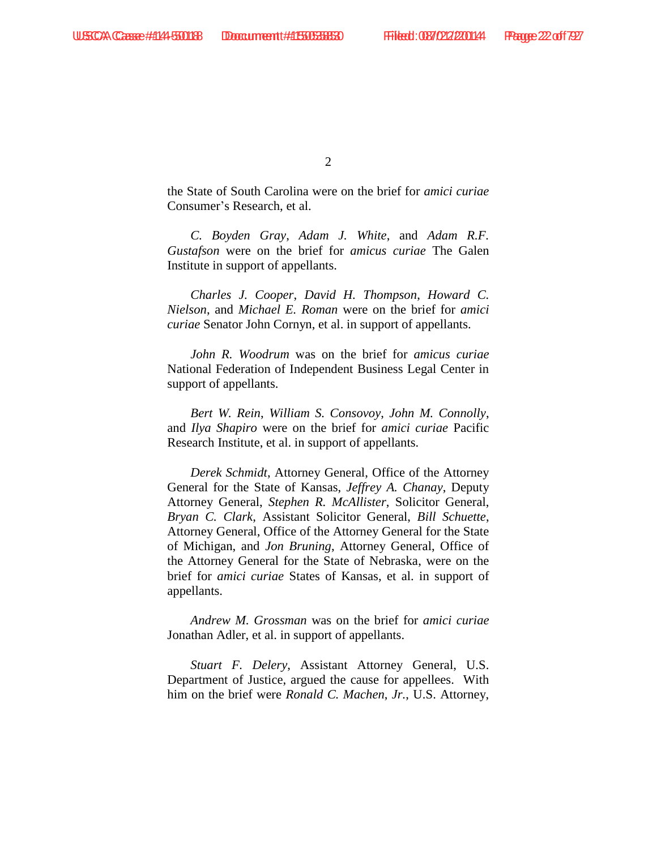$\mathcal{L}$ 

the State of South Carolina were on the brief for *amici curiae* Consumer's Research, et al.

*C. Boyden Gray*, *Adam J. White*, and *Adam R.F. Gustafson* were on the brief for *amicus curiae* The Galen Institute in support of appellants.

*Charles J. Cooper*, *David H. Thompson*, *Howard C. Nielson*, and *Michael E. Roman* were on the brief for *amici curiae* Senator John Cornyn, et al. in support of appellants.

*John R. Woodrum* was on the brief for *amicus curiae*  National Federation of Independent Business Legal Center in support of appellants.

*Bert W. Rein*, *William S. Consovoy*, *John M. Connolly*, and *Ilya Shapiro* were on the brief for *amici curiae* Pacific Research Institute, et al. in support of appellants.

*Derek Schmidt*, Attorney General, Office of the Attorney General for the State of Kansas, *Jeffrey A. Chanay*, Deputy Attorney General, *Stephen R. McAllister*, Solicitor General, *Bryan C. Clark*, Assistant Solicitor General, *Bill Schuette*, Attorney General, Office of the Attorney General for the State of Michigan, and *Jon Bruning*, Attorney General, Office of the Attorney General for the State of Nebraska, were on the brief for *amici curiae* States of Kansas, et al. in support of appellants.

*Andrew M. Grossman* was on the brief for *amici curiae*  Jonathan Adler, et al. in support of appellants.

*Stuart F. Delery*, Assistant Attorney General, U.S. Department of Justice, argued the cause for appellees. With him on the brief were *Ronald C. Machen*, *Jr.*, U.S. Attorney,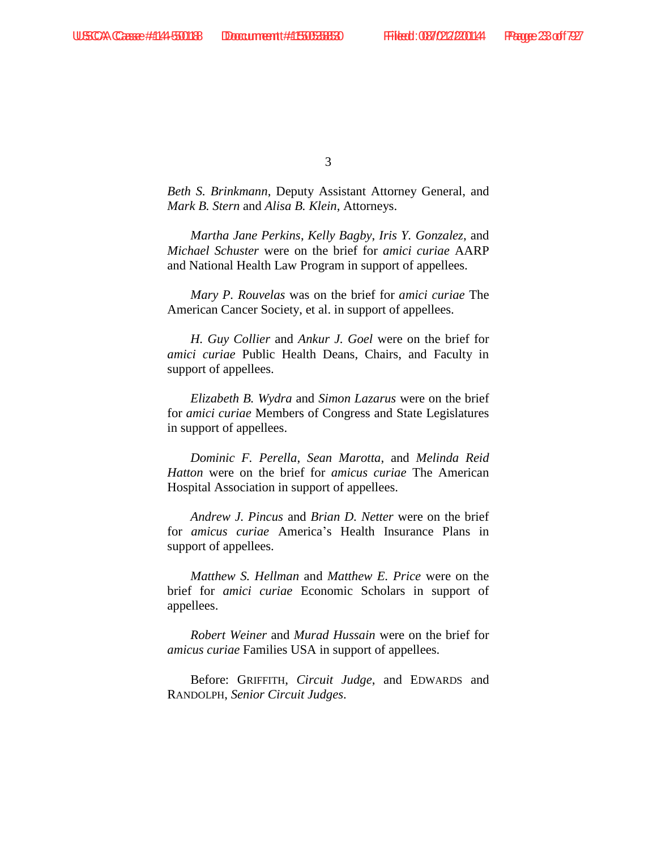*Beth S. Brinkmann*, Deputy Assistant Attorney General, and *Mark B. Stern* and *Alisa B. Klein*, Attorneys.

*Martha Jane Perkins*, *Kelly Bagby*, *Iris Y. Gonzalez*, and *Michael Schuster* were on the brief for *amici curiae* AARP and National Health Law Program in support of appellees.

*Mary P. Rouvelas* was on the brief for *amici curiae* The American Cancer Society, et al. in support of appellees.

*H. Guy Collier* and *Ankur J. Goel* were on the brief for *amici curiae* Public Health Deans, Chairs, and Faculty in support of appellees.

*Elizabeth B. Wydra* and *Simon Lazarus* were on the brief for *amici curiae* Members of Congress and State Legislatures in support of appellees.

*Dominic F. Perella*, *Sean Marotta*, and *Melinda Reid Hatton* were on the brief for *amicus curiae* The American Hospital Association in support of appellees.

*Andrew J. Pincus* and *Brian D. Netter* were on the brief for *amicus curiae* America's Health Insurance Plans in support of appellees.

*Matthew S. Hellman* and *Matthew E. Price* were on the brief for *amici curiae* Economic Scholars in support of appellees.

*Robert Weiner* and *Murad Hussain* were on the brief for *amicus curiae* Families USA in support of appellees.

Before: GRIFFITH, *Circuit Judge*, and EDWARDS and RANDOLPH, *Senior Circuit Judges*.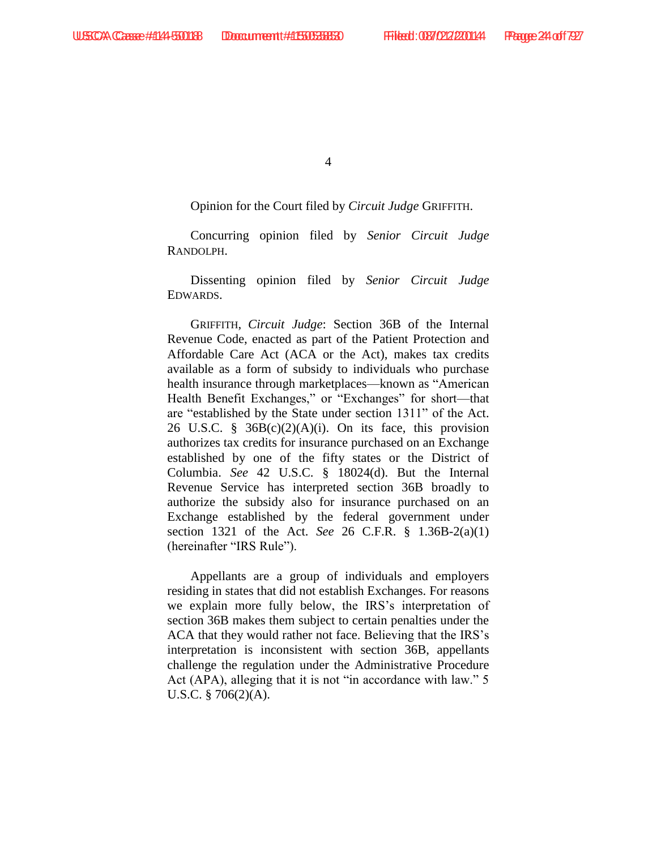Opinion for the Court filed by *Circuit Judge* GRIFFITH.

Concurring opinion filed by *Senior Circuit Judge*  RANDOLPH.

Dissenting opinion filed by *Senior Circuit Judge* EDWARDS.

GRIFFITH, *Circuit Judge*: Section 36B of the Internal Revenue Code, enacted as part of the Patient Protection and Affordable Care Act (ACA or the Act), makes tax credits available as a form of subsidy to individuals who purchase health insurance through marketplaces—known as "American Health Benefit Exchanges," or "Exchanges" for short—that are "established by the State under section 1311" of the Act. 26 U.S.C. §  $36B(c)(2)(A)(i)$ . On its face, this provision authorizes tax credits for insurance purchased on an Exchange established by one of the fifty states or the District of Columbia. *See* 42 U.S.C. § 18024(d). But the Internal Revenue Service has interpreted section 36B broadly to authorize the subsidy also for insurance purchased on an Exchange established by the federal government under section 1321 of the Act. *See* 26 C.F.R. § 1.36B-2(a)(1) (hereinafter "IRS Rule").

Appellants are a group of individuals and employers residing in states that did not establish Exchanges. For reasons we explain more fully below, the IRS's interpretation of section 36B makes them subject to certain penalties under the ACA that they would rather not face. Believing that the IRS's interpretation is inconsistent with section 36B, appellants challenge the regulation under the Administrative Procedure Act (APA), alleging that it is not "in accordance with law." 5 U.S.C. § 706(2)(A).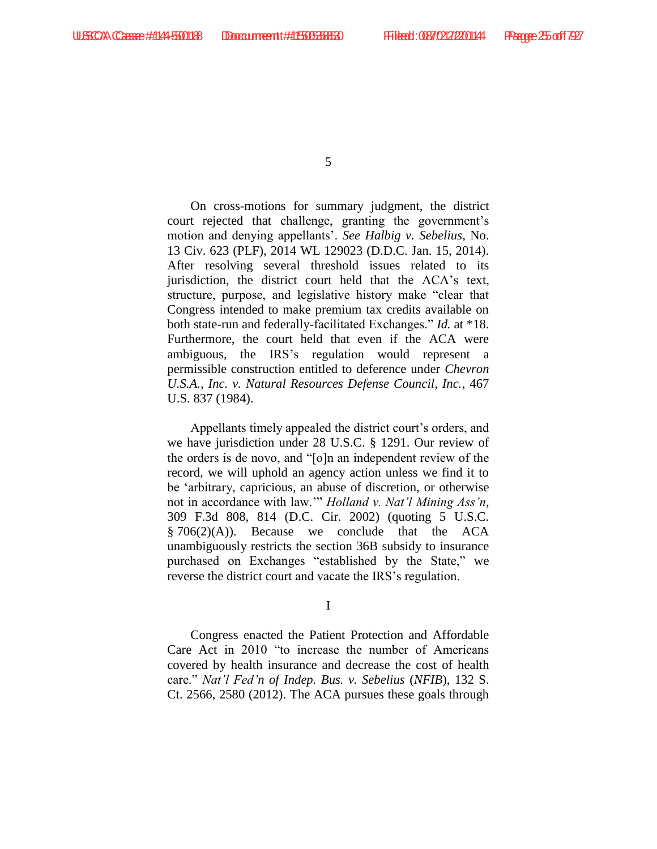On cross-motions for summary judgment, the district court rejected that challenge, granting the government's motion and denying appellants'. *See Halbig v. Sebelius*, No. 13 Civ. 623 (PLF), 2014 WL 129023 (D.D.C. Jan. 15, 2014). After resolving several threshold issues related to its jurisdiction, the district court held that the ACA's text, structure, purpose, and legislative history make "clear that Congress intended to make premium tax credits available on both state-run and federally-facilitated Exchanges." *Id.* at \*18. Furthermore, the court held that even if the ACA were ambiguous, the IRS's regulation would represent a permissible construction entitled to deference under *Chevron U.S.A., Inc. v. Natural Resources Defense Council, Inc.*, 467 U.S. 837 (1984).

Appellants timely appealed the district court's orders, and we have jurisdiction under 28 U.S.C. § 1291. Our review of the orders is de novo, and "[o]n an independent review of the record, we will uphold an agency action unless we find it to be 'arbitrary, capricious, an abuse of discretion, or otherwise not in accordance with law.'" *Holland v. Nat'l Mining Ass'n*, 309 F.3d 808, 814 (D.C. Cir. 2002) (quoting 5 U.S.C.  $§ 706(2)(A)$ . Because we conclude that the ACA unambiguously restricts the section 36B subsidy to insurance purchased on Exchanges "established by the State," we reverse the district court and vacate the IRS's regulation.

I

Congress enacted the Patient Protection and Affordable Care Act in 2010 "to increase the number of Americans covered by health insurance and decrease the cost of health care." *Nat'l Fed'n of Indep. Bus. v. Sebelius* (*NFIB*), 132 S. Ct. 2566, 2580 (2012). The ACA pursues these goals through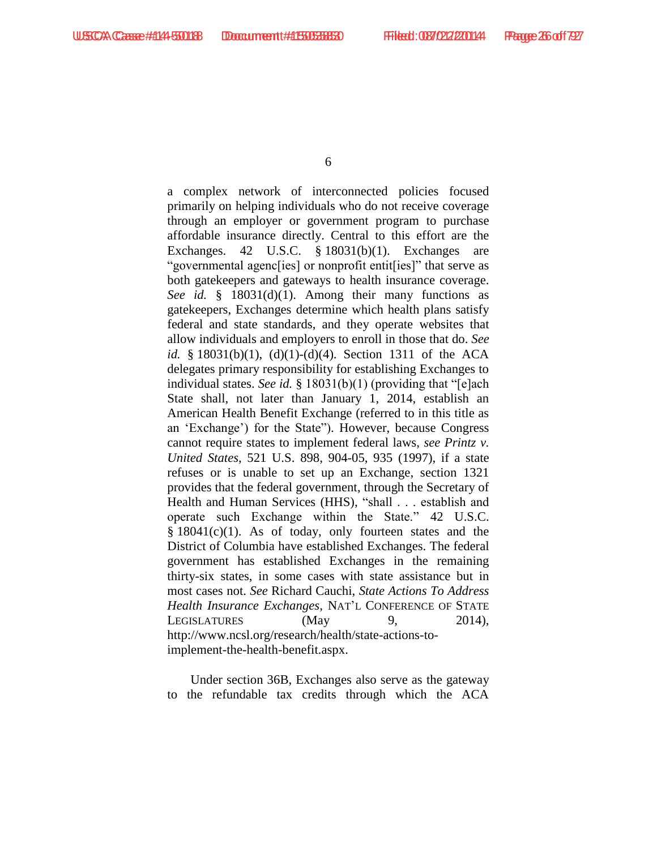a complex network of interconnected policies focused primarily on helping individuals who do not receive coverage through an employer or government program to purchase affordable insurance directly. Central to this effort are the Exchanges. 42 U.S.C. § 18031(b)(1). Exchanges are "governmental agenc[ies] or nonprofit entit[ies]" that serve as both gatekeepers and gateways to health insurance coverage. *See id.* § 18031(d)(1). Among their many functions as gatekeepers, Exchanges determine which health plans satisfy federal and state standards, and they operate websites that allow individuals and employers to enroll in those that do. *See id.* § 18031(b)(1), (d)(1)-(d)(4). Section 1311 of the ACA delegates primary responsibility for establishing Exchanges to individual states. *See id.* § 18031(b)(1) (providing that "[e]ach State shall, not later than January 1, 2014, establish an American Health Benefit Exchange (referred to in this title as an 'Exchange') for the State"). However, because Congress cannot require states to implement federal laws, *see Printz v. United States*, 521 U.S. 898, 904-05, 935 (1997), if a state refuses or is unable to set up an Exchange, section 1321 provides that the federal government, through the Secretary of Health and Human Services (HHS), "shall . . . establish and operate such Exchange within the State." 42 U.S.C. § 18041(c)(1). As of today, only fourteen states and the District of Columbia have established Exchanges. The federal government has established Exchanges in the remaining thirty-six states, in some cases with state assistance but in most cases not. *See* Richard Cauchi, *State Actions To Address Health Insurance Exchanges*, NAT'L CONFERENCE OF STATE LEGISLATURES  $(May \t 9, 2014),$ http://www.ncsl.org/research/health/state-actions-toimplement-the-health-benefit.aspx.

Under section 36B, Exchanges also serve as the gateway to the refundable tax credits through which the ACA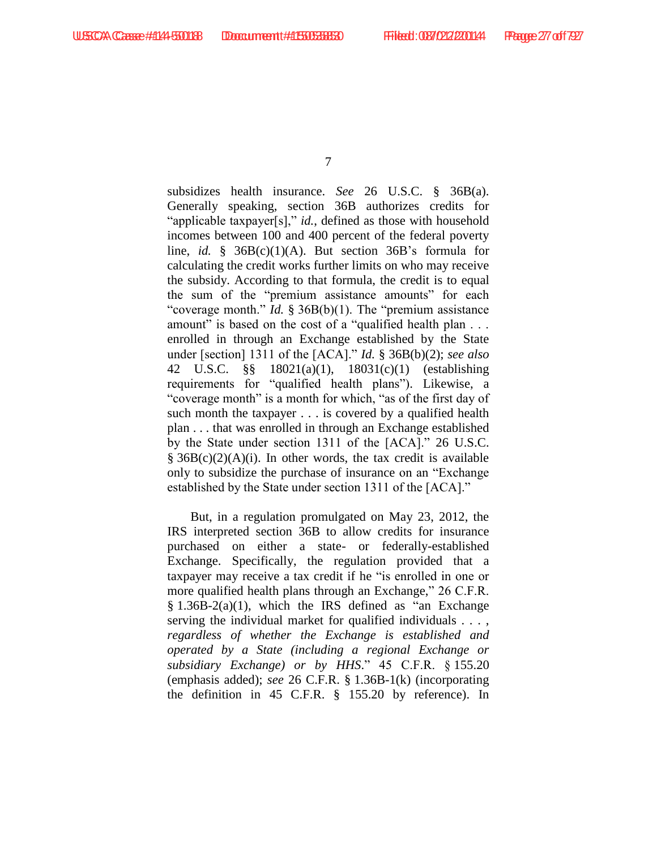subsidizes health insurance. *See* 26 U.S.C. § 36B(a). Generally speaking, section 36B authorizes credits for "applicable taxpayer[s]," *id.*, defined as those with household incomes between 100 and 400 percent of the federal poverty line, *id.* § 36B(c)(1)(A). But section 36B's formula for calculating the credit works further limits on who may receive the subsidy. According to that formula, the credit is to equal the sum of the "premium assistance amounts" for each "coverage month." *Id.* § 36B(b)(1). The "premium assistance" amount" is based on the cost of a "qualified health plan . . . enrolled in through an Exchange established by the State under [section] 1311 of the [ACA]." *Id.* § 36B(b)(2); *see also*  42 U.S.C. §§ 18021(a)(1), 18031(c)(1) (establishing requirements for "qualified health plans"). Likewise, a "coverage month" is a month for which, "as of the first day of such month the taxpayer . . . is covered by a qualified health plan . . . that was enrolled in through an Exchange established by the State under section 1311 of the [ACA]." 26 U.S.C.  $§ 36B(c)(2)(A)(i)$ . In other words, the tax credit is available only to subsidize the purchase of insurance on an "Exchange established by the State under section 1311 of the [ACA]."

But, in a regulation promulgated on May 23, 2012, the IRS interpreted section 36B to allow credits for insurance purchased on either a state- or federally-established Exchange. Specifically, the regulation provided that a taxpayer may receive a tax credit if he "is enrolled in one or more qualified health plans through an Exchange," 26 C.F.R.  $§ 1.36B-2(a)(1)$ , which the IRS defined as "an Exchange" serving the individual market for qualified individuals . . . , *regardless of whether the Exchange is established and operated by a State (including a regional Exchange or subsidiary Exchange) or by HHS*." 45 C.F.R. § 155.20 (emphasis added); *see* 26 C.F.R. § 1.36B-1(k) (incorporating the definition in 45 C.F.R. § 155.20 by reference). In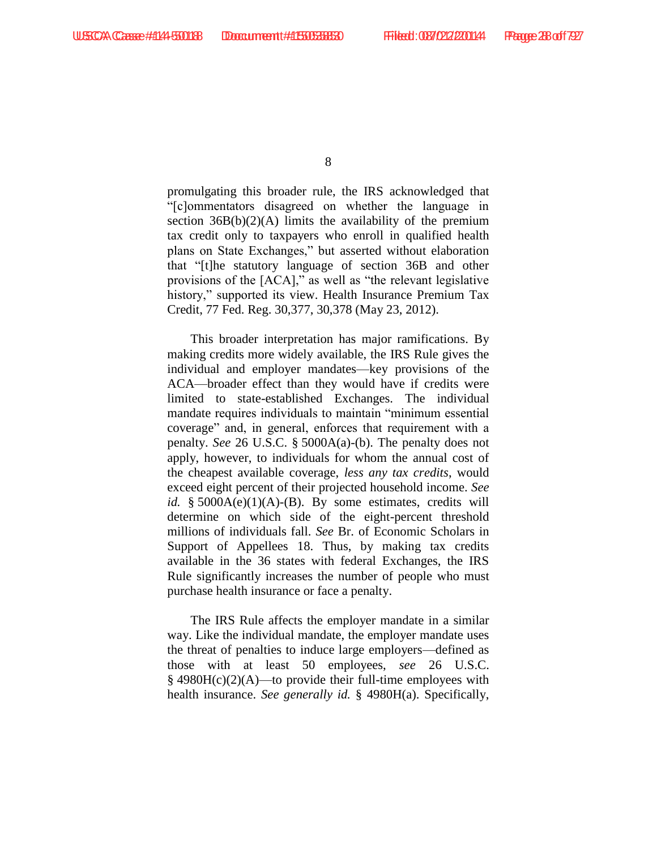promulgating this broader rule, the IRS acknowledged that "[c]ommentators disagreed on whether the language in section  $36B(b)(2)(A)$  limits the availability of the premium tax credit only to taxpayers who enroll in qualified health plans on State Exchanges," but asserted without elaboration that "[t]he statutory language of section 36B and other provisions of the [ACA]," as well as "the relevant legislative history," supported its view. Health Insurance Premium Tax Credit, 77 Fed. Reg. 30,377, 30,378 (May 23, 2012).

This broader interpretation has major ramifications. By making credits more widely available, the IRS Rule gives the individual and employer mandates—key provisions of the ACA—broader effect than they would have if credits were limited to state-established Exchanges. The individual mandate requires individuals to maintain "minimum essential coverage" and, in general, enforces that requirement with a penalty. *See* 26 U.S.C. § 5000A(a)-(b). The penalty does not apply, however, to individuals for whom the annual cost of the cheapest available coverage, *less any tax credits*, would exceed eight percent of their projected household income. *See id.* §  $5000A(e)(1)(A) - (B)$ . By some estimates, credits will determine on which side of the eight-percent threshold millions of individuals fall. *See* Br. of Economic Scholars in Support of Appellees 18. Thus, by making tax credits available in the 36 states with federal Exchanges, the IRS Rule significantly increases the number of people who must purchase health insurance or face a penalty.

The IRS Rule affects the employer mandate in a similar way. Like the individual mandate, the employer mandate uses the threat of penalties to induce large employers—defined as those with at least 50 employees, *see* 26 U.S.C.  $§$  4980H(c)(2)(A)—to provide their full-time employees with health insurance. *See generally id.* § 4980H(a). Specifically,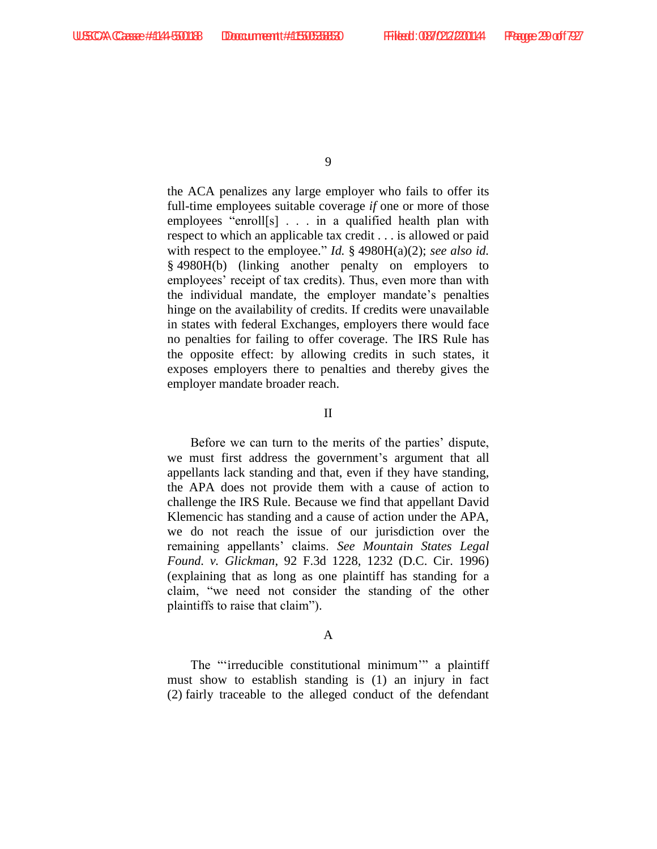the ACA penalizes any large employer who fails to offer its full-time employees suitable coverage *if* one or more of those employees "enroll[s] . . . in a qualified health plan with respect to which an applicable tax credit . . . is allowed or paid with respect to the employee." *Id.* § 4980H(a)(2); *see also id.* § 4980H(b) (linking another penalty on employers to employees' receipt of tax credits). Thus, even more than with the individual mandate, the employer mandate's penalties hinge on the availability of credits. If credits were unavailable in states with federal Exchanges, employers there would face no penalties for failing to offer coverage. The IRS Rule has the opposite effect: by allowing credits in such states, it exposes employers there to penalties and thereby gives the employer mandate broader reach.

#### II

Before we can turn to the merits of the parties' dispute, we must first address the government's argument that all appellants lack standing and that, even if they have standing, the APA does not provide them with a cause of action to challenge the IRS Rule. Because we find that appellant David Klemencic has standing and a cause of action under the APA, we do not reach the issue of our jurisdiction over the remaining appellants' claims. *See Mountain States Legal Found. v. Glickman*, 92 F.3d 1228, 1232 (D.C. Cir. 1996) (explaining that as long as one plaintiff has standing for a claim, "we need not consider the standing of the other plaintiffs to raise that claim").

#### A

The "'irreducible constitutional minimum'" a plaintiff must show to establish standing is (1) an injury in fact (2) fairly traceable to the alleged conduct of the defendant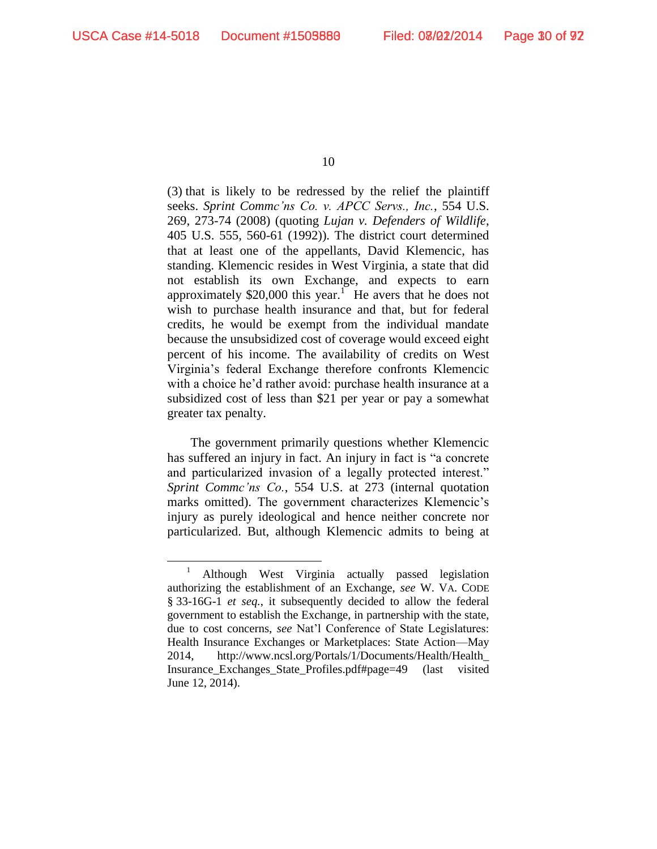$\overline{a}$ 

10

(3) that is likely to be redressed by the relief the plaintiff seeks. *Sprint Commc'ns Co. v. APCC Servs., Inc.*, 554 U.S. 269, 273-74 (2008) (quoting *Lujan v. Defenders of Wildlife*, 405 U.S. 555, 560-61 (1992)). The district court determined that at least one of the appellants, David Klemencic, has standing. Klemencic resides in West Virginia, a state that did not establish its own Exchange, and expects to earn approximately \$20,000 this year.<sup>1</sup> He avers that he does not wish to purchase health insurance and that, but for federal credits, he would be exempt from the individual mandate because the unsubsidized cost of coverage would exceed eight percent of his income. The availability of credits on West Virginia's federal Exchange therefore confronts Klemencic with a choice he'd rather avoid: purchase health insurance at a subsidized cost of less than \$21 per year or pay a somewhat greater tax penalty.

The government primarily questions whether Klemencic has suffered an injury in fact. An injury in fact is "a concrete and particularized invasion of a legally protected interest." *Sprint Commc'ns Co.*, 554 U.S. at 273 (internal quotation marks omitted). The government characterizes Klemencic's injury as purely ideological and hence neither concrete nor particularized. But, although Klemencic admits to being at

<sup>&</sup>lt;sup>1</sup> Although West Virginia actually passed legislation authorizing the establishment of an Exchange, *see* W. VA. CODE § 33-16G-1 *et seq.*, it subsequently decided to allow the federal government to establish the Exchange, in partnership with the state, due to cost concerns, *see* Nat'l Conference of State Legislatures: Health Insurance Exchanges or Marketplaces: State Action—May 2014, http://www.ncsl.org/Portals/1/Documents/Health/Health\_ Insurance\_Exchanges\_State\_Profiles.pdf#page=49 (last visited June 12, 2014).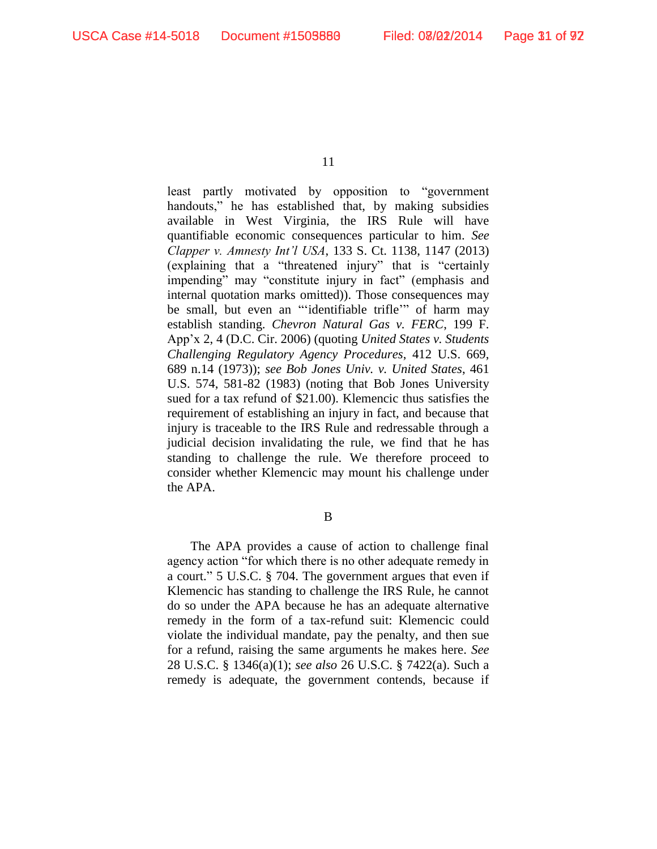least partly motivated by opposition to "government handouts," he has established that, by making subsidies available in West Virginia, the IRS Rule will have quantifiable economic consequences particular to him. *See Clapper v. Amnesty Int'l USA*, 133 S. Ct. 1138, 1147 (2013) (explaining that a "threatened injury" that is "certainly impending" may "constitute injury in fact" (emphasis and internal quotation marks omitted)). Those consequences may be small, but even an "'identifiable trifle'" of harm may establish standing. *Chevron Natural Gas v. FERC*, 199 F. App'x 2, 4 (D.C. Cir. 2006) (quoting *United States v. Students Challenging Regulatory Agency Procedures*, 412 U.S. 669, 689 n.14 (1973)); *see Bob Jones Univ. v. United States*, 461 U.S. 574, 581-82 (1983) (noting that Bob Jones University sued for a tax refund of \$21.00). Klemencic thus satisfies the requirement of establishing an injury in fact, and because that injury is traceable to the IRS Rule and redressable through a judicial decision invalidating the rule, we find that he has standing to challenge the rule. We therefore proceed to consider whether Klemencic may mount his challenge under the APA.

B

The APA provides a cause of action to challenge final agency action "for which there is no other adequate remedy in a court." 5 U.S.C. § 704. The government argues that even if Klemencic has standing to challenge the IRS Rule, he cannot do so under the APA because he has an adequate alternative remedy in the form of a tax-refund suit: Klemencic could violate the individual mandate, pay the penalty, and then sue for a refund, raising the same arguments he makes here. *See*  28 U.S.C. § 1346(a)(1); *see also* 26 U.S.C. § 7422(a). Such a remedy is adequate, the government contends, because if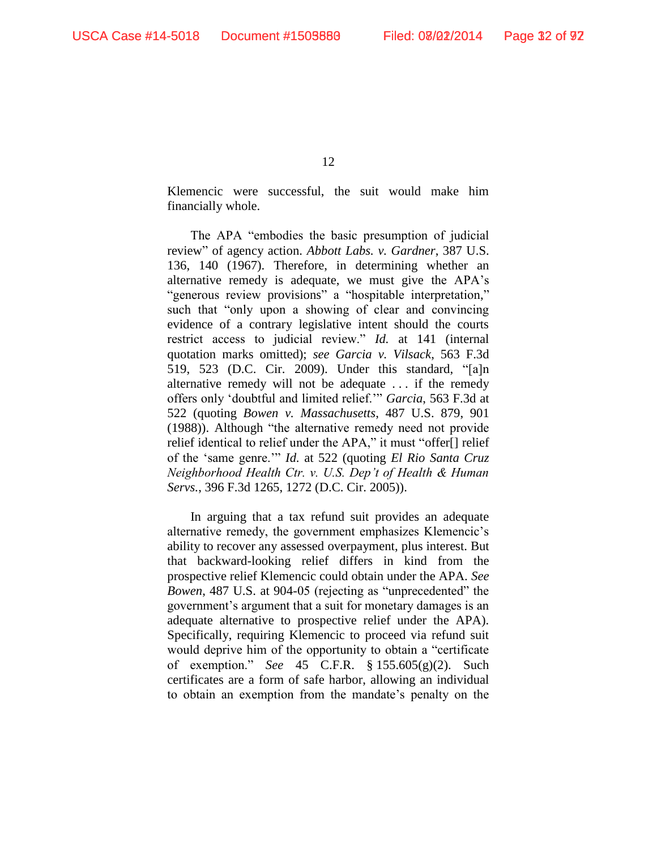Klemencic were successful, the suit would make him financially whole.

The APA "embodies the basic presumption of judicial review" of agency action. *Abbott Labs. v. Gardner*, 387 U.S. 136, 140 (1967). Therefore, in determining whether an alternative remedy is adequate, we must give the APA's "generous review provisions" a "hospitable interpretation," such that "only upon a showing of clear and convincing evidence of a contrary legislative intent should the courts restrict access to judicial review." *Id.* at 141 (internal quotation marks omitted); *see Garcia v. Vilsack*, 563 F.3d 519, 523 (D.C. Cir. 2009). Under this standard, "[a]n alternative remedy will not be adequate . . . if the remedy offers only 'doubtful and limited relief.'" *Garcia*, 563 F.3d at 522 (quoting *Bowen v. Massachusetts*, 487 U.S. 879, 901 (1988)). Although "the alternative remedy need not provide relief identical to relief under the APA," it must "offer[] relief of the 'same genre.'" *Id.* at 522 (quoting *El Rio Santa Cruz Neighborhood Health Ctr. v. U.S. Dep't of Health & Human Servs.*, 396 F.3d 1265, 1272 (D.C. Cir. 2005)).

In arguing that a tax refund suit provides an adequate alternative remedy, the government emphasizes Klemencic's ability to recover any assessed overpayment, plus interest. But that backward-looking relief differs in kind from the prospective relief Klemencic could obtain under the APA. *See Bowen*, 487 U.S. at 904-05 (rejecting as "unprecedented" the government's argument that a suit for monetary damages is an adequate alternative to prospective relief under the APA). Specifically, requiring Klemencic to proceed via refund suit would deprive him of the opportunity to obtain a "certificate of exemption." *See* 45 C.F.R. § 155.605(g)(2). Such certificates are a form of safe harbor, allowing an individual to obtain an exemption from the mandate's penalty on the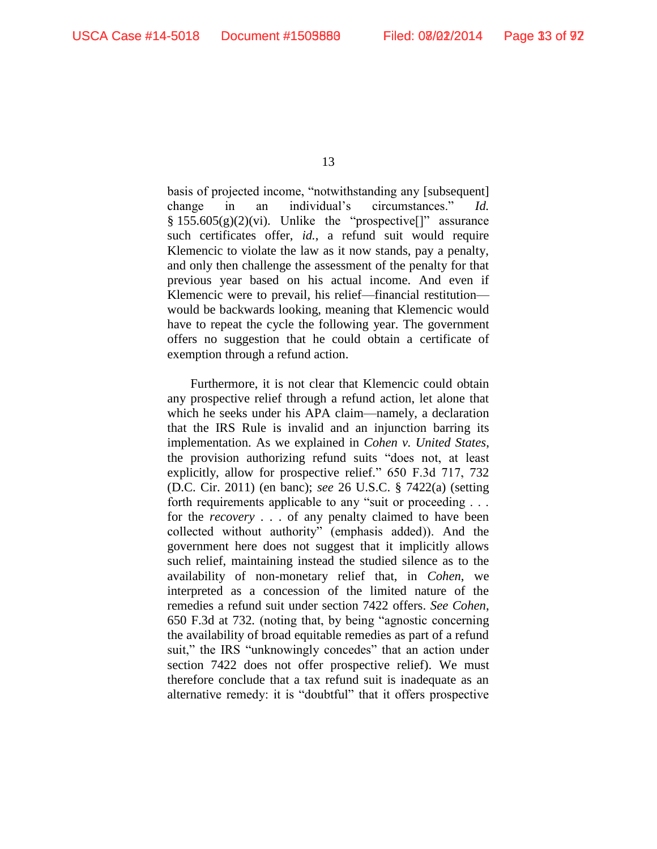basis of projected income, "notwithstanding any [subsequent] change in an individual's circumstances." *Id.*  $§ 155.605(g)(2)(vi)$ . Unlike the "prospective[]" assurance such certificates offer, *id.*, a refund suit would require Klemencic to violate the law as it now stands, pay a penalty, and only then challenge the assessment of the penalty for that previous year based on his actual income. And even if Klemencic were to prevail, his relief—financial restitution would be backwards looking, meaning that Klemencic would have to repeat the cycle the following year. The government offers no suggestion that he could obtain a certificate of exemption through a refund action.

Furthermore, it is not clear that Klemencic could obtain any prospective relief through a refund action, let alone that which he seeks under his APA claim—namely, a declaration that the IRS Rule is invalid and an injunction barring its implementation. As we explained in *Cohen v. United States*, the provision authorizing refund suits "does not, at least explicitly, allow for prospective relief." 650 F.3d 717, 732 (D.C. Cir. 2011) (en banc); *see* 26 U.S.C. § 7422(a) (setting forth requirements applicable to any "suit or proceeding . . . for the *recovery* . . . of any penalty claimed to have been collected without authority" (emphasis added)). And the government here does not suggest that it implicitly allows such relief, maintaining instead the studied silence as to the availability of non-monetary relief that, in *Cohen*, we interpreted as a concession of the limited nature of the remedies a refund suit under section 7422 offers. *See Cohen*, 650 F.3d at 732*.* (noting that, by being "agnostic concerning the availability of broad equitable remedies as part of a refund suit," the IRS "unknowingly concedes" that an action under section 7422 does not offer prospective relief). We must therefore conclude that a tax refund suit is inadequate as an alternative remedy: it is "doubtful" that it offers prospective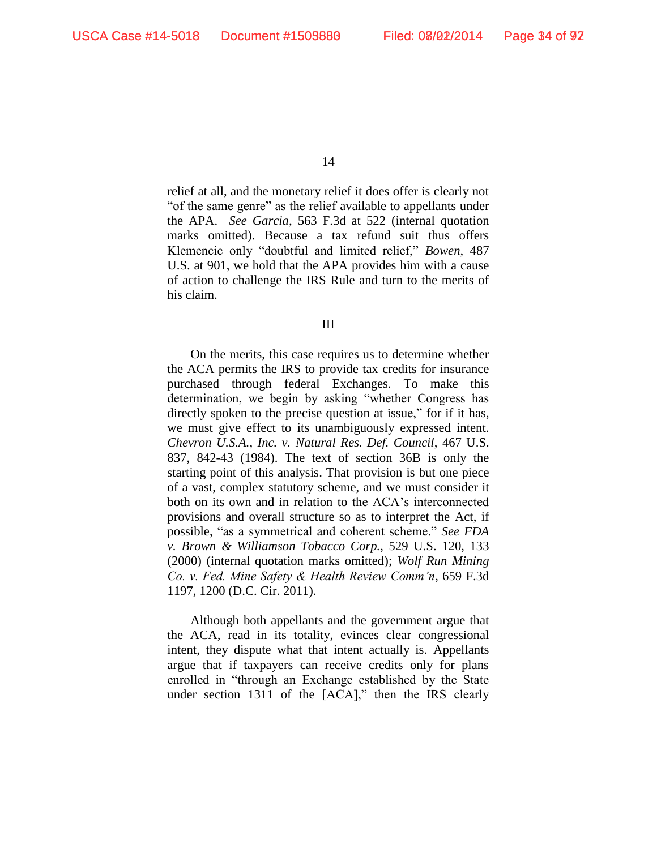relief at all, and the monetary relief it does offer is clearly not "of the same genre" as the relief available to appellants under the APA. *See Garcia*, 563 F.3d at 522 (internal quotation marks omitted). Because a tax refund suit thus offers Klemencic only "doubtful and limited relief," *Bowen*, 487 U.S. at 901, we hold that the APA provides him with a cause of action to challenge the IRS Rule and turn to the merits of his claim.

III

On the merits, this case requires us to determine whether the ACA permits the IRS to provide tax credits for insurance purchased through federal Exchanges. To make this determination, we begin by asking "whether Congress has directly spoken to the precise question at issue," for if it has, we must give effect to its unambiguously expressed intent. *Chevron U.S.A., Inc. v. Natural Res. Def. Council*, 467 U.S. 837, 842-43 (1984). The text of section 36B is only the starting point of this analysis. That provision is but one piece of a vast, complex statutory scheme, and we must consider it both on its own and in relation to the ACA's interconnected provisions and overall structure so as to interpret the Act, if possible, "as a symmetrical and coherent scheme." *See FDA v. Brown & Williamson Tobacco Corp.*, 529 U.S. 120, 133 (2000) (internal quotation marks omitted); *Wolf Run Mining Co. v. Fed. Mine Safety & Health Review Comm'n*, 659 F.3d 1197, 1200 (D.C. Cir. 2011).

Although both appellants and the government argue that the ACA, read in its totality, evinces clear congressional intent, they dispute what that intent actually is. Appellants argue that if taxpayers can receive credits only for plans enrolled in "through an Exchange established by the State under section 1311 of the [ACA]," then the IRS clearly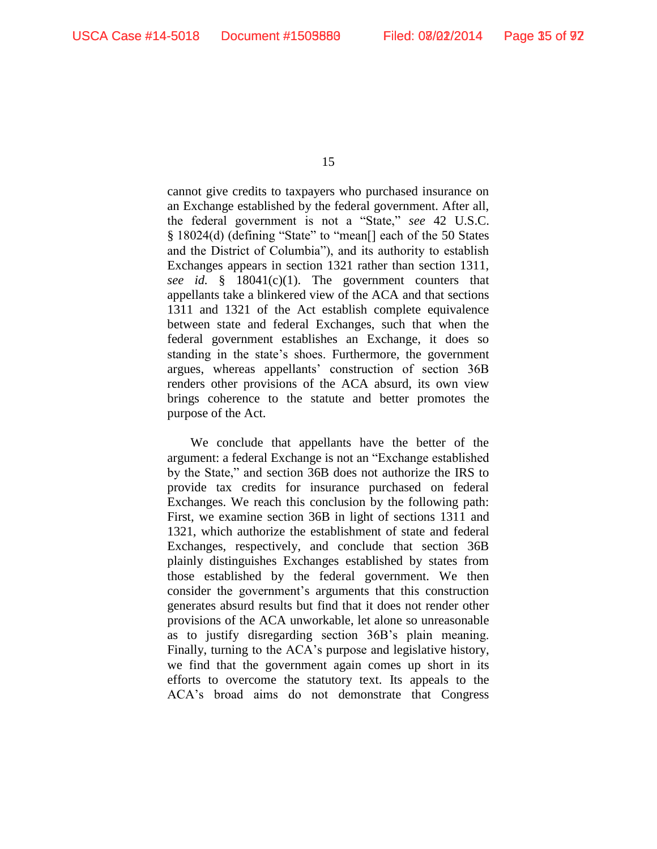cannot give credits to taxpayers who purchased insurance on an Exchange established by the federal government. After all, the federal government is not a "State," *see* 42 U.S.C. § 18024(d) (defining "State" to "mean[] each of the 50 States and the District of Columbia"), and its authority to establish Exchanges appears in section 1321 rather than section 1311, *see id.* § 18041(c)(1). The government counters that appellants take a blinkered view of the ACA and that sections 1311 and 1321 of the Act establish complete equivalence between state and federal Exchanges, such that when the federal government establishes an Exchange, it does so standing in the state's shoes. Furthermore, the government argues, whereas appellants' construction of section 36B renders other provisions of the ACA absurd, its own view brings coherence to the statute and better promotes the purpose of the Act.

We conclude that appellants have the better of the argument: a federal Exchange is not an "Exchange established by the State," and section 36B does not authorize the IRS to provide tax credits for insurance purchased on federal Exchanges. We reach this conclusion by the following path: First, we examine section 36B in light of sections 1311 and 1321, which authorize the establishment of state and federal Exchanges, respectively, and conclude that section 36B plainly distinguishes Exchanges established by states from those established by the federal government. We then consider the government's arguments that this construction generates absurd results but find that it does not render other provisions of the ACA unworkable, let alone so unreasonable as to justify disregarding section 36B's plain meaning. Finally, turning to the ACA's purpose and legislative history, we find that the government again comes up short in its efforts to overcome the statutory text. Its appeals to the ACA's broad aims do not demonstrate that Congress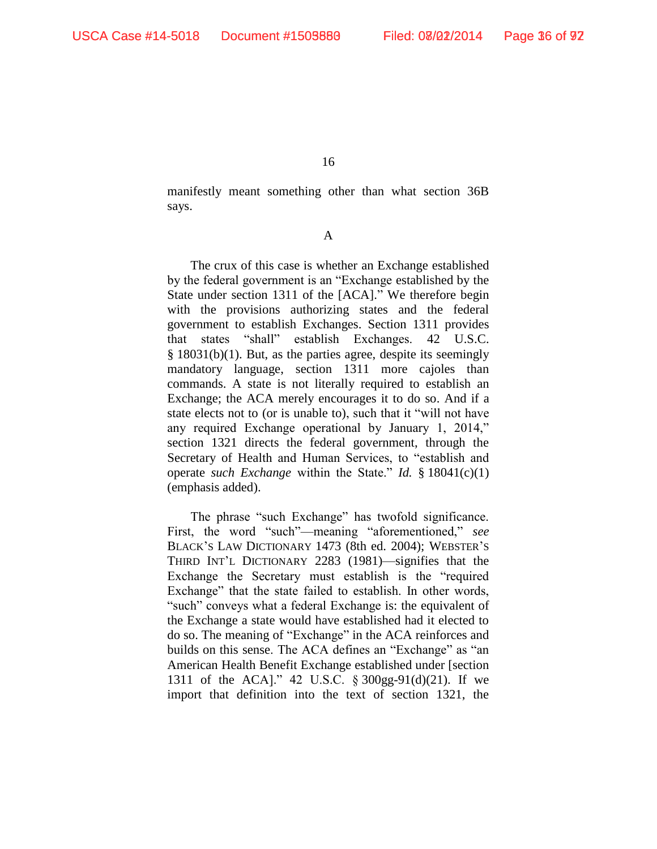manifestly meant something other than what section 36B says.

A

The crux of this case is whether an Exchange established by the federal government is an "Exchange established by the State under section 1311 of the [ACA]." We therefore begin with the provisions authorizing states and the federal government to establish Exchanges. Section 1311 provides that states "shall" establish Exchanges. 42 U.S.C. § 18031(b)(1). But, as the parties agree, despite its seemingly mandatory language, section 1311 more cajoles than commands. A state is not literally required to establish an Exchange; the ACA merely encourages it to do so. And if a state elects not to (or is unable to), such that it "will not have any required Exchange operational by January 1, 2014," section 1321 directs the federal government, through the Secretary of Health and Human Services, to "establish and operate *such Exchange* within the State." *Id.* § 18041(c)(1) (emphasis added).

The phrase "such Exchange" has twofold significance. First, the word "such"—meaning "aforementioned," *see*  BLACK'S LAW DICTIONARY 1473 (8th ed. 2004); WEBSTER'S THIRD INT'L DICTIONARY 2283 (1981)—signifies that the Exchange the Secretary must establish is the "required Exchange" that the state failed to establish. In other words, "such" conveys what a federal Exchange is: the equivalent of the Exchange a state would have established had it elected to do so. The meaning of "Exchange" in the ACA reinforces and builds on this sense. The ACA defines an "Exchange" as "an American Health Benefit Exchange established under [section 1311 of the ACA]." 42 U.S.C. § 300gg-91(d)(21). If we import that definition into the text of section 1321, the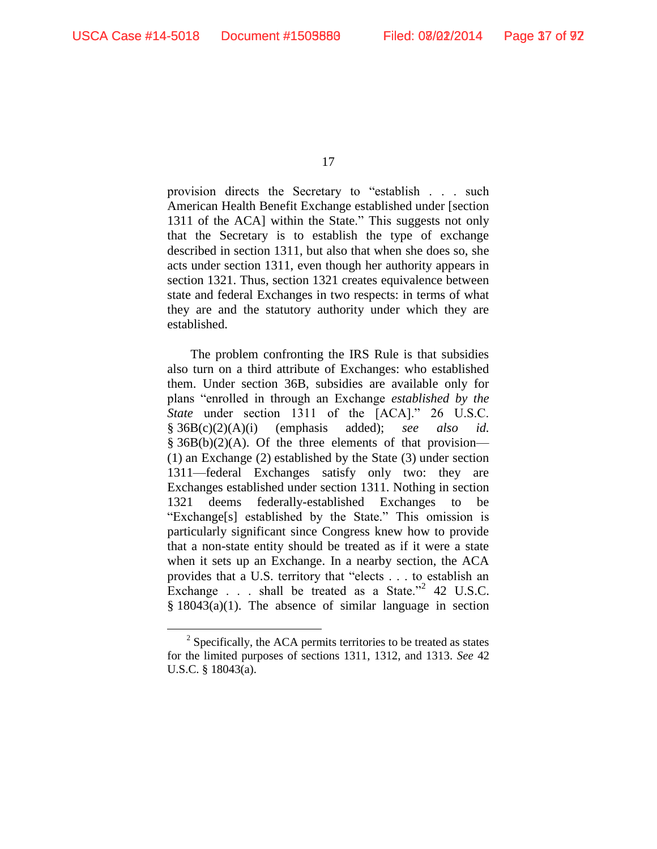17

provision directs the Secretary to "establish . . . such American Health Benefit Exchange established under [section 1311 of the ACA] within the State." This suggests not only that the Secretary is to establish the type of exchange described in section 1311, but also that when she does so, she acts under section 1311, even though her authority appears in section 1321. Thus, section 1321 creates equivalence between state and federal Exchanges in two respects: in terms of what they are and the statutory authority under which they are established.

The problem confronting the IRS Rule is that subsidies also turn on a third attribute of Exchanges: who established them. Under section 36B, subsidies are available only for plans "enrolled in through an Exchange *established by the State* under section 1311 of the [ACA]." 26 U.S.C. § 36B(c)(2)(A)(i) (emphasis added); *see also id.*  $§ 36B(b)(2)(A)$ . Of the three elements of that provision— (1) an Exchange (2) established by the State (3) under section 1311—federal Exchanges satisfy only two: they are Exchanges established under section 1311. Nothing in section 1321 deems federally-established Exchanges to be "Exchange[s] established by the State." This omission is particularly significant since Congress knew how to provide that a non-state entity should be treated as if it were a state when it sets up an Exchange. In a nearby section, the ACA provides that a U.S. territory that "elects . . . to establish an Exchange  $\therefore$  shall be treated as a State."<sup>2</sup> 42 U.S.C.  $§$  18043(a)(1). The absence of similar language in section

 $2^2$  Specifically, the ACA permits territories to be treated as states for the limited purposes of sections 1311, 1312, and 1313. *See* 42 U.S.C. § 18043(a).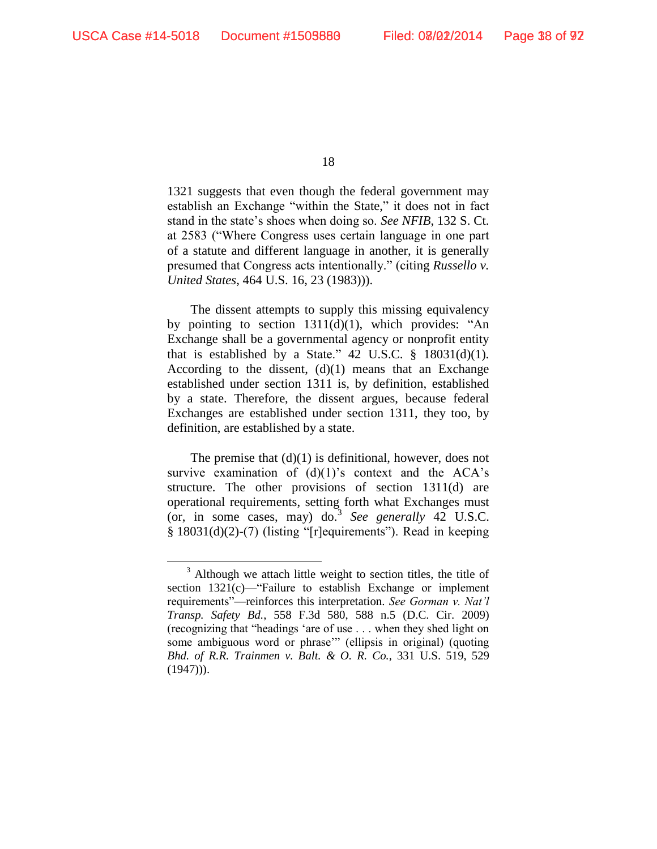18

1321 suggests that even though the federal government may establish an Exchange "within the State," it does not in fact stand in the state's shoes when doing so. *See NFIB*, 132 S. Ct. at 2583 ("Where Congress uses certain language in one part of a statute and different language in another, it is generally presumed that Congress acts intentionally." (citing *Russello v. United States*, 464 U.S. 16, 23 (1983))).

The dissent attempts to supply this missing equivalency by pointing to section  $1311(d)(1)$ , which provides: "An Exchange shall be a governmental agency or nonprofit entity that is established by a State." 42 U.S.C.  $\S$  18031(d)(1). According to the dissent,  $(d)(1)$  means that an Exchange established under section 1311 is, by definition, established by a state. Therefore, the dissent argues, because federal Exchanges are established under section 1311, they too, by definition, are established by a state.

The premise that  $(d)(1)$  is definitional, however, does not survive examination of  $(d)(1)$ 's context and the ACA's structure. The other provisions of section 1311(d) are operational requirements, setting forth what Exchanges must (or, in some cases, may) do.<sup>3</sup> *See generally* 42 U.S.C. § 18031(d)(2)-(7) (listing "[r]equirements"). Read in keeping

<sup>&</sup>lt;sup>3</sup> Although we attach little weight to section titles, the title of section 1321(c)—"Failure to establish Exchange or implement requirements"—reinforces this interpretation. *See Gorman v. Nat'l Transp. Safety Bd.*, 558 F.3d 580, 588 n.5 (D.C. Cir. 2009) (recognizing that "headings 'are of use . . . when they shed light on some ambiguous word or phrase'" (ellipsis in original) (quoting *Bhd. of R.R. Trainmen v. Balt. & O. R. Co.*, 331 U.S. 519, 529  $(1947)$ ).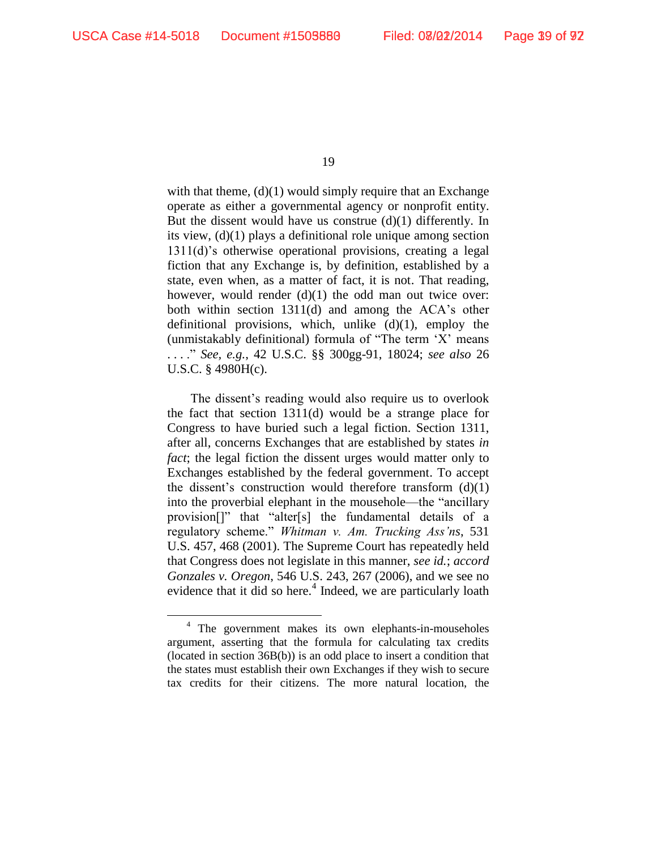19

with that theme,  $(d)(1)$  would simply require that an Exchange operate as either a governmental agency or nonprofit entity. But the dissent would have us construe (d)(1) differently. In its view, (d)(1) plays a definitional role unique among section 1311(d)'s otherwise operational provisions, creating a legal fiction that any Exchange is, by definition, established by a state, even when, as a matter of fact, it is not. That reading, however, would render (d)(1) the odd man out twice over: both within section 1311(d) and among the ACA's other definitional provisions, which, unlike  $(d)(1)$ , employ the (unmistakably definitional) formula of "The term 'X' means . . . ." *See, e.g.*, 42 U.S.C. §§ 300gg-91, 18024; *see also* 26 U.S.C. § 4980H(c).

The dissent's reading would also require us to overlook the fact that section 1311(d) would be a strange place for Congress to have buried such a legal fiction. Section 1311, after all, concerns Exchanges that are established by states *in fact*; the legal fiction the dissent urges would matter only to Exchanges established by the federal government. To accept the dissent's construction would therefore transform  $(d)(1)$ into the proverbial elephant in the mousehole—the "ancillary provision[]" that "alter[s] the fundamental details of a regulatory scheme." *Whitman v. Am. Trucking Ass'ns*, 531 U.S. 457, 468 (2001). The Supreme Court has repeatedly held that Congress does not legislate in this manner, *see id.*; *accord Gonzales v. Oregon*, 546 U.S. 243, 267 (2006), and we see no evidence that it did so here.<sup>4</sup> Indeed, we are particularly loath

<sup>4</sup> The government makes its own elephants-in-mouseholes argument, asserting that the formula for calculating tax credits (located in section 36B(b)) is an odd place to insert a condition that the states must establish their own Exchanges if they wish to secure tax credits for their citizens. The more natural location, the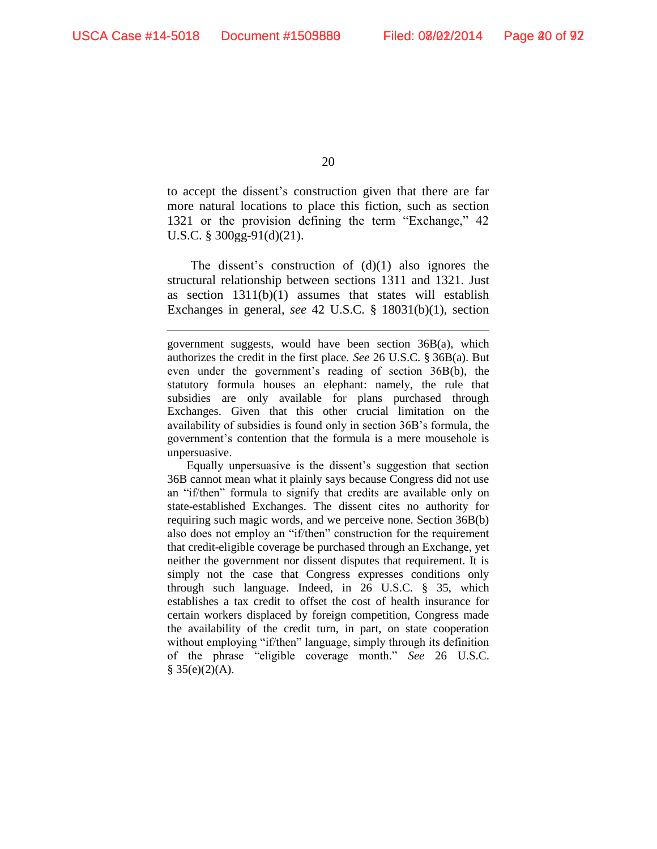20

to accept the dissent's construction given that there are far more natural locations to place this fiction, such as section 1321 or the provision defining the term "Exchange," 42 U.S.C. § 300gg-91(d)(21).

The dissent's construction of  $(d)(1)$  also ignores the structural relationship between sections 1311 and 1321. Just as section 1311(b)(1) assumes that states will establish Exchanges in general, *see* 42 U.S.C. § 18031(b)(1), section

Equally unpersuasive is the dissent's suggestion that section 36B cannot mean what it plainly says because Congress did not use an "if/then" formula to signify that credits are available only on state-established Exchanges. The dissent cites no authority for requiring such magic words, and we perceive none. Section 36B(b) also does not employ an "if/then" construction for the requirement that credit-eligible coverage be purchased through an Exchange, yet neither the government nor dissent disputes that requirement. It is simply not the case that Congress expresses conditions only through such language. Indeed, in 26 U.S.C. § 35, which establishes a tax credit to offset the cost of health insurance for certain workers displaced by foreign competition, Congress made the availability of the credit turn, in part, on state cooperation without employing "if/then" language, simply through its definition of the phrase "eligible coverage month." *See* 26 U.S.C.  $§ 35(e)(2)(A).$ 

government suggests, would have been section 36B(a), which authorizes the credit in the first place. *See* 26 U.S.C. § 36B(a). But even under the government's reading of section 36B(b), the statutory formula houses an elephant: namely, the rule that subsidies are only available for plans purchased through Exchanges. Given that this other crucial limitation on the availability of subsidies is found only in section 36B's formula, the government's contention that the formula is a mere mousehole is unpersuasive.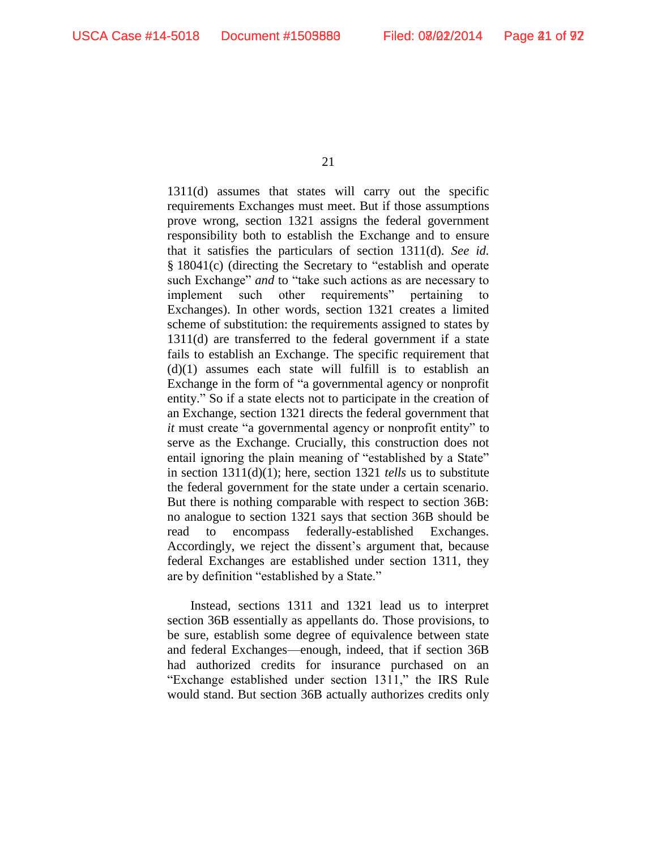1311(d) assumes that states will carry out the specific requirements Exchanges must meet. But if those assumptions prove wrong, section 1321 assigns the federal government responsibility both to establish the Exchange and to ensure that it satisfies the particulars of section 1311(d). *See id.* § 18041(c) (directing the Secretary to "establish and operate such Exchange" *and* to "take such actions as are necessary to implement such other requirements" pertaining to Exchanges). In other words, section 1321 creates a limited scheme of substitution: the requirements assigned to states by 1311(d) are transferred to the federal government if a state fails to establish an Exchange. The specific requirement that  $(d)(1)$  assumes each state will fulfill is to establish an Exchange in the form of "a governmental agency or nonprofit entity." So if a state elects not to participate in the creation of an Exchange, section 1321 directs the federal government that *it* must create "a governmental agency or nonprofit entity" to serve as the Exchange. Crucially, this construction does not entail ignoring the plain meaning of "established by a State" in section 1311(d)(1); here, section 1321 *tells* us to substitute the federal government for the state under a certain scenario. But there is nothing comparable with respect to section 36B: no analogue to section 1321 says that section 36B should be read to encompass federally-established Exchanges. Accordingly, we reject the dissent's argument that, because federal Exchanges are established under section 1311, they are by definition "established by a State."

Instead, sections 1311 and 1321 lead us to interpret section 36B essentially as appellants do. Those provisions, to be sure, establish some degree of equivalence between state and federal Exchanges—enough, indeed, that if section 36B had authorized credits for insurance purchased on an "Exchange established under section 1311," the IRS Rule would stand. But section 36B actually authorizes credits only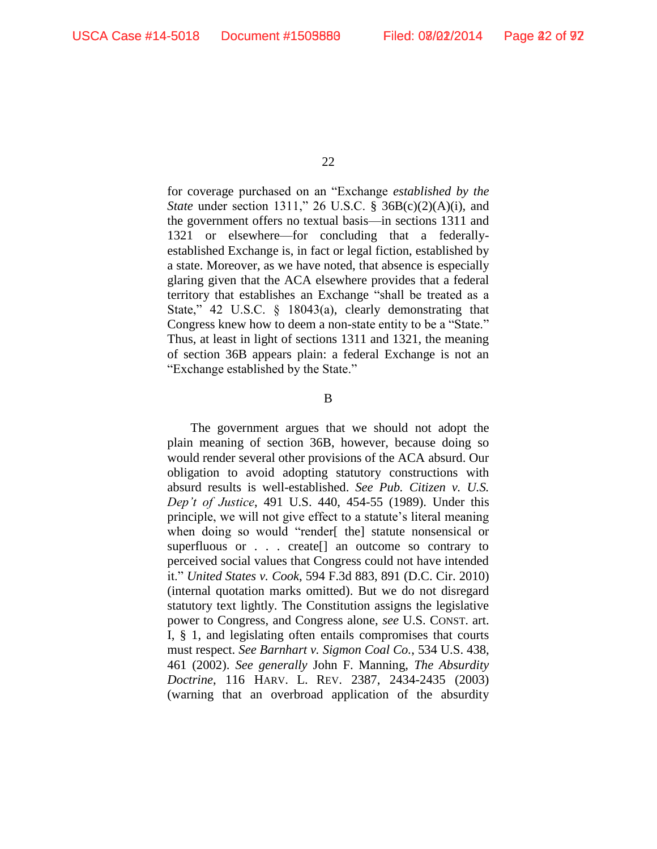for coverage purchased on an "Exchange *established by the State* under section 1311," 26 U.S.C. § 36B(c)(2)(A)(i), and the government offers no textual basis—in sections 1311 and 1321 or elsewhere—for concluding that a federallyestablished Exchange is, in fact or legal fiction, established by a state. Moreover, as we have noted, that absence is especially glaring given that the ACA elsewhere provides that a federal territory that establishes an Exchange "shall be treated as a State," 42 U.S.C. § 18043(a), clearly demonstrating that Congress knew how to deem a non-state entity to be a "State." Thus, at least in light of sections 1311 and 1321, the meaning of section 36B appears plain: a federal Exchange is not an "Exchange established by the State."

B

The government argues that we should not adopt the plain meaning of section 36B, however, because doing so would render several other provisions of the ACA absurd. Our obligation to avoid adopting statutory constructions with absurd results is well-established. *See Pub. Citizen v. U.S. Dep't of Justice*, 491 U.S. 440, 454-55 (1989). Under this principle, we will not give effect to a statute's literal meaning when doing so would "render[ the] statute nonsensical or superfluous or . . . create[] an outcome so contrary to perceived social values that Congress could not have intended it." *United States v. Cook*, 594 F.3d 883, 891 (D.C. Cir. 2010) (internal quotation marks omitted). But we do not disregard statutory text lightly. The Constitution assigns the legislative power to Congress, and Congress alone, *see* U.S. CONST. art. I, § 1, and legislating often entails compromises that courts must respect. *See Barnhart v. Sigmon Coal Co.*, 534 U.S. 438, 461 (2002). *See generally* John F. Manning, *The Absurdity Doctrine*, 116 HARV. L. REV. 2387, 2434-2435 (2003) (warning that an overbroad application of the absurdity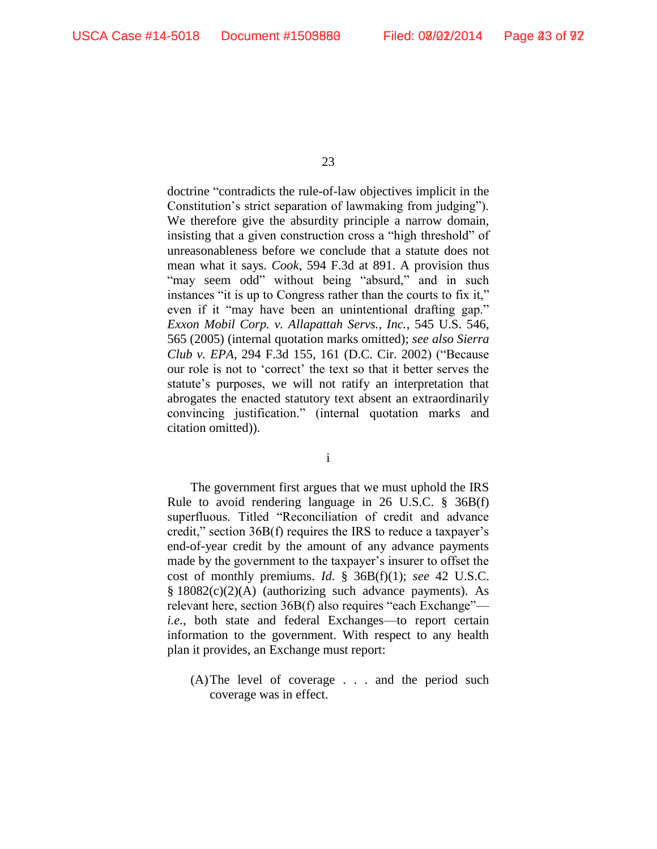doctrine "contradicts the rule-of-law objectives implicit in the Constitution's strict separation of lawmaking from judging"). We therefore give the absurdity principle a narrow domain, insisting that a given construction cross a "high threshold" of unreasonableness before we conclude that a statute does not mean what it says. *Cook*, 594 F.3d at 891. A provision thus "may seem odd" without being "absurd," and in such instances "it is up to Congress rather than the courts to fix it," even if it "may have been an unintentional drafting gap." *Exxon Mobil Corp. v. Allapattah Servs., Inc.*, 545 U.S. 546, 565 (2005) (internal quotation marks omitted); *see also Sierra Club v. EPA*, 294 F.3d 155, 161 (D.C. Cir. 2002) ("Because our role is not to 'correct' the text so that it better serves the statute's purposes, we will not ratify an interpretation that abrogates the enacted statutory text absent an extraordinarily convincing justification." (internal quotation marks and citation omitted)).

i

The government first argues that we must uphold the IRS Rule to avoid rendering language in 26 U.S.C. § 36B(f) superfluous. Titled "Reconciliation of credit and advance credit," section 36B(f) requires the IRS to reduce a taxpayer's end-of-year credit by the amount of any advance payments made by the government to the taxpayer's insurer to offset the cost of monthly premiums. *Id.* § 36B(f)(1); *see* 42 U.S.C.  $§$  18082(c)(2)(A) (authorizing such advance payments). As relevant here, section 36B(f) also requires "each Exchange" *i.e.*, both state and federal Exchanges—to report certain information to the government. With respect to any health plan it provides, an Exchange must report:

(A)The level of coverage . . . and the period such coverage was in effect.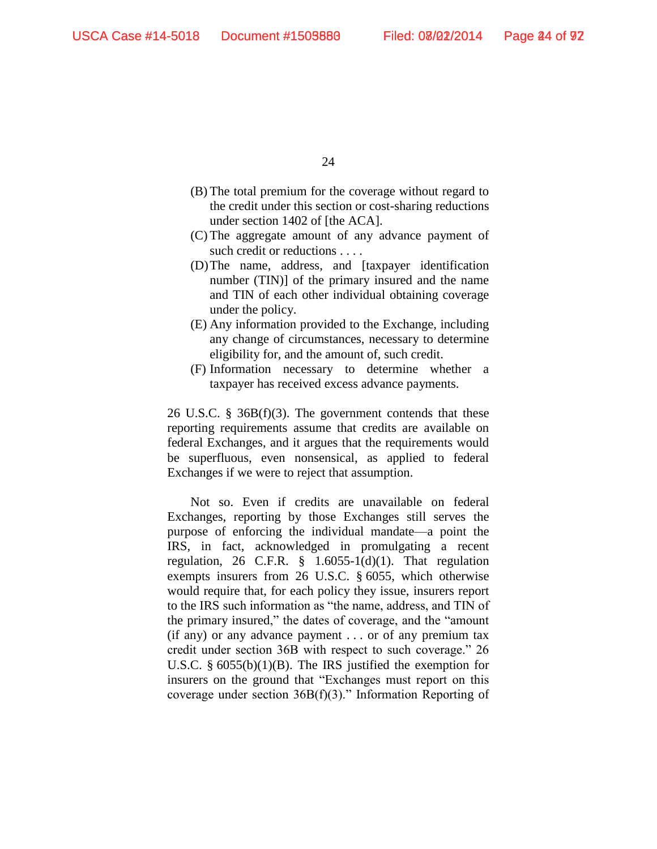- (B) The total premium for the coverage without regard to the credit under this section or cost-sharing reductions under section 1402 of [the ACA].
- (C) The aggregate amount of any advance payment of such credit or reductions . . . .
- (D)The name, address, and [taxpayer identification number (TIN)] of the primary insured and the name and TIN of each other individual obtaining coverage under the policy.
- (E) Any information provided to the Exchange, including any change of circumstances, necessary to determine eligibility for, and the amount of, such credit.
- (F) Information necessary to determine whether a taxpayer has received excess advance payments.

26 U.S.C. § 36B(f)(3). The government contends that these reporting requirements assume that credits are available on federal Exchanges, and it argues that the requirements would be superfluous, even nonsensical, as applied to federal Exchanges if we were to reject that assumption.

Not so. Even if credits are unavailable on federal Exchanges, reporting by those Exchanges still serves the purpose of enforcing the individual mandate—a point the IRS, in fact, acknowledged in promulgating a recent regulation, 26 C.F.R.  $\S$  1.6055-1(d)(1). That regulation exempts insurers from 26 U.S.C. § 6055, which otherwise would require that, for each policy they issue, insurers report to the IRS such information as "the name, address, and TIN of the primary insured," the dates of coverage, and the "amount (if any) or any advance payment . . . or of any premium tax credit under section 36B with respect to such coverage." 26 U.S.C. § 6055(b)(1)(B). The IRS justified the exemption for insurers on the ground that "Exchanges must report on this coverage under section  $36B(f)(3)$ ." Information Reporting of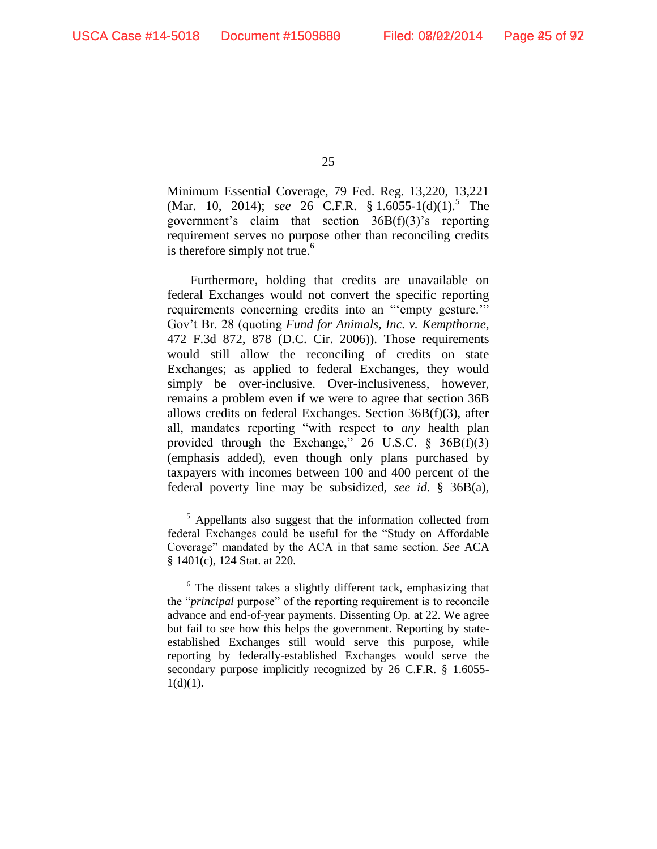25

Minimum Essential Coverage, 79 Fed. Reg. 13,220, 13,221 (Mar. 10, 2014); *see* 26 C.F.R. § 1.6055-1(d)(1).<sup>5</sup> The government's claim that section 36B(f)(3)'s reporting requirement serves no purpose other than reconciling credits is therefore simply not true. $<sup>6</sup>$ </sup>

Furthermore, holding that credits are unavailable on federal Exchanges would not convert the specific reporting requirements concerning credits into an "'empty gesture.'" Gov't Br. 28 (quoting *Fund for Animals, Inc. v. Kempthorne*, 472 F.3d 872, 878 (D.C. Cir. 2006)). Those requirements would still allow the reconciling of credits on state Exchanges; as applied to federal Exchanges, they would simply be over-inclusive. Over-inclusiveness, however, remains a problem even if we were to agree that section 36B allows credits on federal Exchanges. Section 36B(f)(3), after all, mandates reporting "with respect to *any* health plan provided through the Exchange,"  $26$  U.S.C.  $\frac{6}{5}$  36B(f)(3) (emphasis added), even though only plans purchased by taxpayers with incomes between 100 and 400 percent of the federal poverty line may be subsidized, *see id.* § 36B(a),

 $<sup>5</sup>$  Appellants also suggest that the information collected from</sup> federal Exchanges could be useful for the "Study on Affordable Coverage" mandated by the ACA in that same section. *See* ACA § 1401(c), 124 Stat. at 220.

 $6$  The dissent takes a slightly different tack, emphasizing that the "*principal* purpose" of the reporting requirement is to reconcile advance and end-of-year payments. Dissenting Op. at 22. We agree but fail to see how this helps the government. Reporting by stateestablished Exchanges still would serve this purpose, while reporting by federally-established Exchanges would serve the secondary purpose implicitly recognized by 26 C.F.R. § 1.6055-  $1(d)(1)$ .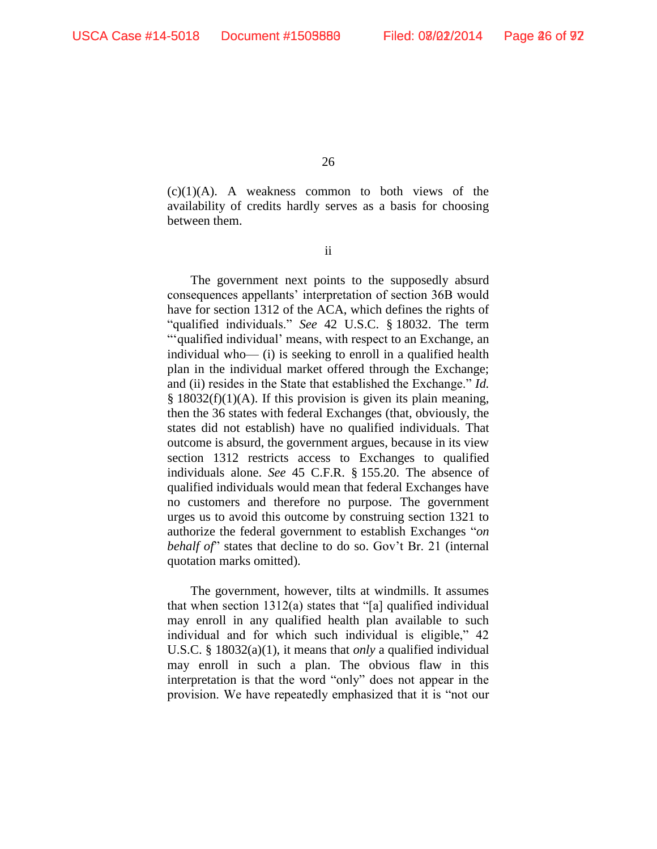$(c)(1)(A)$ . A weakness common to both views of the availability of credits hardly serves as a basis for choosing between them.

ii

The government next points to the supposedly absurd consequences appellants' interpretation of section 36B would have for section 1312 of the ACA, which defines the rights of "qualified individuals." *See* 42 U.S.C. § 18032. The term "'qualified individual' means, with respect to an Exchange, an individual who— (i) is seeking to enroll in a qualified health plan in the individual market offered through the Exchange; and (ii) resides in the State that established the Exchange." *Id.*  $§$  18032(f)(1)(A). If this provision is given its plain meaning, then the 36 states with federal Exchanges (that, obviously, the states did not establish) have no qualified individuals. That outcome is absurd, the government argues, because in its view section 1312 restricts access to Exchanges to qualified individuals alone. *See* 45 C.F.R. § 155.20. The absence of qualified individuals would mean that federal Exchanges have no customers and therefore no purpose. The government urges us to avoid this outcome by construing section 1321 to authorize the federal government to establish Exchanges "*on behalf of*" states that decline to do so. Gov't Br. 21 (internal quotation marks omitted).

The government, however, tilts at windmills. It assumes that when section 1312(a) states that "[a] qualified individual may enroll in any qualified health plan available to such individual and for which such individual is eligible," 42 U.S.C. § 18032(a)(1), it means that *only* a qualified individual may enroll in such a plan. The obvious flaw in this interpretation is that the word "only" does not appear in the provision. We have repeatedly emphasized that it is "not our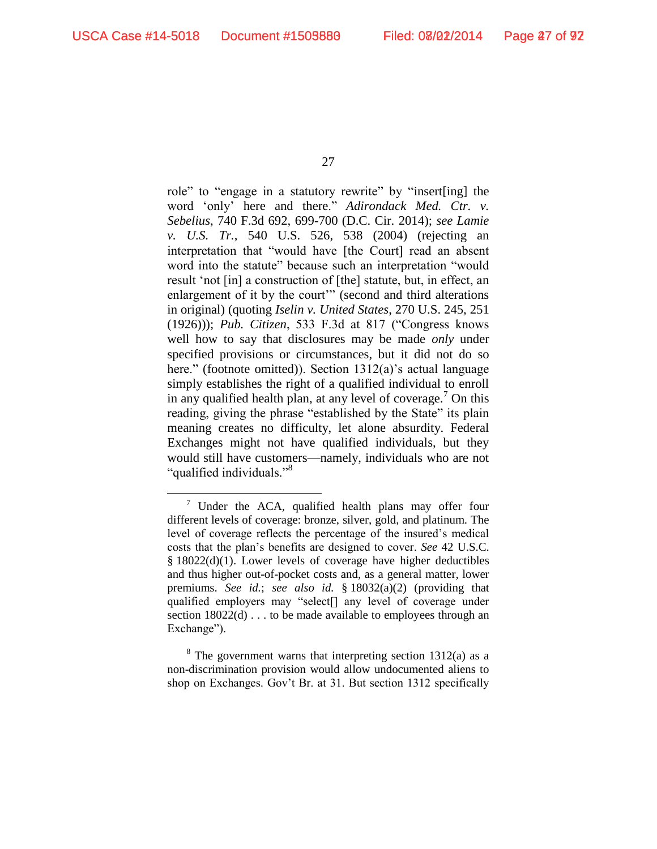27

role" to "engage in a statutory rewrite" by "insert[ing] the word 'only' here and there." *Adirondack Med. Ctr. v. Sebelius*, 740 F.3d 692, 699-700 (D.C. Cir. 2014); *see Lamie v. U.S. Tr.*, 540 U.S. 526, 538 (2004) (rejecting an interpretation that "would have [the Court] read an absent word into the statute" because such an interpretation "would result 'not [in] a construction of [the] statute, but, in effect, an enlargement of it by the court" (second and third alterations in original) (quoting *Iselin v. United States*, 270 U.S. 245, 251 (1926))); *Pub. Citizen*, 533 F.3d at 817 ("Congress knows well how to say that disclosures may be made *only* under specified provisions or circumstances, but it did not do so here." (footnote omitted)). Section 1312(a)'s actual language simply establishes the right of a qualified individual to enroll in any qualified health plan, at any level of coverage.<sup>7</sup> On this reading, giving the phrase "established by the State" its plain meaning creates no difficulty, let alone absurdity. Federal Exchanges might not have qualified individuals, but they would still have customers—namely, individuals who are not "qualified individuals."<sup>8</sup>

Under the ACA, qualified health plans may offer four different levels of coverage: bronze, silver, gold, and platinum. The level of coverage reflects the percentage of the insured's medical costs that the plan's benefits are designed to cover. *See* 42 U.S.C. § 18022(d)(1). Lower levels of coverage have higher deductibles and thus higher out-of-pocket costs and, as a general matter, lower premiums. *See id.*; *see also id.* § 18032(a)(2) (providing that qualified employers may "select[] any level of coverage under section  $18022(d)$ ... to be made available to employees through an Exchange").

 $8$  The government warns that interpreting section 1312(a) as a non-discrimination provision would allow undocumented aliens to shop on Exchanges. Gov't Br. at 31. But section 1312 specifically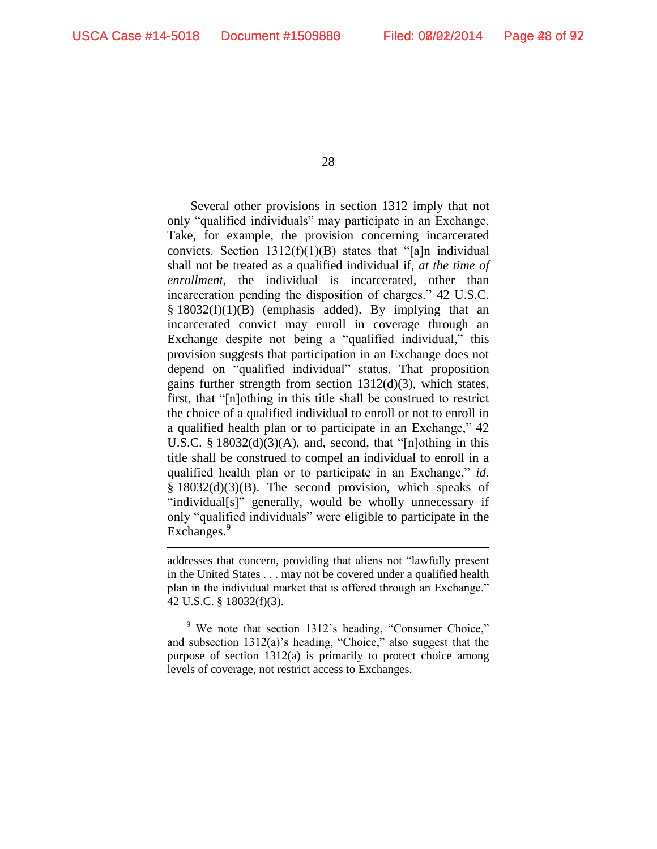28

Several other provisions in section 1312 imply that not only "qualified individuals" may participate in an Exchange. Take, for example, the provision concerning incarcerated convicts. Section  $1312(f)(1)(B)$  states that "[a]n individual shall not be treated as a qualified individual if, *at the time of enrollment*, the individual is incarcerated, other than incarceration pending the disposition of charges." 42 U.S.C.  $§ 18032(f)(1)(B)$  (emphasis added). By implying that an incarcerated convict may enroll in coverage through an Exchange despite not being a "qualified individual," this provision suggests that participation in an Exchange does not depend on "qualified individual" status. That proposition gains further strength from section 1312(d)(3), which states, first, that "[n]othing in this title shall be construed to restrict the choice of a qualified individual to enroll or not to enroll in a qualified health plan or to participate in an Exchange," 42 U.S.C. §  $18032(d)(3)(A)$ , and, second, that "[n]othing in this title shall be construed to compel an individual to enroll in a qualified health plan or to participate in an Exchange," *id.* § 18032(d)(3)(B). The second provision, which speaks of "individual[s]" generally, would be wholly unnecessary if only "qualified individuals" were eligible to participate in the Exchanges.<sup>9</sup>

addresses that concern, providing that aliens not "lawfully present in the United States . . . may not be covered under a qualified health plan in the individual market that is offered through an Exchange." 42 U.S.C. § 18032(f)(3).

<sup>9</sup> We note that section 1312's heading, "Consumer Choice," and subsection 1312(a)'s heading, "Choice," also suggest that the purpose of section 1312(a) is primarily to protect choice among levels of coverage, not restrict access to Exchanges.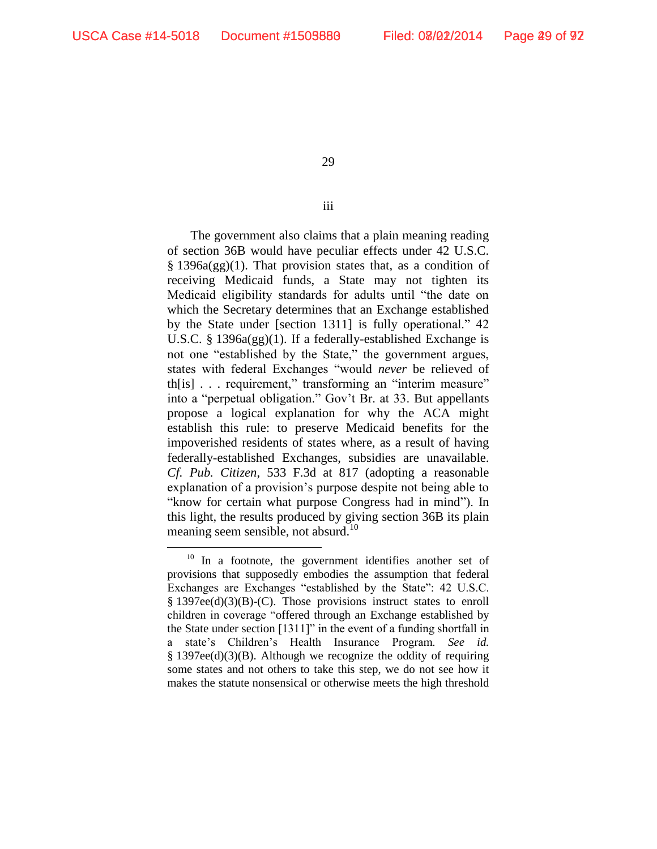29

iii

The government also claims that a plain meaning reading of section 36B would have peculiar effects under 42 U.S.C. § 1396a(gg)(1). That provision states that, as a condition of receiving Medicaid funds, a State may not tighten its Medicaid eligibility standards for adults until "the date on which the Secretary determines that an Exchange established by the State under [section 1311] is fully operational." 42 U.S.C. § 1396a(gg)(1). If a federally-established Exchange is not one "established by the State," the government argues, states with federal Exchanges "would *never* be relieved of th[is] . . . requirement," transforming an "interim measure" into a "perpetual obligation." Gov't Br. at 33. But appellants propose a logical explanation for why the ACA might establish this rule: to preserve Medicaid benefits for the impoverished residents of states where, as a result of having federally-established Exchanges, subsidies are unavailable. *Cf. Pub. Citizen*, 533 F.3d at 817 (adopting a reasonable explanation of a provision's purpose despite not being able to "know for certain what purpose Congress had in mind"). In this light, the results produced by giving section 36B its plain meaning seem sensible, not absurd.<sup>10</sup>

<sup>&</sup>lt;sup>10</sup> In a footnote, the government identifies another set of provisions that supposedly embodies the assumption that federal Exchanges are Exchanges "established by the State": 42 U.S.C. § 1397ee(d)(3)(B)-(C). Those provisions instruct states to enroll children in coverage "offered through an Exchange established by the State under section [1311]" in the event of a funding shortfall in a state's Children's Health Insurance Program. *See id.* § 1397ee(d)(3)(B). Although we recognize the oddity of requiring some states and not others to take this step, we do not see how it makes the statute nonsensical or otherwise meets the high threshold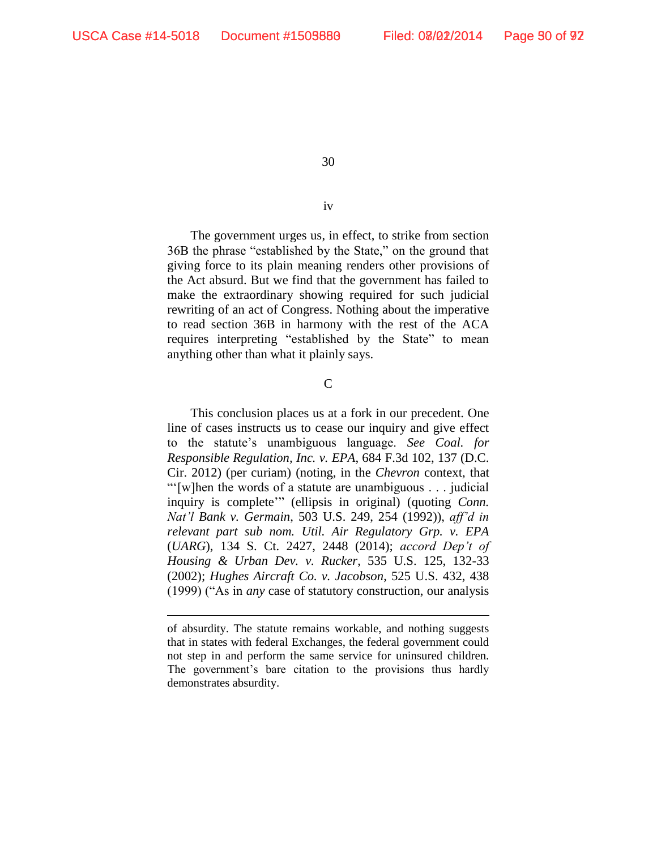30

## iv

The government urges us, in effect, to strike from section 36B the phrase "established by the State," on the ground that giving force to its plain meaning renders other provisions of the Act absurd. But we find that the government has failed to make the extraordinary showing required for such judicial rewriting of an act of Congress. Nothing about the imperative to read section 36B in harmony with the rest of the ACA requires interpreting "established by the State" to mean anything other than what it plainly says.

 $\overline{C}$ 

This conclusion places us at a fork in our precedent. One line of cases instructs us to cease our inquiry and give effect to the statute's unambiguous language. *See Coal. for Responsible Regulation, Inc. v. EPA*, 684 F.3d 102, 137 (D.C. Cir. 2012) (per curiam) (noting, in the *Chevron* context, that "'[w]hen the words of a statute are unambiguous . . . judicial inquiry is complete'" (ellipsis in original) (quoting *Conn. Nat'l Bank v. Germain*, 503 U.S. 249, 254 (1992)), *aff'd in relevant part sub nom. Util. Air Regulatory Grp. v. EPA* (*UARG*), 134 S. Ct. 2427, 2448 (2014); *accord Dep't of Housing & Urban Dev. v. Rucker*, 535 U.S. 125, 132-33 (2002); *Hughes Aircraft Co. v. Jacobson*, 525 U.S. 432, 438 (1999) ("As in *any* case of statutory construction, our analysis

of absurdity. The statute remains workable, and nothing suggests that in states with federal Exchanges, the federal government could not step in and perform the same service for uninsured children. The government's bare citation to the provisions thus hardly demonstrates absurdity.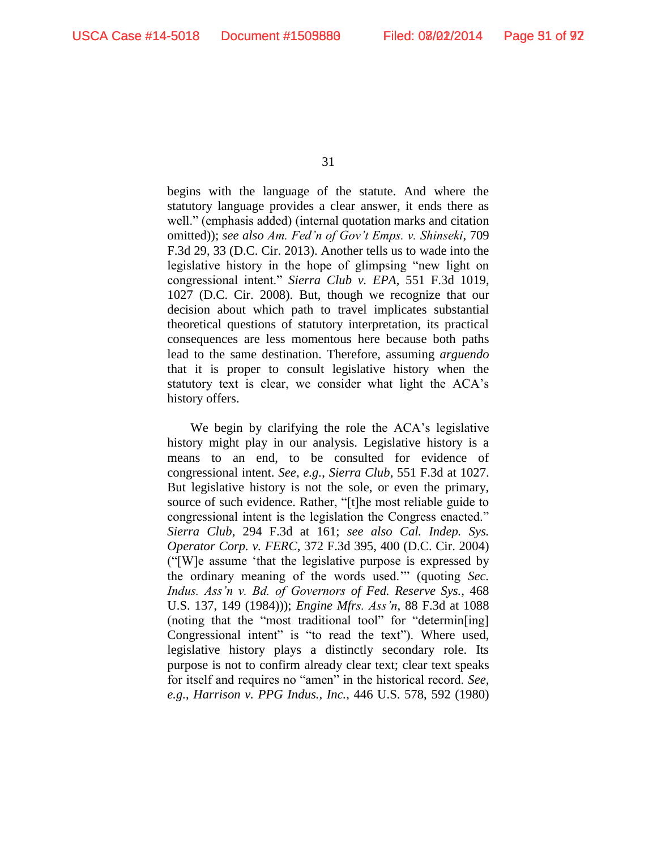begins with the language of the statute. And where the statutory language provides a clear answer, it ends there as well." (emphasis added) (internal quotation marks and citation omitted)); *see also Am. Fed'n of Gov't Emps. v. Shinseki*, 709 F.3d 29, 33 (D.C. Cir. 2013). Another tells us to wade into the legislative history in the hope of glimpsing "new light on congressional intent." *Sierra Club v. EPA*, 551 F.3d 1019, 1027 (D.C. Cir. 2008). But, though we recognize that our decision about which path to travel implicates substantial theoretical questions of statutory interpretation, its practical consequences are less momentous here because both paths lead to the same destination. Therefore, assuming *arguendo* that it is proper to consult legislative history when the statutory text is clear, we consider what light the ACA's history offers.

We begin by clarifying the role the ACA's legislative history might play in our analysis. Legislative history is a means to an end, to be consulted for evidence of congressional intent. *See, e.g.*, *Sierra Club*, 551 F.3d at 1027. But legislative history is not the sole, or even the primary, source of such evidence. Rather, "[t]he most reliable guide to congressional intent is the legislation the Congress enacted." *Sierra Club*, 294 F.3d at 161; *see also Cal. Indep. Sys. Operator Corp. v. FERC*, 372 F.3d 395, 400 (D.C. Cir. 2004) ("[W]e assume 'that the legislative purpose is expressed by the ordinary meaning of the words used.'" (quoting *Sec. Indus. Ass'n v. Bd. of Governors of Fed. Reserve Sys.*, 468 U.S. 137, 149 (1984))); *Engine Mfrs. Ass'n*, 88 F.3d at 1088 (noting that the "most traditional tool" for "determin[ing] Congressional intent" is "to read the text"). Where used, legislative history plays a distinctly secondary role. Its purpose is not to confirm already clear text; clear text speaks for itself and requires no "amen" in the historical record. *See, e.g.*, *Harrison v. PPG Indus., Inc.*, 446 U.S. 578, 592 (1980)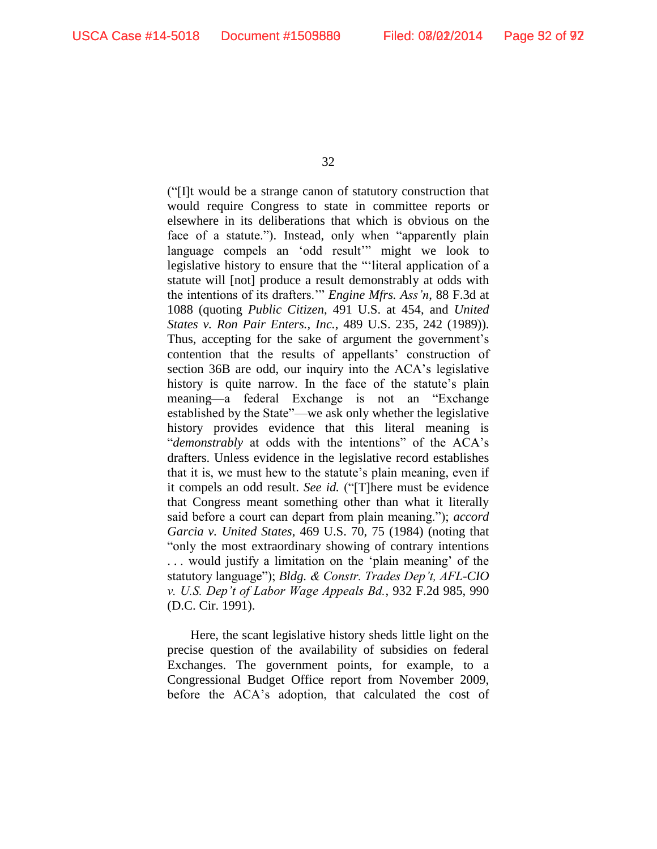("[I]t would be a strange canon of statutory construction that would require Congress to state in committee reports or elsewhere in its deliberations that which is obvious on the face of a statute."). Instead, only when "apparently plain language compels an 'odd result'" might we look to legislative history to ensure that the "'literal application of a statute will [not] produce a result demonstrably at odds with the intentions of its drafters.'" *Engine Mfrs. Ass'n*, 88 F.3d at 1088 (quoting *Public Citizen*, 491 U.S. at 454, and *United States v. Ron Pair Enters., Inc.*, 489 U.S. 235, 242 (1989)). Thus, accepting for the sake of argument the government's contention that the results of appellants' construction of section 36B are odd, our inquiry into the ACA's legislative history is quite narrow. In the face of the statute's plain meaning—a federal Exchange is not an "Exchange established by the State"—we ask only whether the legislative history provides evidence that this literal meaning is "*demonstrably* at odds with the intentions" of the ACA's drafters. Unless evidence in the legislative record establishes that it is, we must hew to the statute's plain meaning, even if it compels an odd result. *See id.* ("[T]here must be evidence that Congress meant something other than what it literally said before a court can depart from plain meaning."); *accord Garcia v. United States*, 469 U.S. 70, 75 (1984) (noting that "only the most extraordinary showing of contrary intentions . . . would justify a limitation on the 'plain meaning' of the statutory language"); *Bldg. & Constr. Trades Dep't, AFL-CIO v. U.S. Dep't of Labor Wage Appeals Bd.*, 932 F.2d 985, 990 (D.C. Cir. 1991).

Here, the scant legislative history sheds little light on the precise question of the availability of subsidies on federal Exchanges. The government points, for example, to a Congressional Budget Office report from November 2009, before the ACA's adoption, that calculated the cost of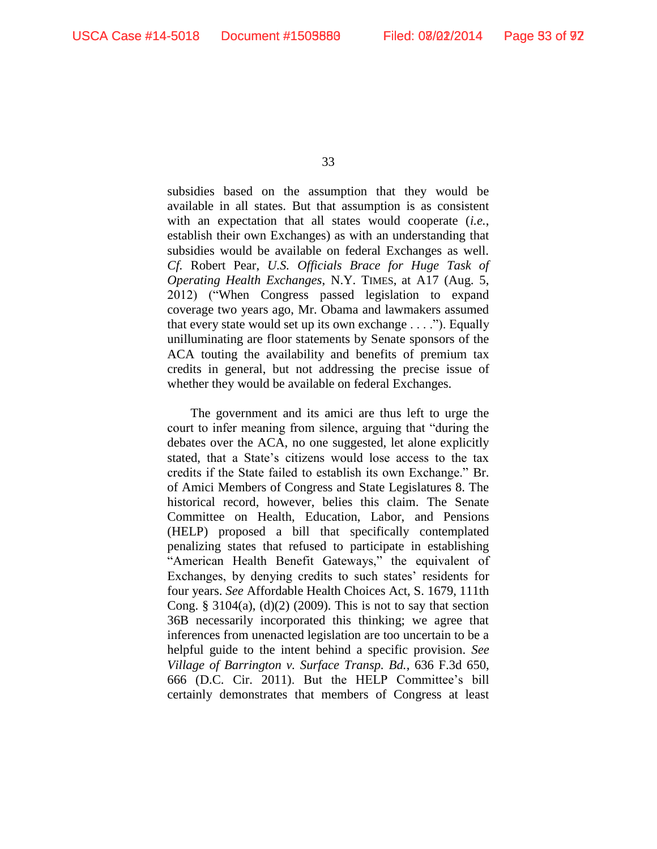subsidies based on the assumption that they would be available in all states. But that assumption is as consistent with an expectation that all states would cooperate (*i.e.*, establish their own Exchanges) as with an understanding that subsidies would be available on federal Exchanges as well. *Cf.* Robert Pear, *U.S. Officials Brace for Huge Task of Operating Health Exchanges*, N.Y. TIMES, at A17 (Aug. 5, 2012) ("When Congress passed legislation to expand coverage two years ago, Mr. Obama and lawmakers assumed that every state would set up its own exchange . . . ."). Equally unilluminating are floor statements by Senate sponsors of the ACA touting the availability and benefits of premium tax credits in general, but not addressing the precise issue of whether they would be available on federal Exchanges.

The government and its amici are thus left to urge the court to infer meaning from silence, arguing that "during the debates over the ACA, no one suggested, let alone explicitly stated, that a State's citizens would lose access to the tax credits if the State failed to establish its own Exchange." Br. of Amici Members of Congress and State Legislatures 8. The historical record, however, belies this claim. The Senate Committee on Health, Education, Labor, and Pensions (HELP) proposed a bill that specifically contemplated penalizing states that refused to participate in establishing "American Health Benefit Gateways," the equivalent of Exchanges, by denying credits to such states' residents for four years. *See* Affordable Health Choices Act, S. 1679, 111th Cong. § 3104(a),  $(d)(2)$  (2009). This is not to say that section 36B necessarily incorporated this thinking; we agree that inferences from unenacted legislation are too uncertain to be a helpful guide to the intent behind a specific provision. *See Village of Barrington v. Surface Transp. Bd.*, 636 F.3d 650, 666 (D.C. Cir. 2011). But the HELP Committee's bill certainly demonstrates that members of Congress at least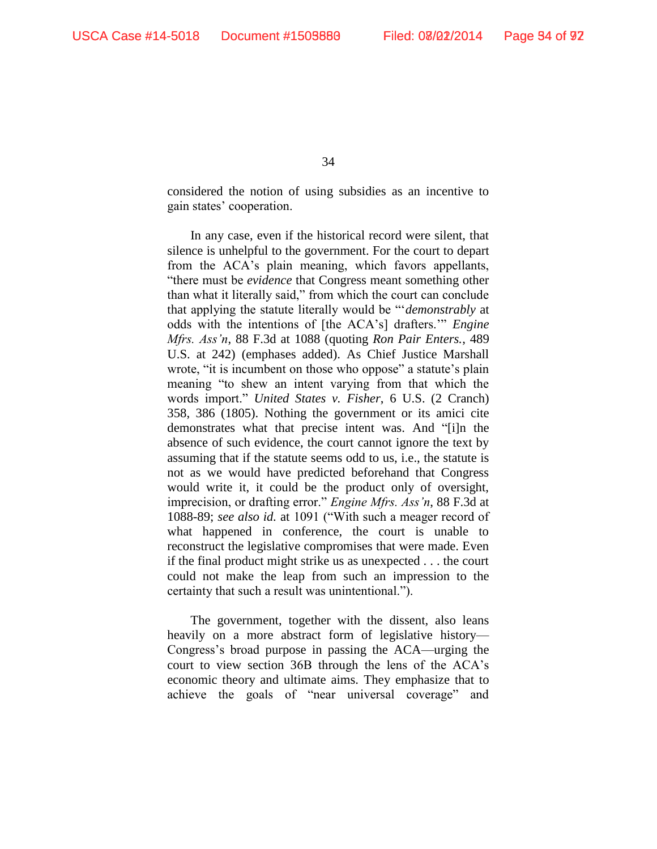considered the notion of using subsidies as an incentive to gain states' cooperation.

In any case, even if the historical record were silent, that silence is unhelpful to the government. For the court to depart from the ACA's plain meaning, which favors appellants, "there must be *evidence* that Congress meant something other than what it literally said," from which the court can conclude that applying the statute literally would be "'*demonstrably* at odds with the intentions of [the ACA's] drafters.'" *Engine Mfrs. Ass'n*, 88 F.3d at 1088 (quoting *Ron Pair Enters.*, 489 U.S. at 242) (emphases added). As Chief Justice Marshall wrote, "it is incumbent on those who oppose" a statute's plain meaning "to shew an intent varying from that which the words import." *United States v. Fisher*, 6 U.S. (2 Cranch) 358, 386 (1805). Nothing the government or its amici cite demonstrates what that precise intent was. And "[i]n the absence of such evidence, the court cannot ignore the text by assuming that if the statute seems odd to us, i.e., the statute is not as we would have predicted beforehand that Congress would write it, it could be the product only of oversight, imprecision, or drafting error." *Engine Mfrs. Ass'n*, 88 F.3d at 1088-89; *see also id.* at 1091 ("With such a meager record of what happened in conference, the court is unable to reconstruct the legislative compromises that were made. Even if the final product might strike us as unexpected . . . the court could not make the leap from such an impression to the certainty that such a result was unintentional.").

The government, together with the dissent, also leans heavily on a more abstract form of legislative history— Congress's broad purpose in passing the ACA—urging the court to view section 36B through the lens of the ACA's economic theory and ultimate aims. They emphasize that to achieve the goals of "near universal coverage" and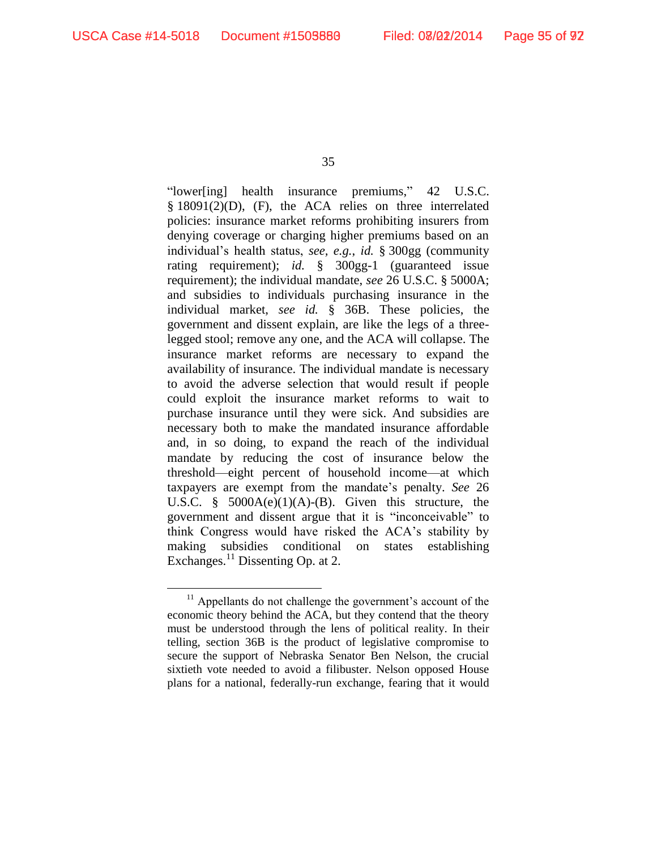35

"lower[ing] health insurance premiums," 42 U.S.C. § 18091(2)(D), (F), the ACA relies on three interrelated policies: insurance market reforms prohibiting insurers from denying coverage or charging higher premiums based on an individual's health status, *see, e.g.*, *id.* § 300gg (community rating requirement); *id.* § 300gg-1 (guaranteed issue requirement); the individual mandate, *see* 26 U.S.C. § 5000A; and subsidies to individuals purchasing insurance in the individual market, *see id.* § 36B. These policies, the government and dissent explain, are like the legs of a threelegged stool; remove any one, and the ACA will collapse. The insurance market reforms are necessary to expand the availability of insurance. The individual mandate is necessary to avoid the adverse selection that would result if people could exploit the insurance market reforms to wait to purchase insurance until they were sick. And subsidies are necessary both to make the mandated insurance affordable and, in so doing, to expand the reach of the individual mandate by reducing the cost of insurance below the threshold—eight percent of household income—at which taxpayers are exempt from the mandate's penalty. *See* 26 U.S.C. §  $5000A(e)(1)(A)-(B)$ . Given this structure, the government and dissent argue that it is "inconceivable" to think Congress would have risked the ACA's stability by making subsidies conditional on states establishing Exchanges.<sup>11</sup> Dissenting Op. at 2.

 $11$  Appellants do not challenge the government's account of the economic theory behind the ACA, but they contend that the theory must be understood through the lens of political reality. In their telling, section 36B is the product of legislative compromise to secure the support of Nebraska Senator Ben Nelson, the crucial sixtieth vote needed to avoid a filibuster. Nelson opposed House plans for a national, federally-run exchange, fearing that it would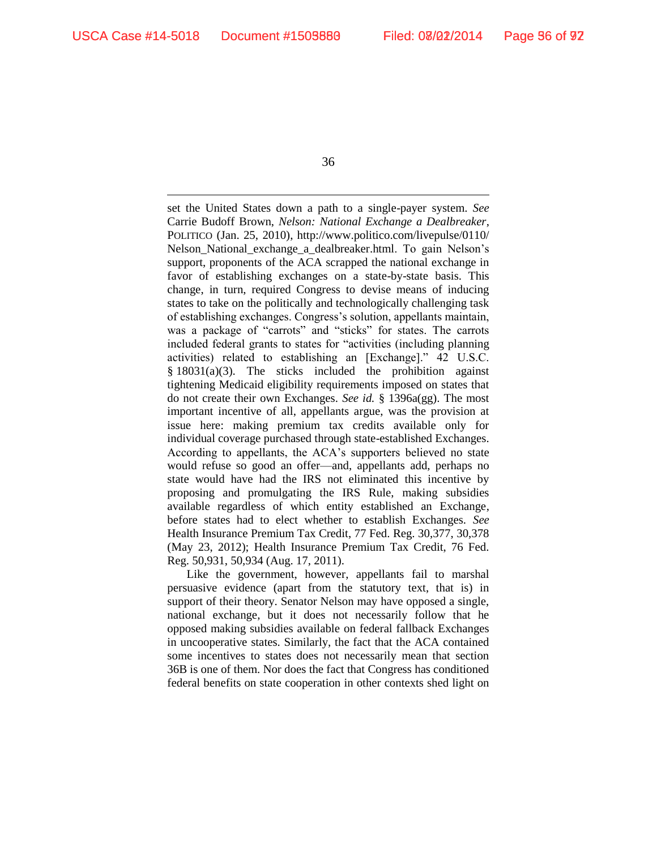36

set the United States down a path to a single-payer system. *See*  Carrie Budoff Brown, *Nelson: National Exchange a Dealbreaker*, POLITICO (Jan. 25, 2010), http://www.politico.com/livepulse/0110/ Nelson\_National\_exchange\_a\_dealbreaker.html. To gain Nelson's support, proponents of the ACA scrapped the national exchange in favor of establishing exchanges on a state-by-state basis. This change, in turn, required Congress to devise means of inducing states to take on the politically and technologically challenging task of establishing exchanges. Congress's solution, appellants maintain, was a package of "carrots" and "sticks" for states. The carrots included federal grants to states for "activities (including planning activities) related to establishing an [Exchange]." 42 U.S.C. § 18031(a)(3). The sticks included the prohibition against tightening Medicaid eligibility requirements imposed on states that do not create their own Exchanges. *See id.* § 1396a(gg). The most important incentive of all, appellants argue, was the provision at issue here: making premium tax credits available only for individual coverage purchased through state-established Exchanges. According to appellants, the ACA's supporters believed no state would refuse so good an offer—and, appellants add, perhaps no state would have had the IRS not eliminated this incentive by proposing and promulgating the IRS Rule, making subsidies available regardless of which entity established an Exchange, before states had to elect whether to establish Exchanges. *See*  Health Insurance Premium Tax Credit, 77 Fed. Reg. 30,377, 30,378 (May 23, 2012); Health Insurance Premium Tax Credit, 76 Fed. Reg. 50,931, 50,934 (Aug. 17, 2011).

Like the government, however, appellants fail to marshal persuasive evidence (apart from the statutory text, that is) in support of their theory. Senator Nelson may have opposed a single, national exchange, but it does not necessarily follow that he opposed making subsidies available on federal fallback Exchanges in uncooperative states. Similarly, the fact that the ACA contained some incentives to states does not necessarily mean that section 36B is one of them. Nor does the fact that Congress has conditioned federal benefits on state cooperation in other contexts shed light on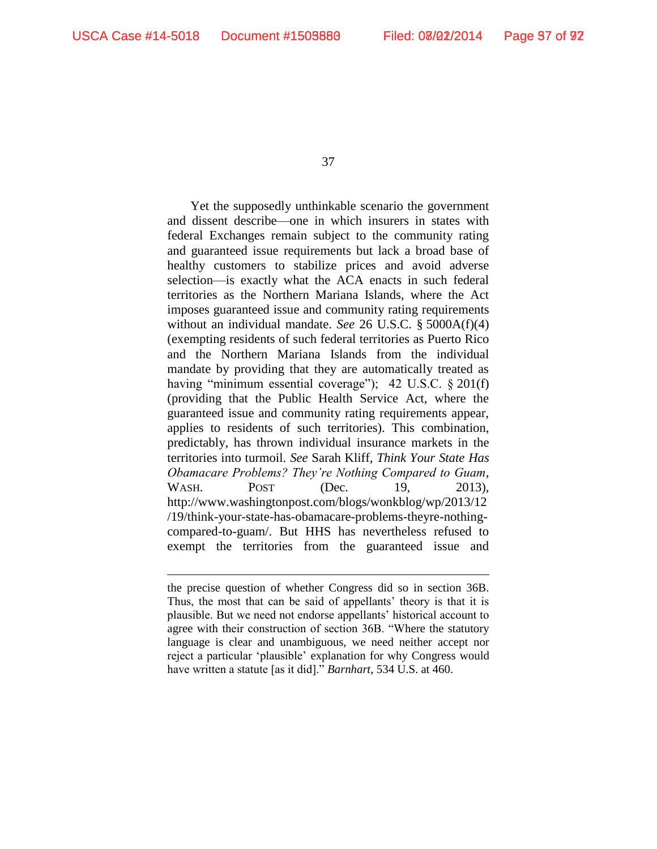37

Yet the supposedly unthinkable scenario the government and dissent describe—one in which insurers in states with federal Exchanges remain subject to the community rating and guaranteed issue requirements but lack a broad base of healthy customers to stabilize prices and avoid adverse selection—is exactly what the ACA enacts in such federal territories as the Northern Mariana Islands, where the Act imposes guaranteed issue and community rating requirements without an individual mandate. *See* 26 U.S.C. § 5000A(f)(4) (exempting residents of such federal territories as Puerto Rico and the Northern Mariana Islands from the individual mandate by providing that they are automatically treated as having "minimum essential coverage"); 42 U.S.C. § 201(f) (providing that the Public Health Service Act, where the guaranteed issue and community rating requirements appear, applies to residents of such territories). This combination, predictably, has thrown individual insurance markets in the territories into turmoil. *See* Sarah Kliff, *Think Your State Has Obamacare Problems? They're Nothing Compared to Guam*, WASH. POST (Dec. 19, 2013), http://www.washingtonpost.com/blogs/wonkblog/wp/2013/12 /19/think-your-state-has-obamacare-problems-theyre-nothingcompared-to-guam/. But HHS has nevertheless refused to exempt the territories from the guaranteed issue and

the precise question of whether Congress did so in section 36B. Thus, the most that can be said of appellants' theory is that it is plausible. But we need not endorse appellants' historical account to agree with their construction of section 36B. "Where the statutory language is clear and unambiguous, we need neither accept nor reject a particular 'plausible' explanation for why Congress would have written a statute [as it did]." *Barnhart*, 534 U.S. at 460.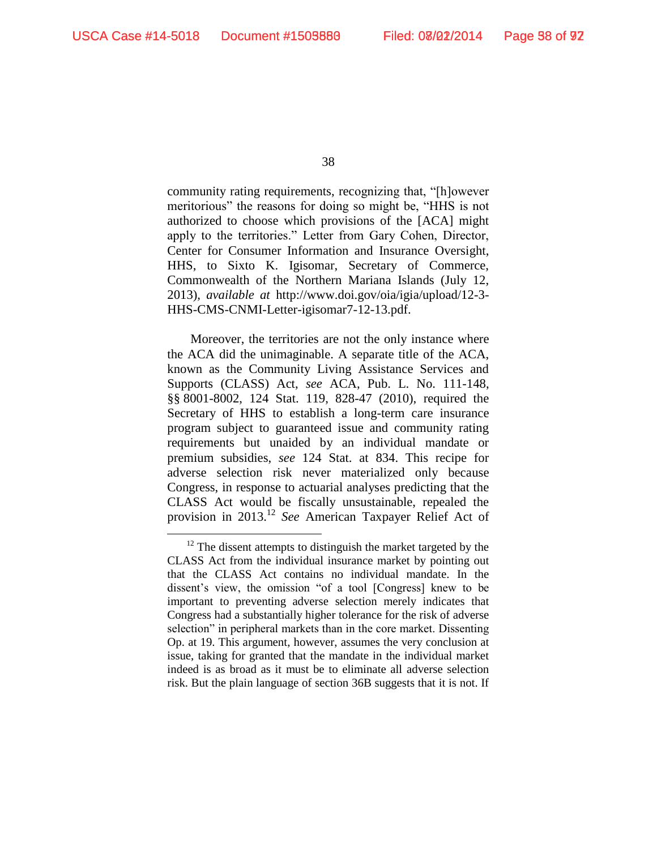38

community rating requirements, recognizing that, "[h]owever meritorious" the reasons for doing so might be, "HHS is not authorized to choose which provisions of the [ACA] might apply to the territories." Letter from Gary Cohen, Director, Center for Consumer Information and Insurance Oversight, HHS, to Sixto K. Igisomar, Secretary of Commerce, Commonwealth of the Northern Mariana Islands (July 12, 2013), *available at* http://www.doi.gov/oia/igia/upload/12-3- HHS-CMS-CNMI-Letter-igisomar7-12-13.pdf.

Moreover, the territories are not the only instance where the ACA did the unimaginable. A separate title of the ACA, known as the Community Living Assistance Services and Supports (CLASS) Act, *see* ACA, Pub. L. No. 111-148, §§ 8001-8002, 124 Stat. 119, 828-47 (2010), required the Secretary of HHS to establish a long-term care insurance program subject to guaranteed issue and community rating requirements but unaided by an individual mandate or premium subsidies, *see* 124 Stat. at 834. This recipe for adverse selection risk never materialized only because Congress, in response to actuarial analyses predicting that the CLASS Act would be fiscally unsustainable, repealed the provision in 2013.<sup>12</sup> *See* American Taxpayer Relief Act of

 $12$  The dissent attempts to distinguish the market targeted by the CLASS Act from the individual insurance market by pointing out that the CLASS Act contains no individual mandate. In the dissent's view, the omission "of a tool [Congress] knew to be important to preventing adverse selection merely indicates that Congress had a substantially higher tolerance for the risk of adverse selection" in peripheral markets than in the core market. Dissenting Op. at 19. This argument, however, assumes the very conclusion at issue, taking for granted that the mandate in the individual market indeed is as broad as it must be to eliminate all adverse selection risk. But the plain language of section 36B suggests that it is not. If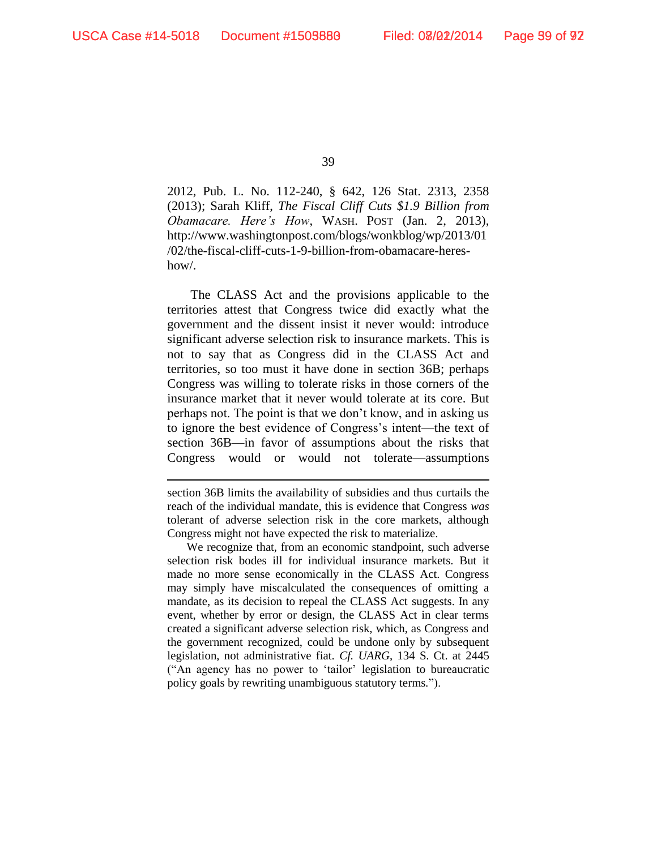39

2012, Pub. L. No. 112-240, § 642, 126 Stat. 2313, 2358 (2013); Sarah Kliff, *The Fiscal Cliff Cuts \$1.9 Billion from Obamacare. Here's How*, WASH. POST (Jan. 2, 2013), http://www.washingtonpost.com/blogs/wonkblog/wp/2013/01 /02/the-fiscal-cliff-cuts-1-9-billion-from-obamacare-hereshow/.

The CLASS Act and the provisions applicable to the territories attest that Congress twice did exactly what the government and the dissent insist it never would: introduce significant adverse selection risk to insurance markets. This is not to say that as Congress did in the CLASS Act and territories, so too must it have done in section 36B; perhaps Congress was willing to tolerate risks in those corners of the insurance market that it never would tolerate at its core. But perhaps not. The point is that we don't know, and in asking us to ignore the best evidence of Congress's intent—the text of section 36B—in favor of assumptions about the risks that Congress would or would not tolerate—assumptions

We recognize that, from an economic standpoint, such adverse selection risk bodes ill for individual insurance markets. But it made no more sense economically in the CLASS Act. Congress may simply have miscalculated the consequences of omitting a mandate, as its decision to repeal the CLASS Act suggests. In any event, whether by error or design, the CLASS Act in clear terms created a significant adverse selection risk, which, as Congress and the government recognized, could be undone only by subsequent legislation, not administrative fiat. *Cf. UARG*, 134 S. Ct. at 2445 ("An agency has no power to 'tailor' legislation to bureaucratic policy goals by rewriting unambiguous statutory terms.").

section 36B limits the availability of subsidies and thus curtails the reach of the individual mandate, this is evidence that Congress *was*  tolerant of adverse selection risk in the core markets, although Congress might not have expected the risk to materialize.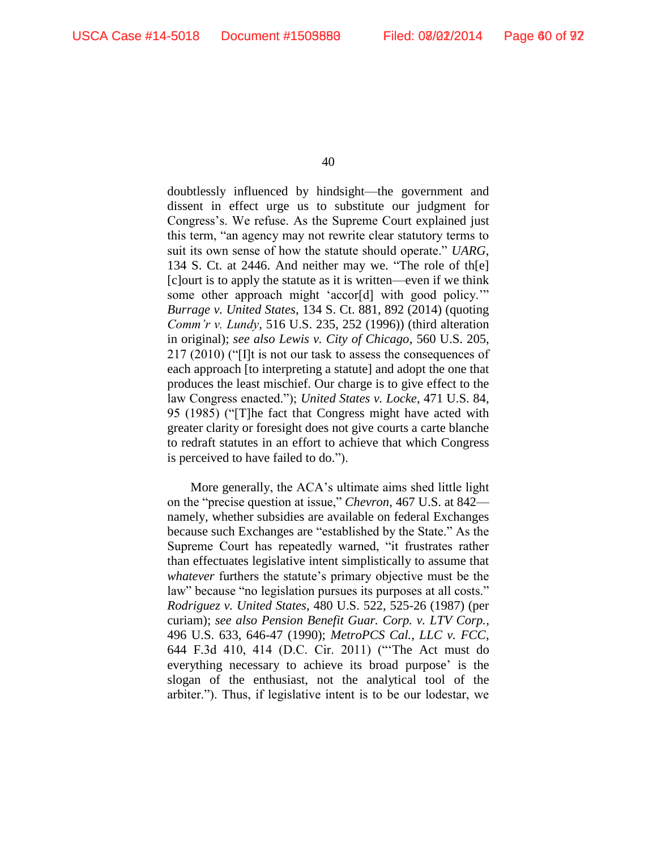doubtlessly influenced by hindsight—the government and dissent in effect urge us to substitute our judgment for Congress's. We refuse. As the Supreme Court explained just this term, "an agency may not rewrite clear statutory terms to suit its own sense of how the statute should operate." *UARG*, 134 S. Ct. at 2446. And neither may we. "The role of th[e] [c]ourt is to apply the statute as it is written—even if we think some other approach might 'accor[d] with good policy.'" *Burrage v. United States*, 134 S. Ct. 881, 892 (2014) (quoting *Comm'r v. Lundy*, 516 U.S. 235, 252 (1996)) (third alteration in original); *see also Lewis v. City of Chicago*, 560 U.S. 205, 217 (2010) ("[I]t is not our task to assess the consequences of each approach [to interpreting a statute] and adopt the one that produces the least mischief. Our charge is to give effect to the law Congress enacted."); *United States v. Locke*, 471 U.S. 84, 95 (1985) ("[T]he fact that Congress might have acted with greater clarity or foresight does not give courts a carte blanche to redraft statutes in an effort to achieve that which Congress is perceived to have failed to do.").

More generally, the ACA's ultimate aims shed little light on the "precise question at issue," *Chevron*, 467 U.S. at 842 namely, whether subsidies are available on federal Exchanges because such Exchanges are "established by the State." As the Supreme Court has repeatedly warned, "it frustrates rather than effectuates legislative intent simplistically to assume that *whatever* furthers the statute's primary objective must be the law" because "no legislation pursues its purposes at all costs." *Rodriguez v. United States*, 480 U.S. 522, 525-26 (1987) (per curiam); *see also Pension Benefit Guar. Corp. v. LTV Corp.*, 496 U.S. 633, 646-47 (1990); *MetroPCS Cal., LLC v. FCC*, 644 F.3d 410, 414 (D.C. Cir. 2011) ("'The Act must do everything necessary to achieve its broad purpose' is the slogan of the enthusiast, not the analytical tool of the arbiter."). Thus, if legislative intent is to be our lodestar, we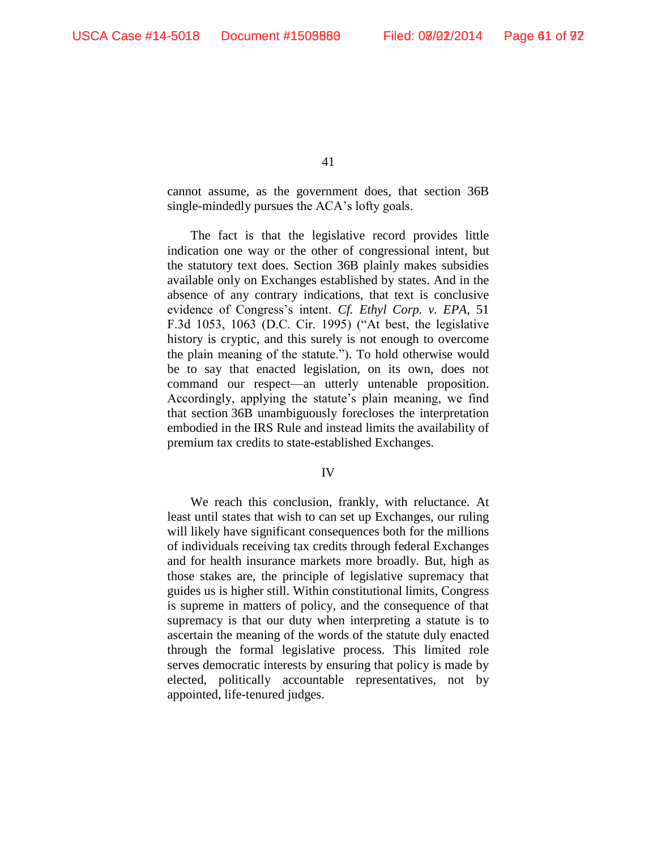cannot assume, as the government does, that section 36B single-mindedly pursues the ACA's lofty goals.

The fact is that the legislative record provides little indication one way or the other of congressional intent, but the statutory text does. Section 36B plainly makes subsidies available only on Exchanges established by states. And in the absence of any contrary indications, that text is conclusive evidence of Congress's intent. *Cf. Ethyl Corp. v. EPA*, 51 F.3d 1053, 1063 (D.C. Cir. 1995) ("At best, the legislative history is cryptic, and this surely is not enough to overcome the plain meaning of the statute."). To hold otherwise would be to say that enacted legislation, on its own, does not command our respect—an utterly untenable proposition. Accordingly, applying the statute's plain meaning, we find that section 36B unambiguously forecloses the interpretation embodied in the IRS Rule and instead limits the availability of premium tax credits to state-established Exchanges.

#### IV

We reach this conclusion, frankly, with reluctance. At least until states that wish to can set up Exchanges, our ruling will likely have significant consequences both for the millions of individuals receiving tax credits through federal Exchanges and for health insurance markets more broadly. But, high as those stakes are, the principle of legislative supremacy that guides us is higher still. Within constitutional limits, Congress is supreme in matters of policy, and the consequence of that supremacy is that our duty when interpreting a statute is to ascertain the meaning of the words of the statute duly enacted through the formal legislative process. This limited role serves democratic interests by ensuring that policy is made by elected, politically accountable representatives, not by appointed, life-tenured judges.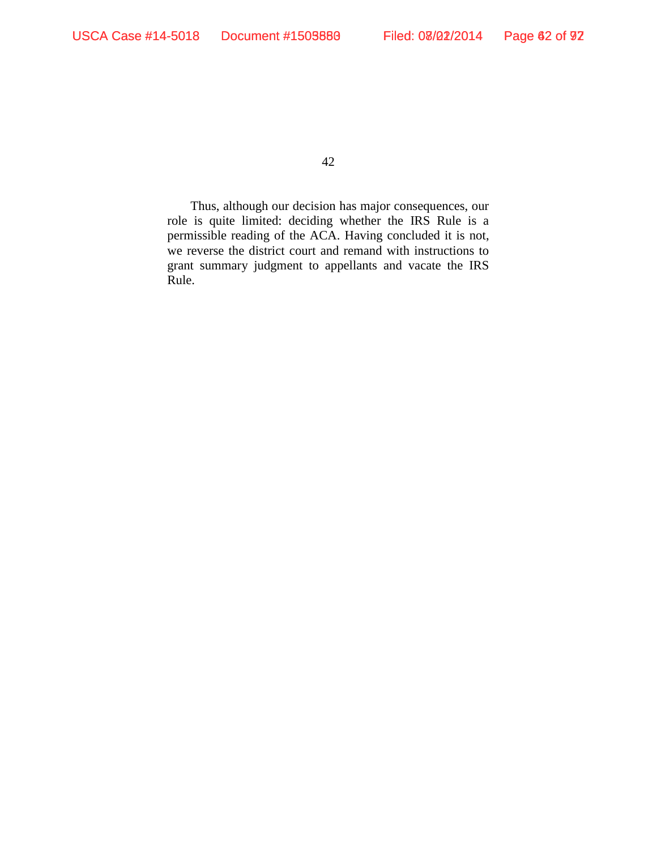Thus, although our decision has major consequences, our role is quite limited: deciding whether the IRS Rule is a permissible reading of the ACA. Having concluded it is not, we reverse the district court and remand with instructions to grant summary judgment to appellants and vacate the IRS Rule.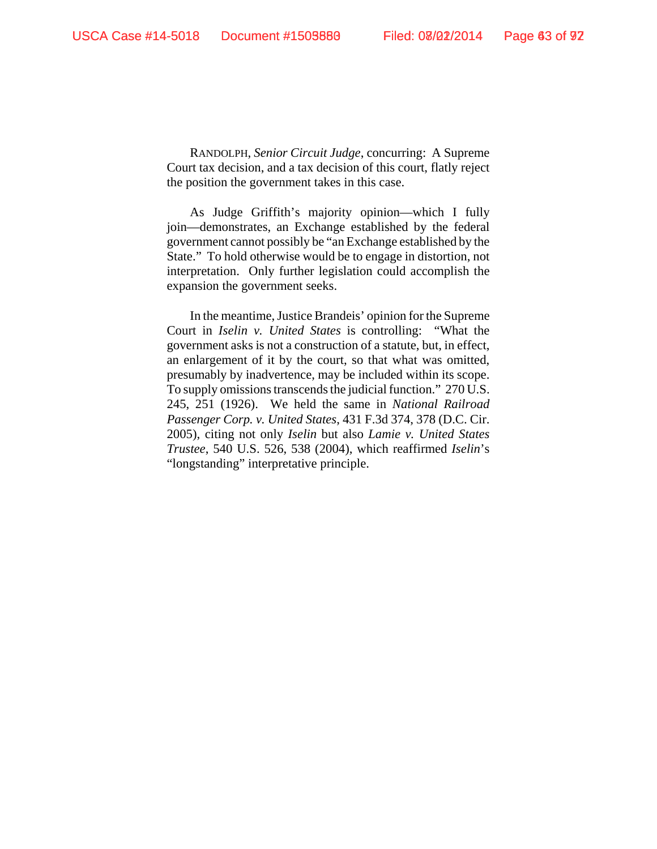RANDOLPH, *Senior Circuit Judge*, concurring: A Supreme Court tax decision, and a tax decision of this court, flatly reject the position the government takes in this case.

As Judge Griffith's majority opinion—which I fully join—demonstrates, an Exchange established by the federal government cannot possibly be "an Exchange established by the State." To hold otherwise would be to engage in distortion, not interpretation. Only further legislation could accomplish the expansion the government seeks.

In the meantime, Justice Brandeis' opinion for the Supreme Court in *Iselin v. United States* is controlling: "What the government asks is not a construction of a statute, but, in effect, an enlargement of it by the court, so that what was omitted, presumably by inadvertence, may be included within its scope. To supply omissions transcends the judicial function." 270 U.S. 245, 251 (1926). We held the same in *National Railroad Passenger Corp. v. United States*, 431 F.3d 374, 378 (D.C. Cir. 2005), citing not only *Iselin* but also *Lamie v. United States Trustee*, 540 U.S. 526, 538 (2004), which reaffirmed *Iselin*'s "longstanding" interpretative principle.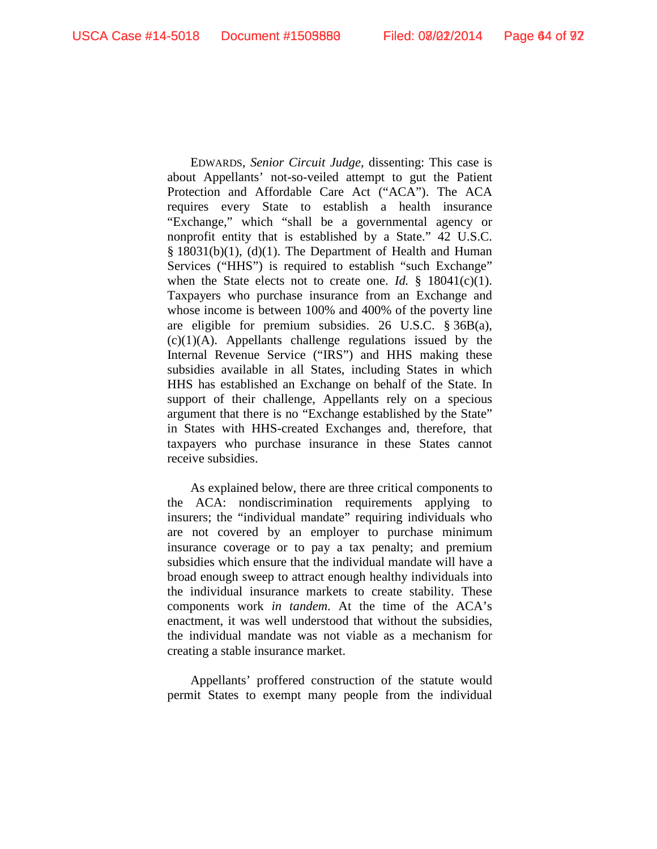EDWARDS, *Senior Circuit Judge*, dissenting: This case is about Appellants' not-so-veiled attempt to gut the Patient Protection and Affordable Care Act ("ACA"). The ACA requires every State to establish a health insurance "Exchange," which "shall be a governmental agency or nonprofit entity that is established by a State." 42 U.S.C.  $§$  18031(b)(1), (d)(1). The Department of Health and Human Services ("HHS") is required to establish "such Exchange" when the State elects not to create one. *Id.* § 18041(c)(1). Taxpayers who purchase insurance from an Exchange and whose income is between 100% and 400% of the poverty line are eligible for premium subsidies. 26 U.S.C. § 36B(a),  $(c)(1)(A)$ . Appellants challenge regulations issued by the Internal Revenue Service ("IRS") and HHS making these subsidies available in all States, including States in which HHS has established an Exchange on behalf of the State. In support of their challenge, Appellants rely on a specious argument that there is no "Exchange established by the State" in States with HHS-created Exchanges and, therefore, that taxpayers who purchase insurance in these States cannot receive subsidies.

As explained below, there are three critical components to the ACA: nondiscrimination requirements applying to insurers; the "individual mandate" requiring individuals who are not covered by an employer to purchase minimum insurance coverage or to pay a tax penalty; and premium subsidies which ensure that the individual mandate will have a broad enough sweep to attract enough healthy individuals into the individual insurance markets to create stability. These components work *in tandem*. At the time of the ACA's enactment, it was well understood that without the subsidies, the individual mandate was not viable as a mechanism for creating a stable insurance market.

Appellants' proffered construction of the statute would permit States to exempt many people from the individual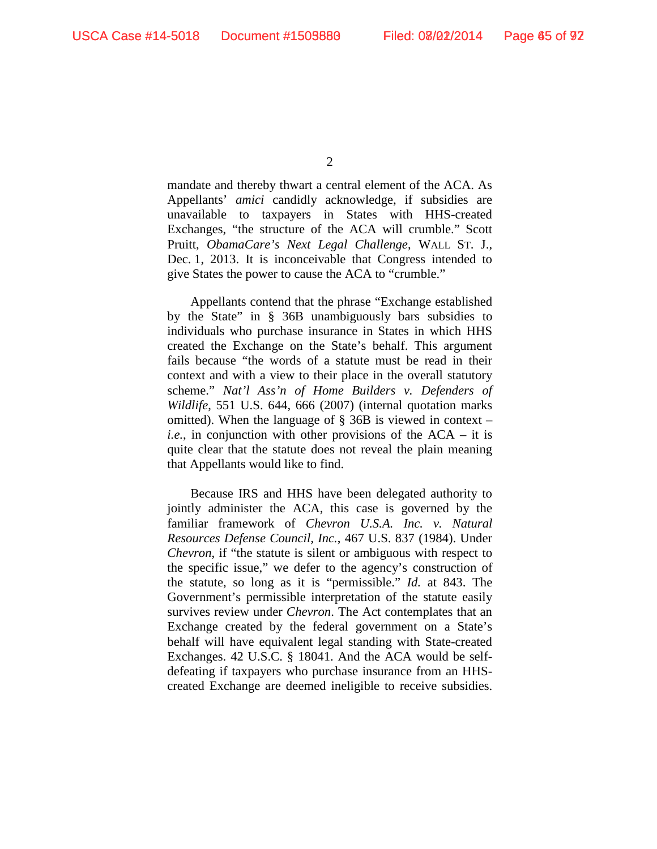mandate and thereby thwart a central element of the ACA. As Appellants' *amici* candidly acknowledge, if subsidies are unavailable to taxpayers in States with HHS-created Exchanges, "the structure of the ACA will crumble." Scott Pruitt, *ObamaCare's Next Legal Challenge*, WALL ST. J., Dec. 1, 2013. It is inconceivable that Congress intended to give States the power to cause the ACA to "crumble."

Appellants contend that the phrase "Exchange established by the State" in § 36B unambiguously bars subsidies to individuals who purchase insurance in States in which HHS created the Exchange on the State's behalf. This argument fails because "the words of a statute must be read in their context and with a view to their place in the overall statutory scheme." *Nat'l Ass'n of Home Builders v. Defenders of Wildlife*, 551 U.S. 644, 666 (2007) (internal quotation marks omitted). When the language of  $\S$  36B is viewed in context – *i.e.*, in conjunction with other provisions of the ACA – it is quite clear that the statute does not reveal the plain meaning that Appellants would like to find.

Because IRS and HHS have been delegated authority to jointly administer the ACA, this case is governed by the familiar framework of *Chevron U.S.A. Inc. v. Natural Resources Defense Council, Inc.*, 467 U.S. 837 (1984). Under *Chevron*, if "the statute is silent or ambiguous with respect to the specific issue," we defer to the agency's construction of the statute, so long as it is "permissible." *Id.* at 843. The Government's permissible interpretation of the statute easily survives review under *Chevron*. The Act contemplates that an Exchange created by the federal government on a State's behalf will have equivalent legal standing with State-created Exchanges. 42 U.S.C. § 18041. And the ACA would be selfdefeating if taxpayers who purchase insurance from an HHScreated Exchange are deemed ineligible to receive subsidies.

 $\mathfrak{D}$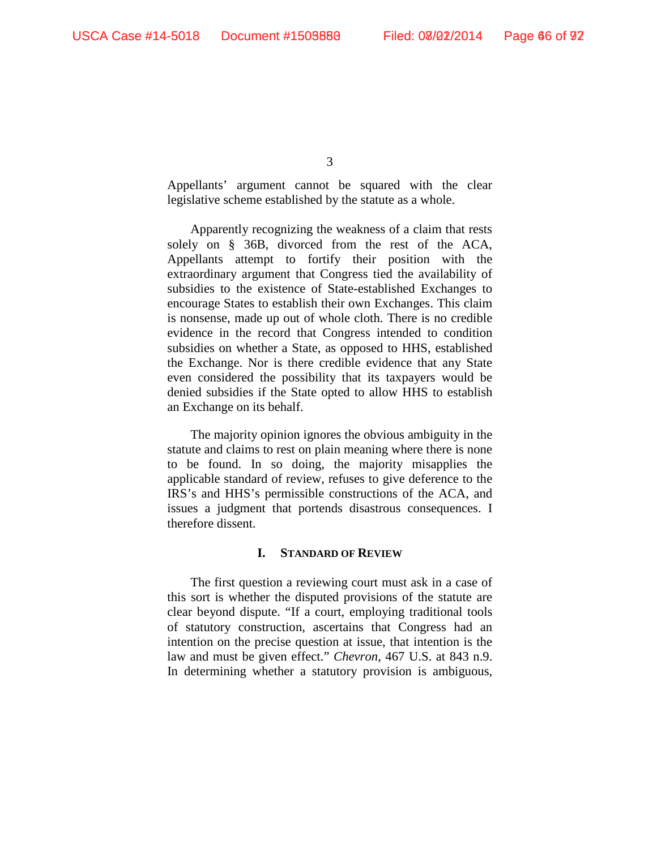Appellants' argument cannot be squared with the clear legislative scheme established by the statute as a whole.

Apparently recognizing the weakness of a claim that rests solely on § 36B, divorced from the rest of the ACA, Appellants attempt to fortify their position with the extraordinary argument that Congress tied the availability of subsidies to the existence of State-established Exchanges to encourage States to establish their own Exchanges. This claim is nonsense, made up out of whole cloth. There is no credible evidence in the record that Congress intended to condition subsidies on whether a State, as opposed to HHS, established the Exchange. Nor is there credible evidence that any State even considered the possibility that its taxpayers would be denied subsidies if the State opted to allow HHS to establish an Exchange on its behalf.

The majority opinion ignores the obvious ambiguity in the statute and claims to rest on plain meaning where there is none to be found. In so doing, the majority misapplies the applicable standard of review, refuses to give deference to the IRS's and HHS's permissible constructions of the ACA, and issues a judgment that portends disastrous consequences. I therefore dissent.

### **I. STANDARD OF REVIEW**

The first question a reviewing court must ask in a case of this sort is whether the disputed provisions of the statute are clear beyond dispute. "If a court, employing traditional tools of statutory construction, ascertains that Congress had an intention on the precise question at issue, that intention is the law and must be given effect." *Chevron*, 467 U.S. at 843 n.9. In determining whether a statutory provision is ambiguous,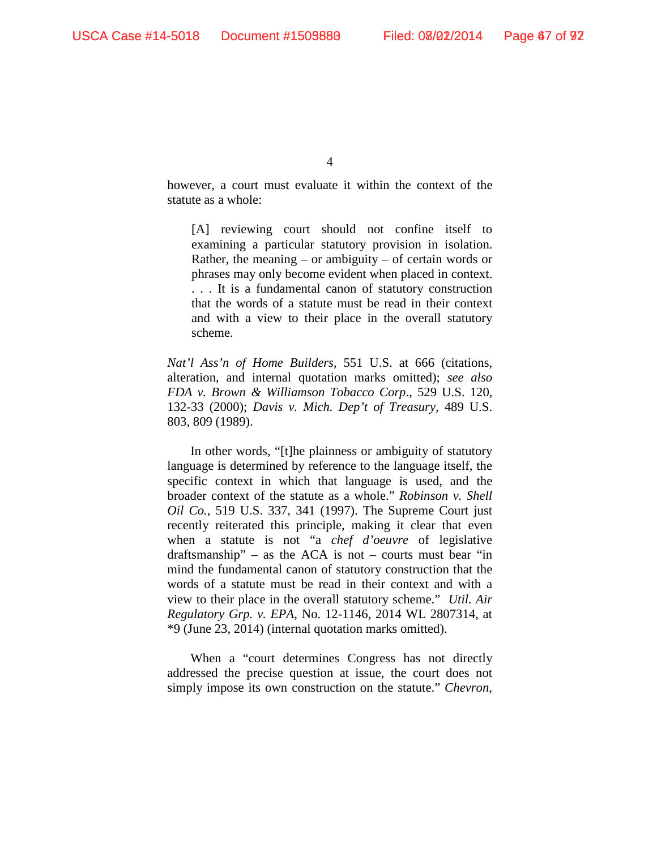however, a court must evaluate it within the context of the statute as a whole:

[A] reviewing court should not confine itself to examining a particular statutory provision in isolation. Rather, the meaning  $-$  or ambiguity  $-$  of certain words or phrases may only become evident when placed in context. . . . It is a fundamental canon of statutory construction that the words of a statute must be read in their context and with a view to their place in the overall statutory scheme.

*Nat'l Ass'n of Home Builders*, 551 U.S. at 666 (citations, alteration, and internal quotation marks omitted); *see also FDA v. Brown & Williamson Tobacco Corp*., 529 U.S. 120, 132-33 (2000); *Davis v. Mich. Dep't of Treasury,* 489 U.S. 803, 809 (1989).

In other words, "[t]he plainness or ambiguity of statutory language is determined by reference to the language itself, the specific context in which that language is used, and the broader context of the statute as a whole." *Robinson v. Shell Oil Co.*, 519 U.S. 337, 341 (1997). The Supreme Court just recently reiterated this principle, making it clear that even when a statute is not "a *chef d'oeuvre* of legislative draftsmanship" – as the ACA is not – courts must bear "in mind the fundamental canon of statutory construction that the words of a statute must be read in their context and with a view to their place in the overall statutory scheme." *Util. Air Regulatory Grp. v. EPA*, No. 12-1146, 2014 WL 2807314, at \*9 (June 23, 2014) (internal quotation marks omitted).

When a "court determines Congress has not directly addressed the precise question at issue, the court does not simply impose its own construction on the statute." *Chevron*,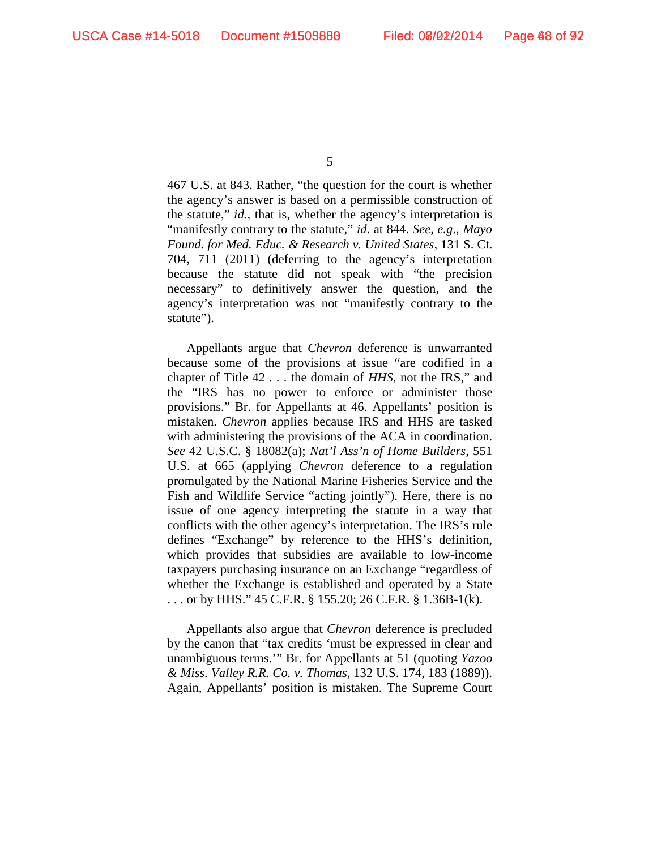467 U.S. at 843. Rather, "the question for the court is whether the agency's answer is based on a permissible construction of the statute," *id.,* that is, whether the agency's interpretation is "manifestly contrary to the statute," *id*. at 844. *See, e.g*., *Mayo Found. for Med. Educ. & Research v. United States*, 131 S. Ct. 704, 711 (2011) (deferring to the agency's interpretation because the statute did not speak with "the precision necessary" to definitively answer the question, and the agency's interpretation was not "manifestly contrary to the statute").

Appellants argue that *Chevron* deference is unwarranted because some of the provisions at issue "are codified in a chapter of Title 42 . . . the domain of *HHS*, not the IRS," and the "IRS has no power to enforce or administer those provisions." Br. for Appellants at 46. Appellants' position is mistaken. *Chevron* applies because IRS and HHS are tasked with administering the provisions of the ACA in coordination. *See* 42 U.S.C. § 18082(a); *Nat'l Ass'n of Home Builders*, 551 U.S. at 665 (applying *Chevron* deference to a regulation promulgated by the National Marine Fisheries Service and the Fish and Wildlife Service "acting jointly"). Here, there is no issue of one agency interpreting the statute in a way that conflicts with the other agency's interpretation. The IRS's rule defines "Exchange" by reference to the HHS's definition, which provides that subsidies are available to low-income taxpayers purchasing insurance on an Exchange "regardless of whether the Exchange is established and operated by a State . . . or by HHS." 45 C.F.R. § 155.20; 26 C.F.R. § 1.36B-1(k).

Appellants also argue that *Chevron* deference is precluded by the canon that "tax credits 'must be expressed in clear and unambiguous terms.'" Br. for Appellants at 51 (quoting *Yazoo & Miss. Valley R.R. Co. v. Thomas*, 132 U.S. 174, 183 (1889)). Again, Appellants' position is mistaken. The Supreme Court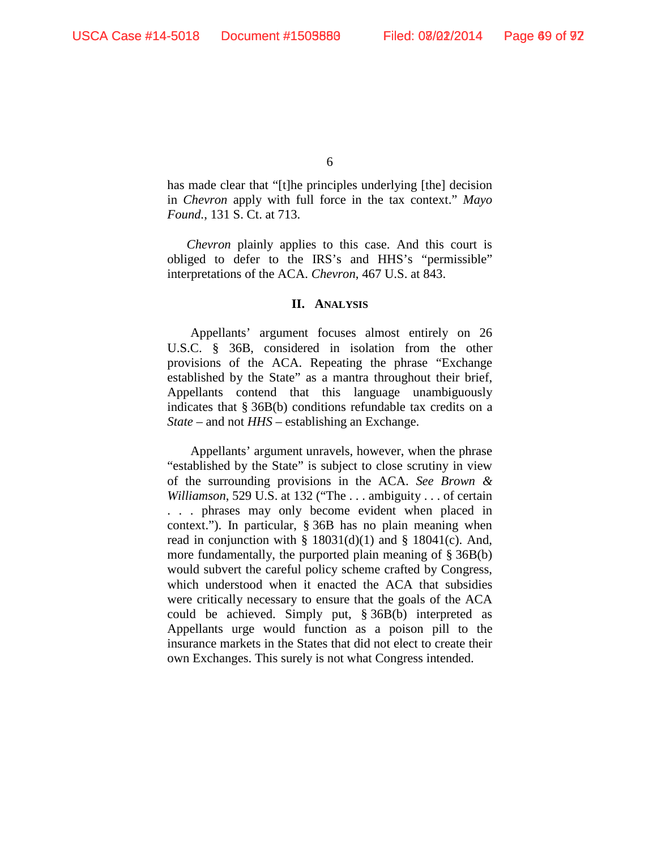has made clear that "[t]he principles underlying [the] decision in *Chevron* apply with full force in the tax context." *Mayo Found.*, 131 S. Ct. at 713.

*Chevron* plainly applies to this case. And this court is obliged to defer to the IRS's and HHS's "permissible" interpretations of the ACA. *Chevron*, 467 U.S. at 843.

### **II. ANALYSIS**

Appellants' argument focuses almost entirely on 26 U.S.C. § 36B, considered in isolation from the other provisions of the ACA. Repeating the phrase "Exchange established by the State" as a mantra throughout their brief, Appellants contend that this language unambiguously indicates that § 36B(b) conditions refundable tax credits on a *State* – and not *HHS* – establishing an Exchange.

Appellants' argument unravels, however, when the phrase "established by the State" is subject to close scrutiny in view of the surrounding provisions in the ACA. *See Brown & Williamson*, 529 U.S. at 132 ("The . . . ambiguity . . . of certain . . . phrases may only become evident when placed in context."). In particular, § 36B has no plain meaning when read in conjunction with  $\S$  18031(d)(1) and  $\S$  18041(c). And, more fundamentally, the purported plain meaning of § 36B(b) would subvert the careful policy scheme crafted by Congress, which understood when it enacted the ACA that subsidies were critically necessary to ensure that the goals of the ACA could be achieved. Simply put, § 36B(b) interpreted as Appellants urge would function as a poison pill to the insurance markets in the States that did not elect to create their own Exchanges. This surely is not what Congress intended.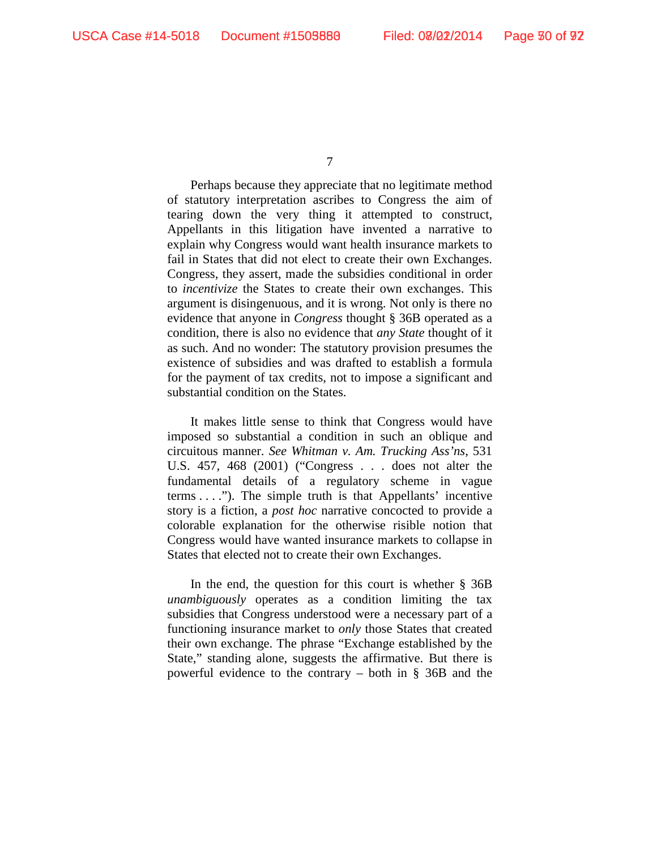Perhaps because they appreciate that no legitimate method of statutory interpretation ascribes to Congress the aim of tearing down the very thing it attempted to construct, Appellants in this litigation have invented a narrative to explain why Congress would want health insurance markets to fail in States that did not elect to create their own Exchanges. Congress, they assert, made the subsidies conditional in order to *incentivize* the States to create their own exchanges. This argument is disingenuous, and it is wrong. Not only is there no evidence that anyone in *Congress* thought § 36B operated as a condition, there is also no evidence that *any State* thought of it as such. And no wonder: The statutory provision presumes the existence of subsidies and was drafted to establish a formula for the payment of tax credits, not to impose a significant and substantial condition on the States.

It makes little sense to think that Congress would have imposed so substantial a condition in such an oblique and circuitous manner. *See Whitman v. Am. Trucking Ass'ns*, 531 U.S. 457, 468 (2001) ("Congress . . . does not alter the fundamental details of a regulatory scheme in vague terms . . . ."). The simple truth is that Appellants' incentive story is a fiction, a *post hoc* narrative concocted to provide a colorable explanation for the otherwise risible notion that Congress would have wanted insurance markets to collapse in States that elected not to create their own Exchanges.

In the end, the question for this court is whether § 36B *unambiguously* operates as a condition limiting the tax subsidies that Congress understood were a necessary part of a functioning insurance market to *only* those States that created their own exchange. The phrase "Exchange established by the State," standing alone, suggests the affirmative. But there is powerful evidence to the contrary – both in § 36B and the

<sup>7</sup>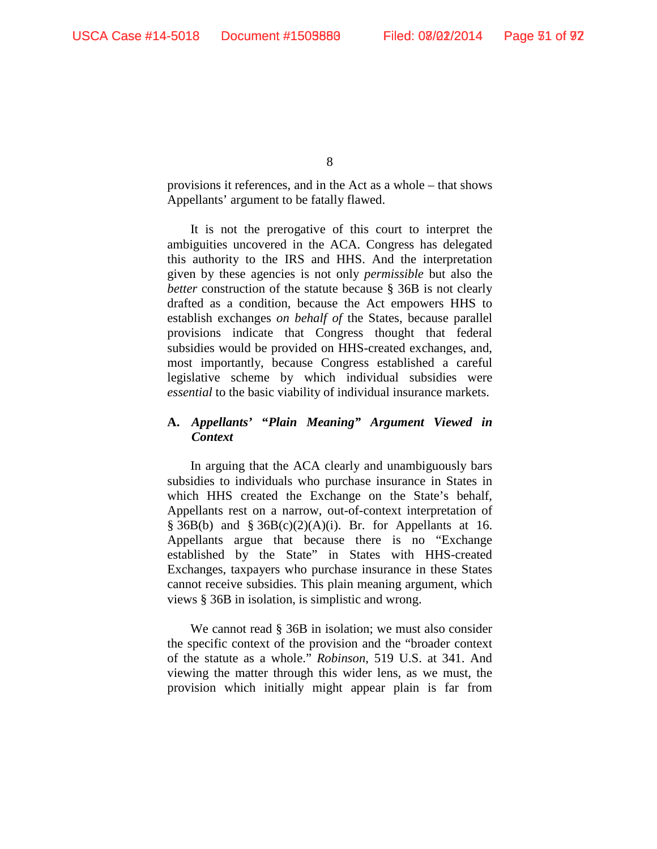provisions it references, and in the Act as a whole – that shows Appellants' argument to be fatally flawed.

It is not the prerogative of this court to interpret the ambiguities uncovered in the ACA. Congress has delegated this authority to the IRS and HHS. And the interpretation given by these agencies is not only *permissible* but also the *better* construction of the statute because § 36B is not clearly drafted as a condition, because the Act empowers HHS to establish exchanges *on behalf of* the States, because parallel provisions indicate that Congress thought that federal subsidies would be provided on HHS-created exchanges, and, most importantly, because Congress established a careful legislative scheme by which individual subsidies were *essential* to the basic viability of individual insurance markets.

# **A.** *Appellants'* **"***Plain Meaning" Argument Viewed in Context*

In arguing that the ACA clearly and unambiguously bars subsidies to individuals who purchase insurance in States in which HHS created the Exchange on the State's behalf, Appellants rest on a narrow, out-of-context interpretation of § 36B(b) and § 36B(c)(2)(A)(i). Br. for Appellants at 16. Appellants argue that because there is no "Exchange established by the State" in States with HHS-created Exchanges, taxpayers who purchase insurance in these States cannot receive subsidies. This plain meaning argument, which views § 36B in isolation, is simplistic and wrong.

We cannot read § 36B in isolation; we must also consider the specific context of the provision and the "broader context of the statute as a whole." *Robinson*, 519 U.S. at 341. And viewing the matter through this wider lens, as we must, the provision which initially might appear plain is far from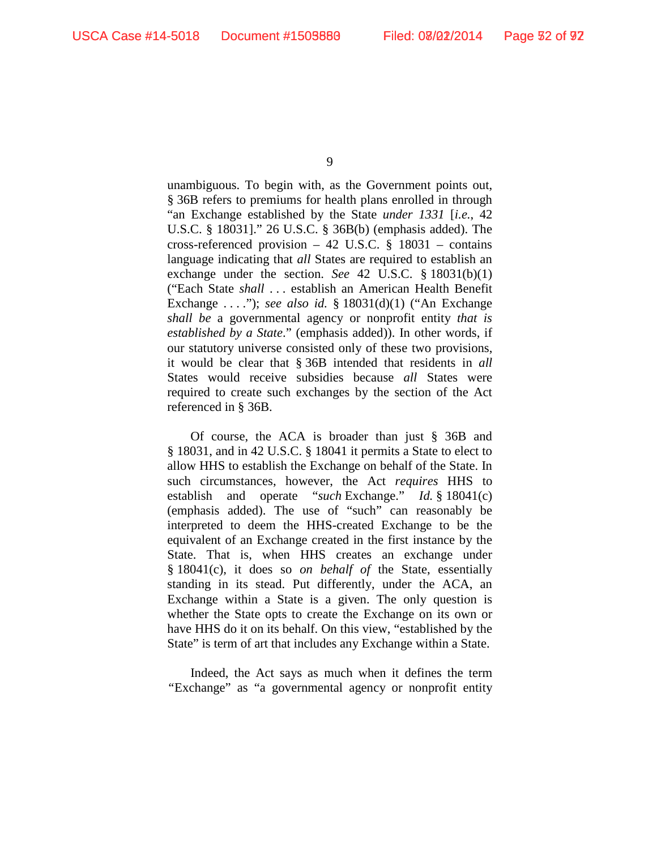unambiguous. To begin with, as the Government points out, § 36B refers to premiums for health plans enrolled in through "an Exchange established by the State *under 1331* [*i.e.*, 42 U.S.C. § 18031]." 26 U.S.C. § 36B(b) (emphasis added). The cross-referenced provision – 42 U.S.C. § 18031 – contains language indicating that *all* States are required to establish an exchange under the section. *See* 42 U.S.C. § 18031(b)(1) ("Each State *shall* . . . establish an American Health Benefit Exchange . . . ."); *see also id.* § 18031(d)(1) ("An Exchange *shall be* a governmental agency or nonprofit entity *that is established by a State*." (emphasis added)). In other words, if our statutory universe consisted only of these two provisions, it would be clear that § 36B intended that residents in *all* States would receive subsidies because *all* States were required to create such exchanges by the section of the Act referenced in § 36B.

Of course, the ACA is broader than just § 36B and § 18031, and in 42 U.S.C. § 18041 it permits a State to elect to allow HHS to establish the Exchange on behalf of the State. In such circumstances, however, the Act *requires* HHS to establish and operate "*such* Exchange." *Id.* § 18041(c) (emphasis added). The use of "such" can reasonably be interpreted to deem the HHS-created Exchange to be the equivalent of an Exchange created in the first instance by the State. That is, when HHS creates an exchange under § 18041(c), it does so *on behalf of* the State, essentially standing in its stead. Put differently, under the ACA, an Exchange within a State is a given. The only question is whether the State opts to create the Exchange on its own or have HHS do it on its behalf. On this view, "established by the State" is term of art that includes any Exchange within a State.

Indeed, the Act says as much when it defines the term *"*Exchange" as "a governmental agency or nonprofit entity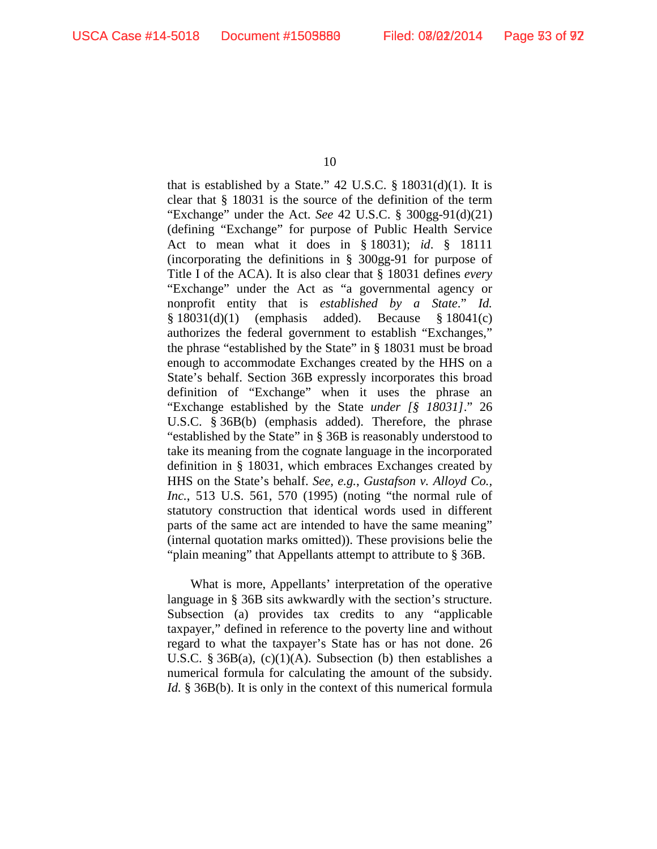that is established by a State."  $42$  U.S.C.  $\S$  18031(d)(1). It is clear that § 18031 is the source of the definition of the term "Exchange" under the Act. *See* 42 U.S.C. § 300gg-91(d)(21) (defining "Exchange" for purpose of Public Health Service Act to mean what it does in § 18031); *id*. § 18111 (incorporating the definitions in § 300gg-91 for purpose of Title I of the ACA). It is also clear that § 18031 defines *every*  "Exchange" under the Act as "a governmental agency or nonprofit entity that is *established by a State*." *Id.* § 18031(d)(1) (emphasis added). Because § 18041(c) authorizes the federal government to establish "Exchanges," the phrase "established by the State" in § 18031 must be broad enough to accommodate Exchanges created by the HHS on a State's behalf. Section 36B expressly incorporates this broad definition of "Exchange" when it uses the phrase an "Exchange established by the State *under [§ 18031]*." 26 U.S.C. § 36B(b) (emphasis added). Therefore, the phrase "established by the State" in § 36B is reasonably understood to take its meaning from the cognate language in the incorporated definition in § 18031, which embraces Exchanges created by HHS on the State's behalf. *See, e.g.*, *Gustafson v. Alloyd Co., Inc.*, 513 U.S. 561, 570 (1995) (noting "the normal rule of statutory construction that identical words used in different parts of the same act are intended to have the same meaning" (internal quotation marks omitted)). These provisions belie the "plain meaning" that Appellants attempt to attribute to § 36B.

What is more, Appellants' interpretation of the operative language in § 36B sits awkwardly with the section's structure. Subsection (a) provides tax credits to any "applicable taxpayer," defined in reference to the poverty line and without regard to what the taxpayer's State has or has not done. 26 U.S.C. § 36 $B(a)$ , (c)(1)(A). Subsection (b) then establishes a numerical formula for calculating the amount of the subsidy. *Id.* § 36B(b). It is only in the context of this numerical formula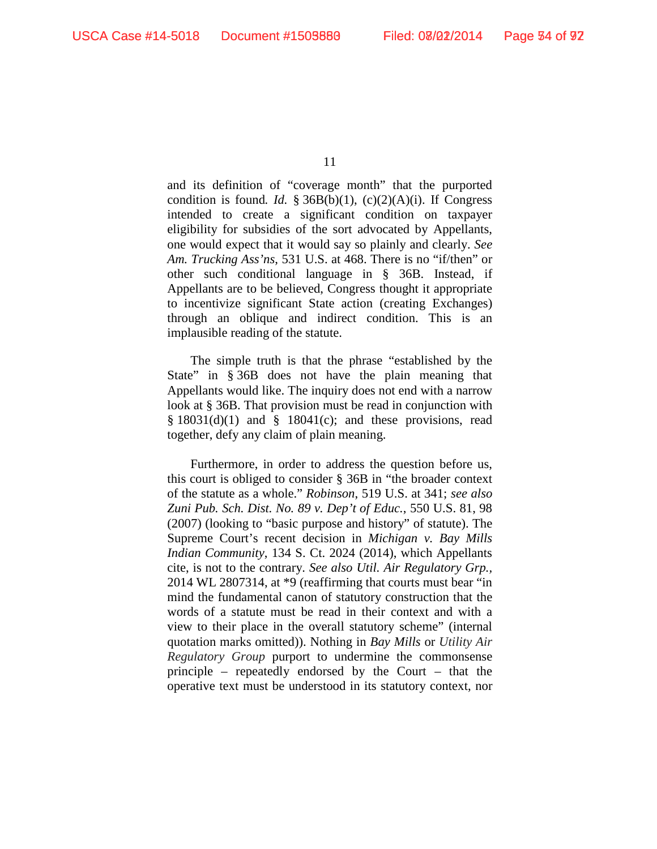and its definition of "coverage month" that the purported condition is found*. Id.* § 36B(b)(1), (c)(2)(A)(i). If Congress intended to create a significant condition on taxpayer eligibility for subsidies of the sort advocated by Appellants, one would expect that it would say so plainly and clearly. *See Am. Trucking Ass'ns*, 531 U.S. at 468. There is no "if/then" or other such conditional language in § 36B. Instead, if Appellants are to be believed, Congress thought it appropriate to incentivize significant State action (creating Exchanges) through an oblique and indirect condition. This is an implausible reading of the statute.

The simple truth is that the phrase "established by the State" in § 36B does not have the plain meaning that Appellants would like. The inquiry does not end with a narrow look at § 36B. That provision must be read in conjunction with  $§ 18031(d)(1)$  and  $§ 18041(c)$ ; and these provisions, read together, defy any claim of plain meaning.

Furthermore, in order to address the question before us, this court is obliged to consider § 36B in "the broader context of the statute as a whole." *Robinson*, 519 U.S. at 341; *see also Zuni Pub. Sch. Dist. No. 89 v. Dep't of Educ.*, 550 U.S. 81, 98 (2007) (looking to "basic purpose and history" of statute). The Supreme Court's recent decision in *Michigan v. Bay Mills Indian Community*, 134 S. Ct. 2024 (2014), which Appellants cite, is not to the contrary. *See also Util. Air Regulatory Grp.,*  2014 WL 2807314, at \*9 (reaffirming that courts must bear "in mind the fundamental canon of statutory construction that the words of a statute must be read in their context and with a view to their place in the overall statutory scheme" (internal quotation marks omitted)). Nothing in *Bay Mills* or *Utility Air Regulatory Group* purport to undermine the commonsense principle – repeatedly endorsed by the Court – that the operative text must be understood in its statutory context, nor

<sup>11</sup>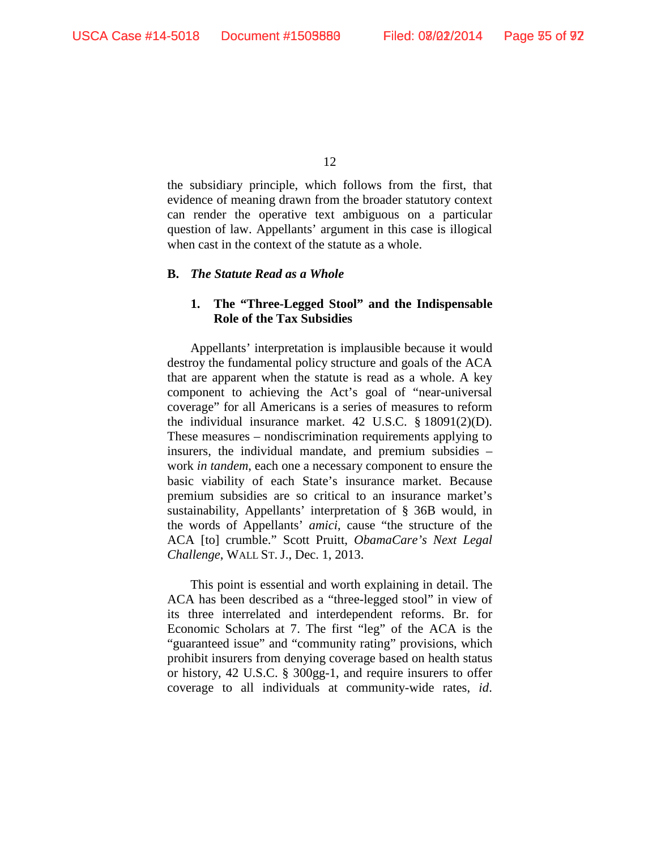the subsidiary principle, which follows from the first, that evidence of meaning drawn from the broader statutory context can render the operative text ambiguous on a particular question of law. Appellants' argument in this case is illogical when cast in the context of the statute as a whole.

### **B.** *The Statute Read as a Whole*

## **1. The "Three-Legged Stool" and the Indispensable Role of the Tax Subsidies**

Appellants' interpretation is implausible because it would destroy the fundamental policy structure and goals of the ACA that are apparent when the statute is read as a whole. A key component to achieving the Act's goal of "near-universal coverage" for all Americans is a series of measures to reform the individual insurance market. 42 U.S.C. § 18091(2)(D). These measures – nondiscrimination requirements applying to insurers, the individual mandate, and premium subsidies – work *in tandem*, each one a necessary component to ensure the basic viability of each State's insurance market. Because premium subsidies are so critical to an insurance market's sustainability, Appellants' interpretation of § 36B would, in the words of Appellants' *amici*, cause "the structure of the ACA [to] crumble." Scott Pruitt, *ObamaCare's Next Legal Challenge*, WALL ST. J., Dec. 1, 2013.

This point is essential and worth explaining in detail. The ACA has been described as a "three-legged stool" in view of its three interrelated and interdependent reforms. Br. for Economic Scholars at 7. The first "leg" of the ACA is the "guaranteed issue" and "community rating" provisions, which prohibit insurers from denying coverage based on health status or history, 42 U.S.C. § 300gg-1, and require insurers to offer coverage to all individuals at community-wide rates, *id*.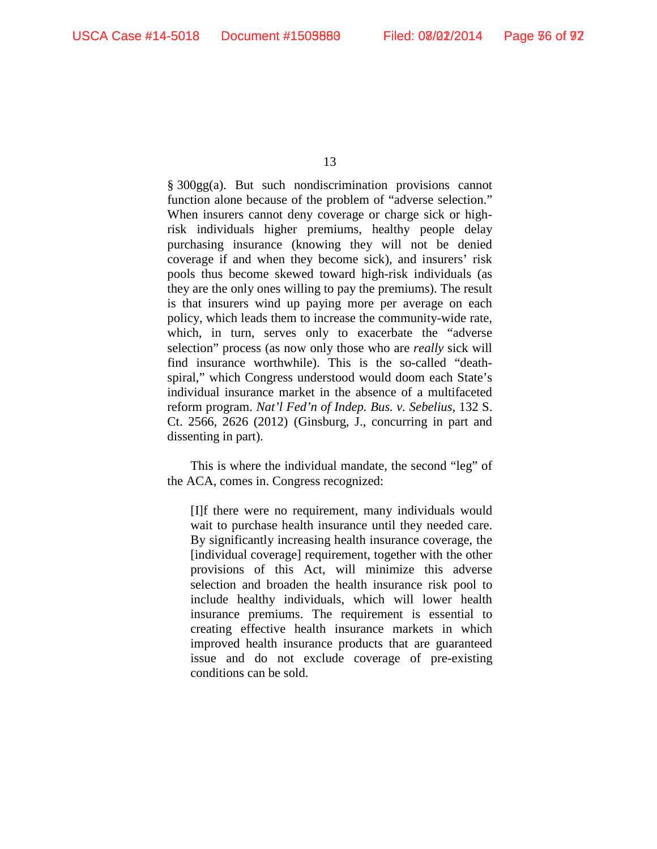§ 300gg(a). But such nondiscrimination provisions cannot function alone because of the problem of "adverse selection." When insurers cannot deny coverage or charge sick or highrisk individuals higher premiums, healthy people delay purchasing insurance (knowing they will not be denied coverage if and when they become sick), and insurers' risk pools thus become skewed toward high-risk individuals (as they are the only ones willing to pay the premiums). The result is that insurers wind up paying more per average on each policy, which leads them to increase the community-wide rate, which, in turn, serves only to exacerbate the "adverse selection" process (as now only those who are *really* sick will find insurance worthwhile). This is the so-called "deathspiral," which Congress understood would doom each State's individual insurance market in the absence of a multifaceted reform program. *Nat'l Fed'n of Indep. Bus. v. Sebelius*, 132 S. Ct. 2566, 2626 (2012) (Ginsburg, J., concurring in part and dissenting in part).

This is where the individual mandate, the second "leg" of the ACA, comes in. Congress recognized:

[I]f there were no requirement, many individuals would wait to purchase health insurance until they needed care. By significantly increasing health insurance coverage, the [individual coverage] requirement, together with the other provisions of this Act, will minimize this adverse selection and broaden the health insurance risk pool to include healthy individuals, which will lower health insurance premiums. The requirement is essential to creating effective health insurance markets in which improved health insurance products that are guaranteed issue and do not exclude coverage of pre-existing conditions can be sold.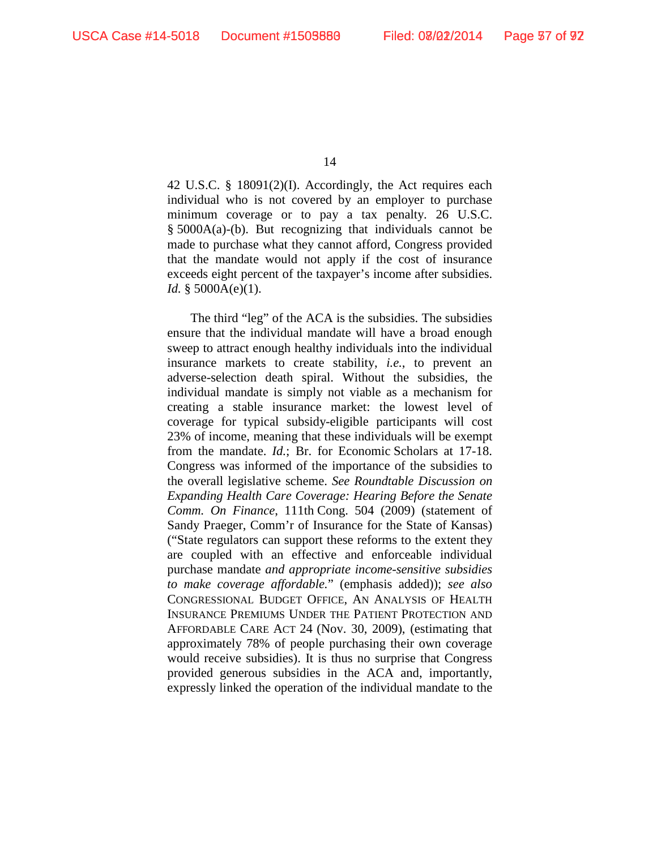42 U.S.C. § 18091(2)(I). Accordingly, the Act requires each individual who is not covered by an employer to purchase minimum coverage or to pay a tax penalty. 26 U.S.C. § 5000A(a)-(b). But recognizing that individuals cannot be made to purchase what they cannot afford, Congress provided that the mandate would not apply if the cost of insurance exceeds eight percent of the taxpayer's income after subsidies. *Id.* § 5000A(e)(1).

The third "leg" of the ACA is the subsidies. The subsidies ensure that the individual mandate will have a broad enough sweep to attract enough healthy individuals into the individual insurance markets to create stability, *i.e.*, to prevent an adverse-selection death spiral. Without the subsidies, the individual mandate is simply not viable as a mechanism for creating a stable insurance market: the lowest level of coverage for typical subsidy-eligible participants will cost 23% of income, meaning that these individuals will be exempt from the mandate. *Id.*; Br. for Economic Scholars at 17-18. Congress was informed of the importance of the subsidies to the overall legislative scheme. *See Roundtable Discussion on Expanding Health Care Coverage: Hearing Before the Senate Comm. On Finance*, 111th Cong. 504 (2009) (statement of Sandy Praeger, Comm'r of Insurance for the State of Kansas) ("State regulators can support these reforms to the extent they are coupled with an effective and enforceable individual purchase mandate *and appropriate income-sensitive subsidies to make coverage affordable.*" (emphasis added)); *see also*  CONGRESSIONAL BUDGET OFFICE, AN ANALYSIS OF HEALTH INSURANCE PREMIUMS UNDER THE PATIENT PROTECTION AND AFFORDABLE CARE ACT 24 (Nov. 30, 2009), (estimating that approximately 78% of people purchasing their own coverage would receive subsidies). It is thus no surprise that Congress provided generous subsidies in the ACA and, importantly, expressly linked the operation of the individual mandate to the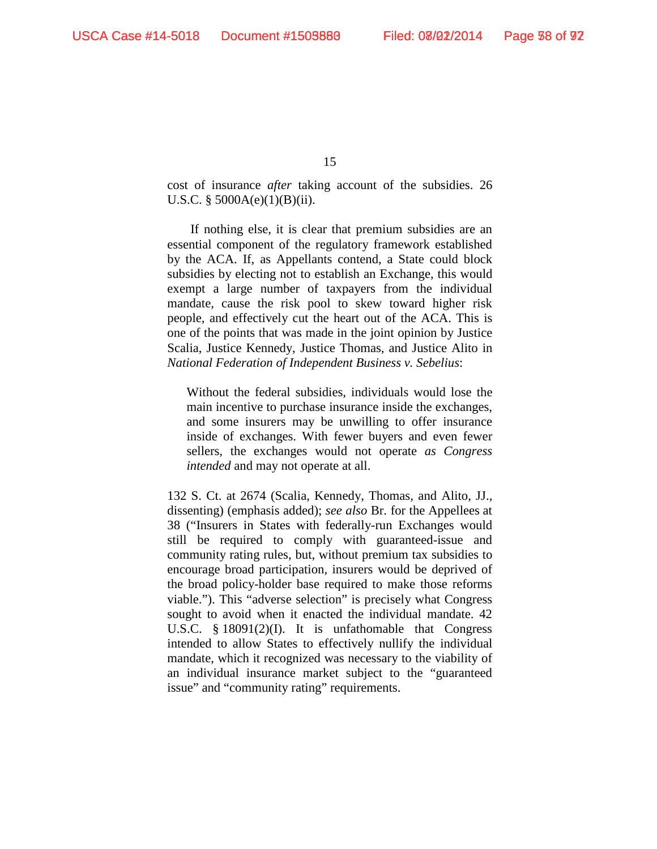cost of insurance *after* taking account of the subsidies. 26 U.S.C.  $\S$  5000A(e)(1)(B)(ii).

If nothing else, it is clear that premium subsidies are an essential component of the regulatory framework established by the ACA. If, as Appellants contend, a State could block subsidies by electing not to establish an Exchange, this would exempt a large number of taxpayers from the individual mandate, cause the risk pool to skew toward higher risk people, and effectively cut the heart out of the ACA. This is one of the points that was made in the joint opinion by Justice Scalia, Justice Kennedy, Justice Thomas, and Justice Alito in *National Federation of Independent Business v. Sebelius*:

Without the federal subsidies, individuals would lose the main incentive to purchase insurance inside the exchanges, and some insurers may be unwilling to offer insurance inside of exchanges. With fewer buyers and even fewer sellers, the exchanges would not operate *as Congress intended* and may not operate at all.

132 S. Ct. at 2674 (Scalia, Kennedy, Thomas, and Alito, JJ., dissenting) (emphasis added); *see also* Br. for the Appellees at 38 ("Insurers in States with federally-run Exchanges would still be required to comply with guaranteed-issue and community rating rules, but, without premium tax subsidies to encourage broad participation, insurers would be deprived of the broad policy-holder base required to make those reforms viable."). This "adverse selection" is precisely what Congress sought to avoid when it enacted the individual mandate.  $42$ U.S.C. § 18091(2)(I). It is unfathomable that Congress intended to allow States to effectively nullify the individual mandate, which it recognized was necessary to the viability of an individual insurance market subject to the "guaranteed issue" and "community rating" requirements.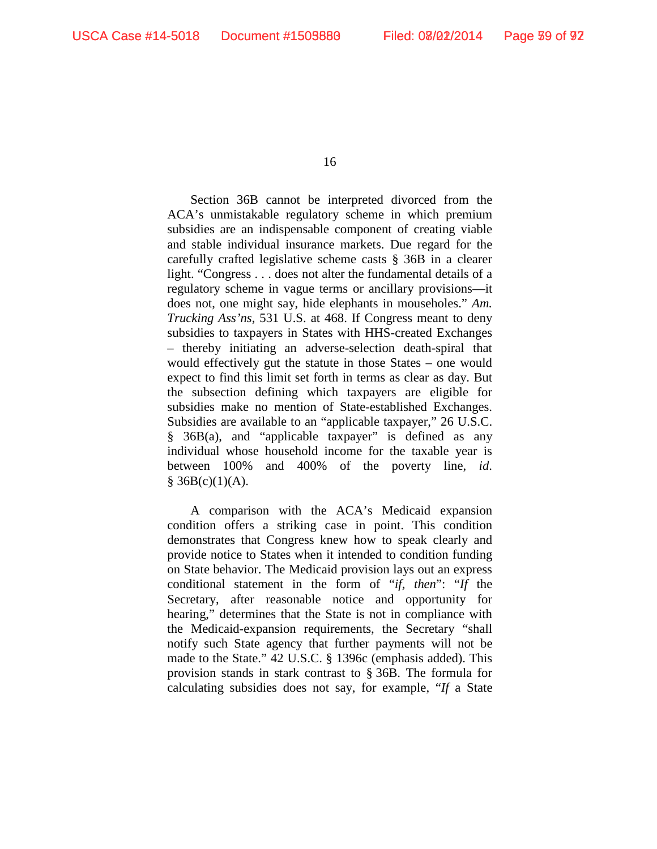Section 36B cannot be interpreted divorced from the ACA's unmistakable regulatory scheme in which premium subsidies are an indispensable component of creating viable and stable individual insurance markets. Due regard for the carefully crafted legislative scheme casts § 36B in a clearer light. "Congress . . . does not alter the fundamental details of a regulatory scheme in vague terms or ancillary provisions—it does not, one might say, hide elephants in mouseholes." *Am. Trucking Ass'ns*, 531 U.S. at 468. If Congress meant to deny subsidies to taxpayers in States with HHS-created Exchanges – thereby initiating an adverse-selection death-spiral that would effectively gut the statute in those States – one would expect to find this limit set forth in terms as clear as day. But the subsection defining which taxpayers are eligible for subsidies make no mention of State-established Exchanges. Subsidies are available to an "applicable taxpayer," 26 U.S.C. § 36B(a), and "applicable taxpayer" is defined as any individual whose household income for the taxable year is between 100% and 400% of the poverty line, *id*.  $§ 36B(c)(1)(A).$ 

A comparison with the ACA's Medicaid expansion condition offers a striking case in point. This condition demonstrates that Congress knew how to speak clearly and provide notice to States when it intended to condition funding on State behavior. The Medicaid provision lays out an express conditional statement in the form of "*if, then*": "*If* the Secretary, after reasonable notice and opportunity for hearing," determines that the State is not in compliance with the Medicaid-expansion requirements, the Secretary "shall notify such State agency that further payments will not be made to the State." 42 U.S.C. § 1396c (emphasis added). This provision stands in stark contrast to § 36B. The formula for calculating subsidies does not say, for example, "*If* a State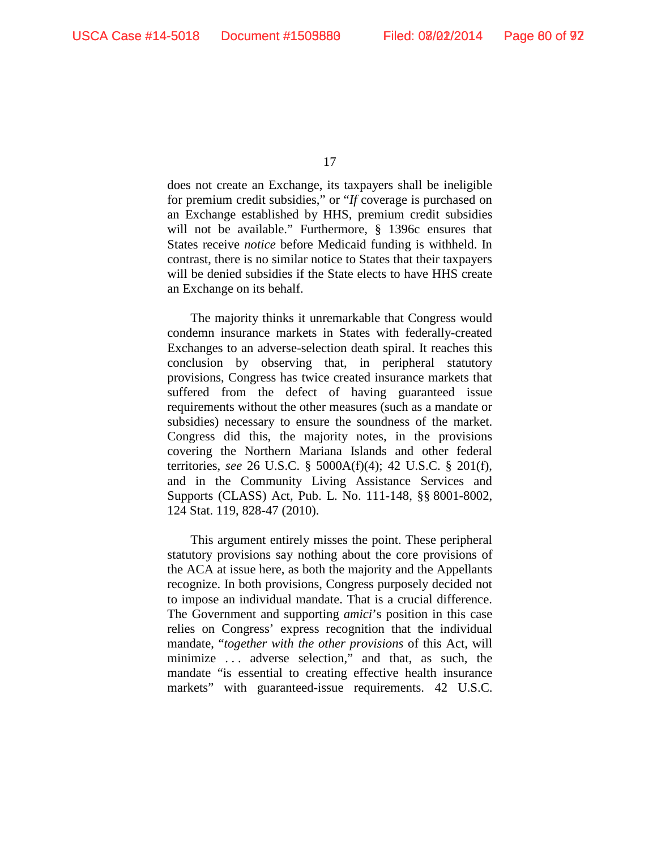does not create an Exchange, its taxpayers shall be ineligible for premium credit subsidies," or "*If* coverage is purchased on an Exchange established by HHS, premium credit subsidies will not be available." Furthermore, § 1396c ensures that States receive *notice* before Medicaid funding is withheld. In contrast, there is no similar notice to States that their taxpayers will be denied subsidies if the State elects to have HHS create an Exchange on its behalf.

The majority thinks it unremarkable that Congress would condemn insurance markets in States with federally-created Exchanges to an adverse-selection death spiral. It reaches this conclusion by observing that, in peripheral statutory provisions, Congress has twice created insurance markets that suffered from the defect of having guaranteed issue requirements without the other measures (such as a mandate or subsidies) necessary to ensure the soundness of the market. Congress did this, the majority notes, in the provisions covering the Northern Mariana Islands and other federal territories, *see* 26 U.S.C. § 5000A(f)(4); 42 U.S.C. § 201(f), and in the Community Living Assistance Services and Supports (CLASS) Act, Pub. L. No. 111-148, §§ 8001-8002, 124 Stat. 119, 828-47 (2010).

This argument entirely misses the point. These peripheral statutory provisions say nothing about the core provisions of the ACA at issue here, as both the majority and the Appellants recognize. In both provisions, Congress purposely decided not to impose an individual mandate. That is a crucial difference. The Government and supporting *amici*'s position in this case relies on Congress' express recognition that the individual mandate, "*together with the other provisions* of this Act, will minimize . . . adverse selection," and that, as such, the mandate "is essential to creating effective health insurance markets" with guaranteed-issue requirements. 42 U.S.C.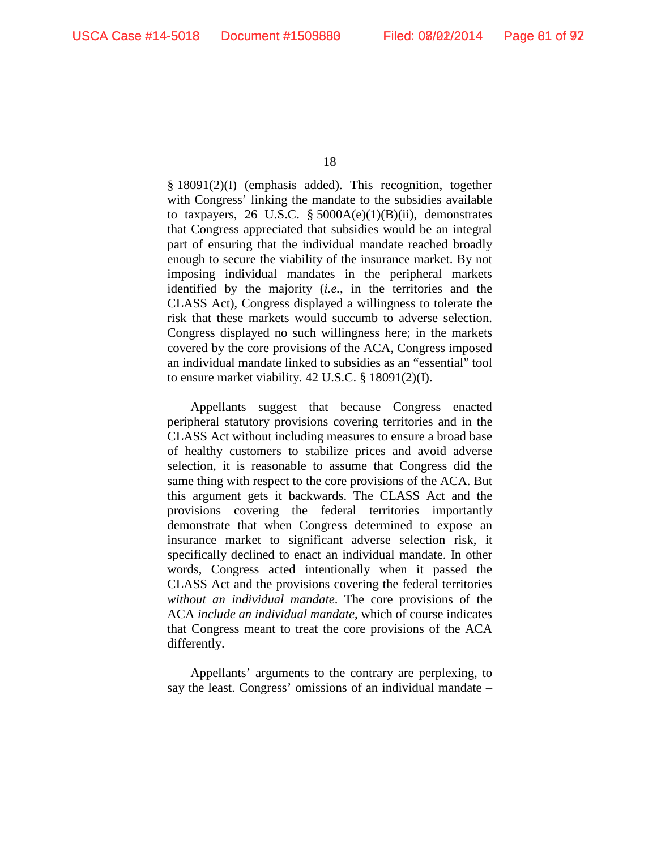§ 18091(2)(I) (emphasis added). This recognition, together with Congress' linking the mandate to the subsidies available to taxpayers, 26 U.S.C.  $\S$  5000A(e)(1)(B)(ii), demonstrates that Congress appreciated that subsidies would be an integral part of ensuring that the individual mandate reached broadly enough to secure the viability of the insurance market. By not imposing individual mandates in the peripheral markets identified by the majority (*i.e.*, in the territories and the CLASS Act), Congress displayed a willingness to tolerate the risk that these markets would succumb to adverse selection. Congress displayed no such willingness here; in the markets covered by the core provisions of the ACA, Congress imposed an individual mandate linked to subsidies as an "essential" tool to ensure market viability. 42 U.S.C. § 18091(2)(I).

Appellants suggest that because Congress enacted peripheral statutory provisions covering territories and in the CLASS Act without including measures to ensure a broad base of healthy customers to stabilize prices and avoid adverse selection, it is reasonable to assume that Congress did the same thing with respect to the core provisions of the ACA. But this argument gets it backwards. The CLASS Act and the provisions covering the federal territories importantly demonstrate that when Congress determined to expose an insurance market to significant adverse selection risk, it specifically declined to enact an individual mandate. In other words, Congress acted intentionally when it passed the CLASS Act and the provisions covering the federal territories *without an individual mandate*. The core provisions of the ACA *include an individual mandate*, which of course indicates that Congress meant to treat the core provisions of the ACA differently.

Appellants' arguments to the contrary are perplexing, to say the least. Congress' omissions of an individual mandate –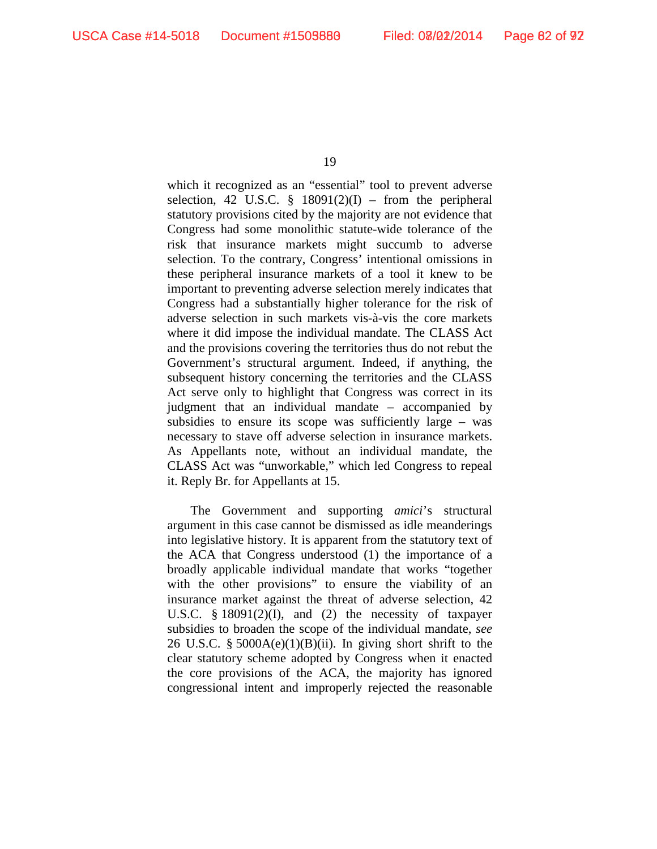which it recognized as an "essential" tool to prevent adverse selection, 42 U.S.C.  $\S$  18091(2)(I) – from the peripheral statutory provisions cited by the majority are not evidence that Congress had some monolithic statute-wide tolerance of the risk that insurance markets might succumb to adverse selection. To the contrary, Congress' intentional omissions in these peripheral insurance markets of a tool it knew to be important to preventing adverse selection merely indicates that Congress had a substantially higher tolerance for the risk of adverse selection in such markets vis-à-vis the core markets where it did impose the individual mandate. The CLASS Act and the provisions covering the territories thus do not rebut the Government's structural argument. Indeed, if anything, the subsequent history concerning the territories and the CLASS Act serve only to highlight that Congress was correct in its judgment that an individual mandate – accompanied by subsidies to ensure its scope was sufficiently large – was necessary to stave off adverse selection in insurance markets. As Appellants note, without an individual mandate, the CLASS Act was "unworkable," which led Congress to repeal it. Reply Br. for Appellants at 15.

The Government and supporting *amici*'s structural argument in this case cannot be dismissed as idle meanderings into legislative history. It is apparent from the statutory text of the ACA that Congress understood (1) the importance of a broadly applicable individual mandate that works "together with the other provisions" to ensure the viability of an insurance market against the threat of adverse selection, 42 U.S.C. § 18091(2)(I), and (2) the necessity of taxpayer subsidies to broaden the scope of the individual mandate, *see*  26 U.S.C. §  $5000A(e)(1)(B)(ii)$ . In giving short shrift to the clear statutory scheme adopted by Congress when it enacted the core provisions of the ACA, the majority has ignored congressional intent and improperly rejected the reasonable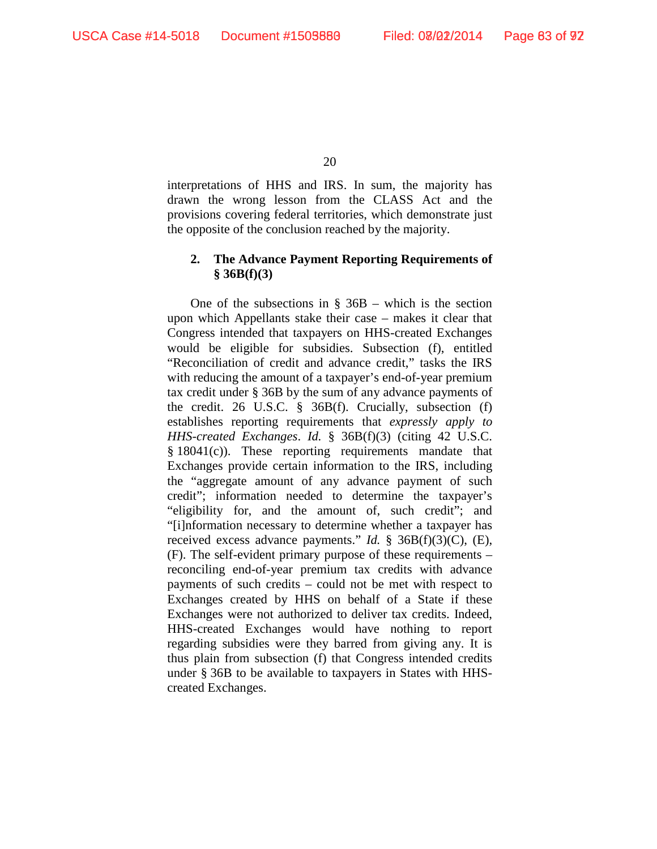interpretations of HHS and IRS. In sum, the majority has drawn the wrong lesson from the CLASS Act and the provisions covering federal territories, which demonstrate just the opposite of the conclusion reached by the majority.

## **2. The Advance Payment Reporting Requirements of § 36B(f)(3)**

One of the subsections in  $\S$  36B – which is the section upon which Appellants stake their case – makes it clear that Congress intended that taxpayers on HHS-created Exchanges would be eligible for subsidies. Subsection (f), entitled "Reconciliation of credit and advance credit," tasks the IRS with reducing the amount of a taxpayer's end-of-year premium tax credit under § 36B by the sum of any advance payments of the credit. 26 U.S.C. § 36B(f). Crucially, subsection (f) establishes reporting requirements that *expressly apply to HHS-created Exchanges*. *Id.* § 36B(f)(3) (citing 42 U.S.C. § 18041(c)). These reporting requirements mandate that Exchanges provide certain information to the IRS, including the "aggregate amount of any advance payment of such credit"; information needed to determine the taxpayer's "eligibility for, and the amount of, such credit"; and "[i]nformation necessary to determine whether a taxpayer has received excess advance payments." *Id.* § 36B(f)(3)(C), (E), (F). The self-evident primary purpose of these requirements – reconciling end-of-year premium tax credits with advance payments of such credits – could not be met with respect to Exchanges created by HHS on behalf of a State if these Exchanges were not authorized to deliver tax credits. Indeed, HHS-created Exchanges would have nothing to report regarding subsidies were they barred from giving any. It is thus plain from subsection (f) that Congress intended credits under § 36B to be available to taxpayers in States with HHScreated Exchanges.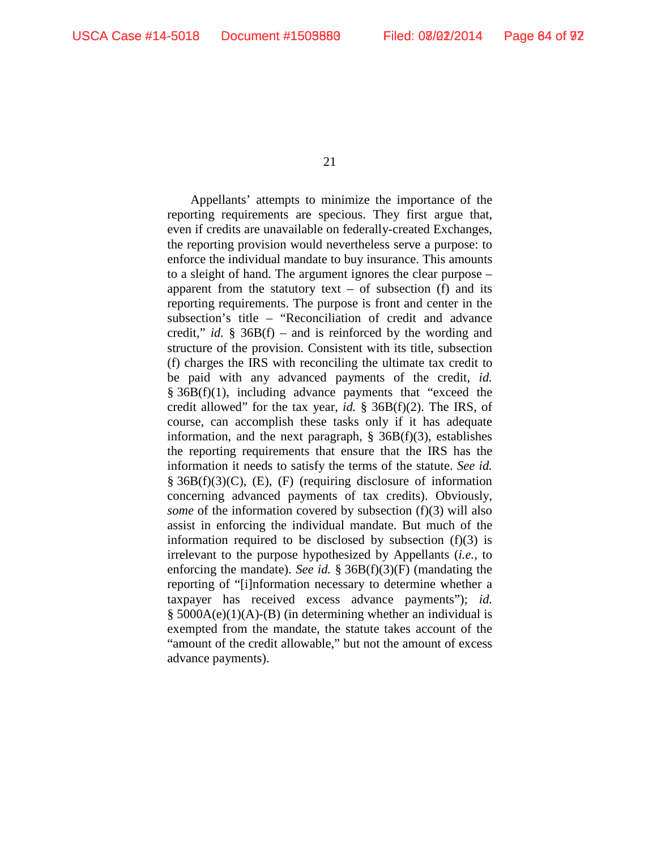Appellants' attempts to minimize the importance of the reporting requirements are specious. They first argue that, even if credits are unavailable on federally-created Exchanges, the reporting provision would nevertheless serve a purpose: to enforce the individual mandate to buy insurance. This amounts to a sleight of hand. The argument ignores the clear purpose – apparent from the statutory text – of subsection  $(f)$  and its reporting requirements. The purpose is front and center in the subsection's title – "Reconciliation of credit and advance credit," *id.* § 36B(f) – and is reinforced by the wording and structure of the provision. Consistent with its title, subsection (f) charges the IRS with reconciling the ultimate tax credit to be paid with any advanced payments of the credit, *id.*  § 36B(f)(1), including advance payments that "exceed the credit allowed" for the tax year, *id.* § 36B(f)(2). The IRS, of course, can accomplish these tasks only if it has adequate information, and the next paragraph,  $\S$  36B(f)(3), establishes the reporting requirements that ensure that the IRS has the information it needs to satisfy the terms of the statute. *See id.*   $\S$  36B(f)(3)(C), (E), (F) (requiring disclosure of information concerning advanced payments of tax credits). Obviously, *some* of the information covered by subsection (f)(3) will also assist in enforcing the individual mandate. But much of the information required to be disclosed by subsection  $(f)(3)$  is irrelevant to the purpose hypothesized by Appellants (*i.e.*, to enforcing the mandate). *See id.* § 36B(f)(3)(F) (mandating the reporting of "[i]nformation necessary to determine whether a taxpayer has received excess advance payments"); *id.*  § 5000A(e)(1)(A)-(B) (in determining whether an individual is exempted from the mandate, the statute takes account of the "amount of the credit allowable," but not the amount of excess advance payments).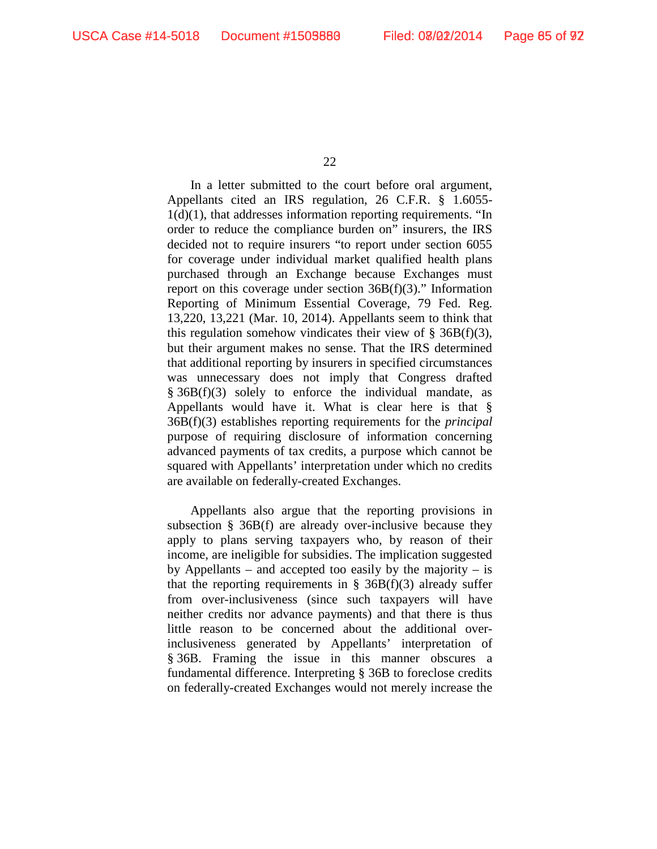In a letter submitted to the court before oral argument, Appellants cited an IRS regulation, 26 C.F.R. § 1.6055- 1(d)(1), that addresses information reporting requirements. "In order to reduce the compliance burden on" insurers, the IRS decided not to require insurers "to report under section 6055 for coverage under individual market qualified health plans purchased through an Exchange because Exchanges must report on this coverage under section 36B(f)(3)." Information Reporting of Minimum Essential Coverage, 79 Fed. Reg. 13,220, 13,221 (Mar. 10, 2014). Appellants seem to think that this regulation somehow vindicates their view of  $\S$  36B(f)(3), but their argument makes no sense. That the IRS determined that additional reporting by insurers in specified circumstances was unnecessary does not imply that Congress drafted  $§ 36B(f)(3)$  solely to enforce the individual mandate, as Appellants would have it. What is clear here is that § 36B(f)(3) establishes reporting requirements for the *principal* purpose of requiring disclosure of information concerning advanced payments of tax credits, a purpose which cannot be squared with Appellants' interpretation under which no credits are available on federally-created Exchanges.

Appellants also argue that the reporting provisions in subsection § 36B(f) are already over-inclusive because they apply to plans serving taxpayers who, by reason of their income, are ineligible for subsidies. The implication suggested by Appellants – and accepted too easily by the majority – is that the reporting requirements in  $\S$  36B(f)(3) already suffer from over-inclusiveness (since such taxpayers will have neither credits nor advance payments) and that there is thus little reason to be concerned about the additional overinclusiveness generated by Appellants' interpretation of § 36B. Framing the issue in this manner obscures a fundamental difference. Interpreting § 36B to foreclose credits on federally-created Exchanges would not merely increase the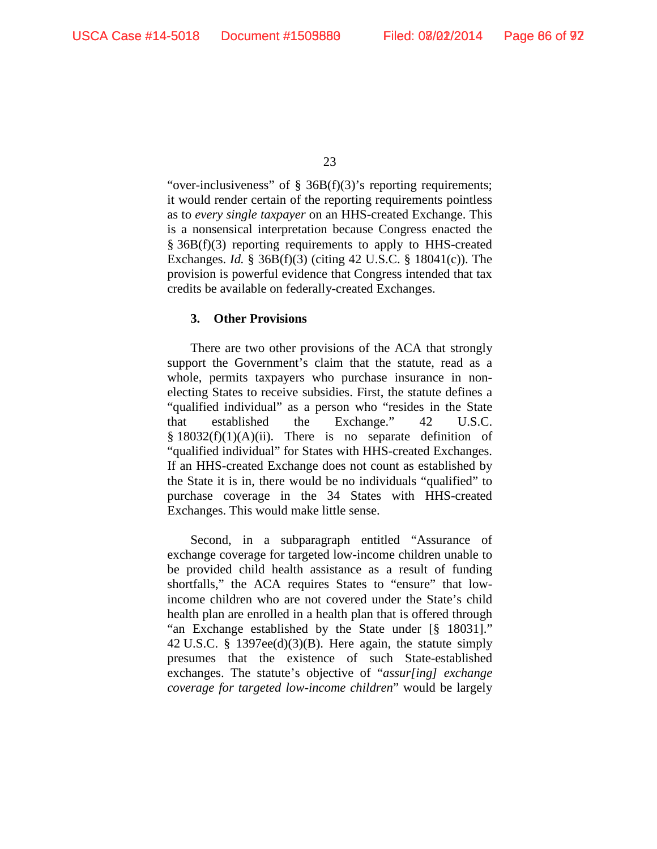"over-inclusiveness" of  $\S$  36B(f)(3)'s reporting requirements; it would render certain of the reporting requirements pointless as to *every single taxpayer* on an HHS-created Exchange. This is a nonsensical interpretation because Congress enacted the § 36B(f)(3) reporting requirements to apply to HHS-created Exchanges. *Id.* § 36B(f)(3) (citing 42 U.S.C. § 18041(c)). The provision is powerful evidence that Congress intended that tax credits be available on federally-created Exchanges.

### **3. Other Provisions**

There are two other provisions of the ACA that strongly support the Government's claim that the statute, read as a whole, permits taxpayers who purchase insurance in nonelecting States to receive subsidies. First, the statute defines a "qualified individual" as a person who "resides in the State that established the Exchange." 42 U.S.C.  $§ 18032(f)(1)(A)(ii)$ . There is no separate definition of "qualified individual" for States with HHS-created Exchanges. If an HHS-created Exchange does not count as established by the State it is in, there would be no individuals "qualified" to purchase coverage in the 34 States with HHS-created Exchanges. This would make little sense.

Second, in a subparagraph entitled "Assurance of exchange coverage for targeted low-income children unable to be provided child health assistance as a result of funding shortfalls," the ACA requires States to "ensure" that lowincome children who are not covered under the State's child health plan are enrolled in a health plan that is offered through "an Exchange established by the State under [§ 18031]." 42 U.S.C. § 1397ee(d)(3)(B). Here again, the statute simply presumes that the existence of such State-established exchanges. The statute's objective of "*assur[ing] exchange coverage for targeted low-income children*" would be largely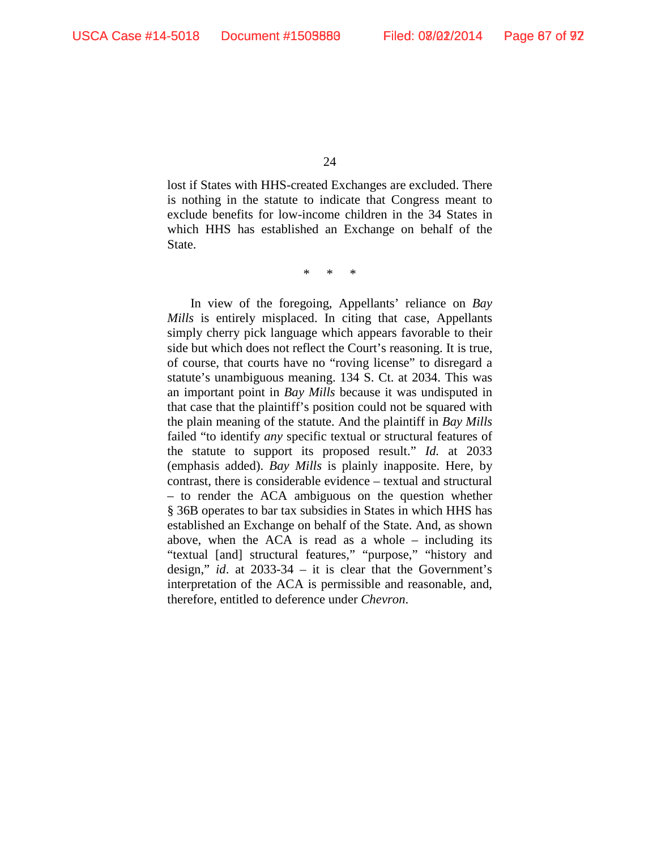lost if States with HHS-created Exchanges are excluded. There is nothing in the statute to indicate that Congress meant to exclude benefits for low-income children in the 34 States in which HHS has established an Exchange on behalf of the State.

\* \* \*

In view of the foregoing, Appellants' reliance on *Bay Mills* is entirely misplaced. In citing that case, Appellants simply cherry pick language which appears favorable to their side but which does not reflect the Court's reasoning. It is true, of course, that courts have no "roving license" to disregard a statute's unambiguous meaning. 134 S. Ct. at 2034. This was an important point in *Bay Mills* because it was undisputed in that case that the plaintiff's position could not be squared with the plain meaning of the statute. And the plaintiff in *Bay Mills* failed "to identify *any* specific textual or structural features of the statute to support its proposed result." *Id.* at 2033 (emphasis added). *Bay Mills* is plainly inapposite. Here, by contrast, there is considerable evidence – textual and structural – to render the ACA ambiguous on the question whether § 36B operates to bar tax subsidies in States in which HHS has established an Exchange on behalf of the State. And, as shown above, when the ACA is read as a whole – including its "textual [and] structural features," "purpose," "history and design," *id*. at 2033-34 – it is clear that the Government's interpretation of the ACA is permissible and reasonable, and, therefore, entitled to deference under *Chevron*.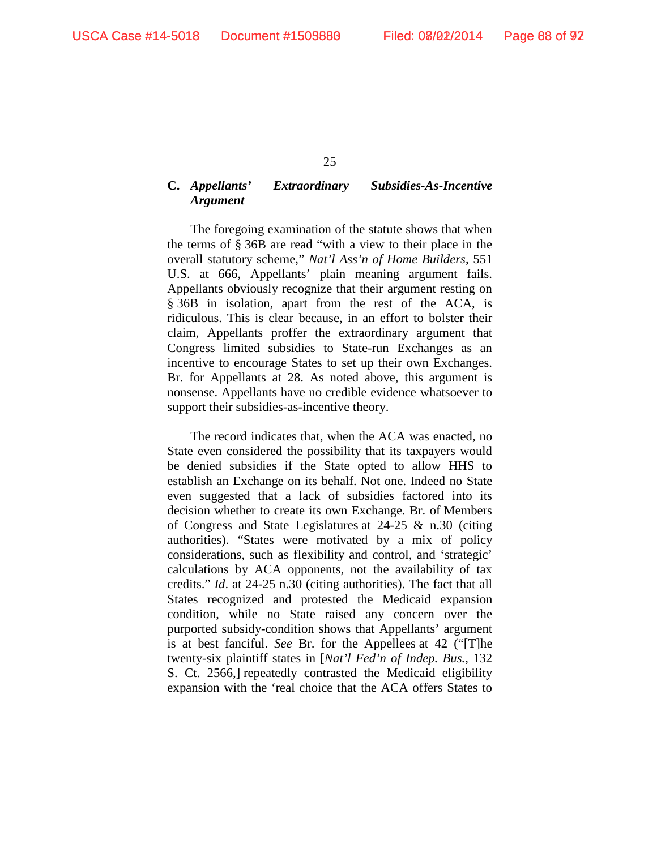### **C.** *Appellants' Extraordinary Subsidies-As-Incentive Argument*

The foregoing examination of the statute shows that when the terms of § 36B are read "with a view to their place in the overall statutory scheme," *Nat'l Ass'n of Home Builders*, 551 U.S. at 666, Appellants' plain meaning argument fails. Appellants obviously recognize that their argument resting on § 36B in isolation, apart from the rest of the ACA, is ridiculous. This is clear because, in an effort to bolster their claim, Appellants proffer the extraordinary argument that Congress limited subsidies to State-run Exchanges as an incentive to encourage States to set up their own Exchanges. Br. for Appellants at 28. As noted above, this argument is nonsense. Appellants have no credible evidence whatsoever to support their subsidies-as-incentive theory.

The record indicates that, when the ACA was enacted, no State even considered the possibility that its taxpayers would be denied subsidies if the State opted to allow HHS to establish an Exchange on its behalf. Not one. Indeed no State even suggested that a lack of subsidies factored into its decision whether to create its own Exchange. Br. of Members of Congress and State Legislatures at 24-25 & n.30 (citing authorities). "States were motivated by a mix of policy considerations, such as flexibility and control, and 'strategic' calculations by ACA opponents, not the availability of tax credits." *Id*. at 24-25 n.30 (citing authorities). The fact that all States recognized and protested the Medicaid expansion condition, while no State raised any concern over the purported subsidy-condition shows that Appellants' argument is at best fanciful. *See* Br. for the Appellees at 42 ("[T]he twenty-six plaintiff states in [*Nat'l Fed'n of Indep. Bus.*, 132 S. Ct. 2566,] repeatedly contrasted the Medicaid eligibility expansion with the 'real choice that the ACA offers States to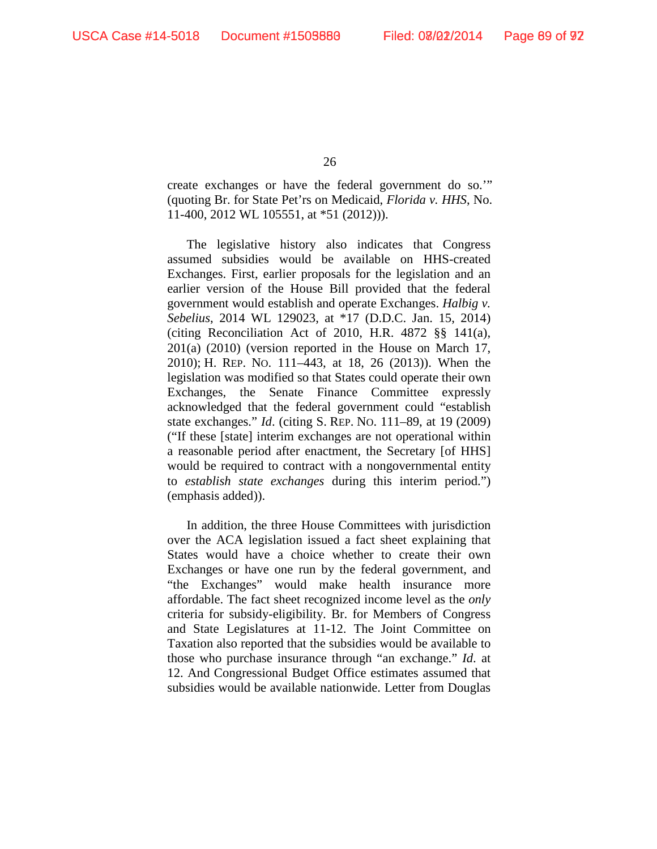create exchanges or have the federal government do so.'" (quoting Br. for State Pet'rs on Medicaid, *Florida v. HHS*, No. 11-400, 2012 WL 105551, at \*51 (2012))).

The legislative history also indicates that Congress assumed subsidies would be available on HHS-created Exchanges. First, earlier proposals for the legislation and an earlier version of the House Bill provided that the federal government would establish and operate Exchanges. *Halbig v. Sebelius*, 2014 WL 129023, at \*17 (D.D.C. Jan. 15, 2014) (citing Reconciliation Act of 2010, H.R. 4872 §§ 141(a), 201(a) (2010) (version reported in the House on March 17, 2010); H. REP. NO. 111–443, at 18, 26 (2013)). When the legislation was modified so that States could operate their own Exchanges, the Senate Finance Committee expressly acknowledged that the federal government could "establish state exchanges." *Id*. (citing S. REP. NO. 111–89, at 19 (2009) ("If these [state] interim exchanges are not operational within a reasonable period after enactment, the Secretary [of HHS] would be required to contract with a nongovernmental entity to *establish state exchanges* during this interim period.") (emphasis added)).

In addition, the three House Committees with jurisdiction over the ACA legislation issued a fact sheet explaining that States would have a choice whether to create their own Exchanges or have one run by the federal government, and "the Exchanges" would make health insurance more affordable. The fact sheet recognized income level as the *only* criteria for subsidy-eligibility. Br. for Members of Congress and State Legislatures at 11-12. The Joint Committee on Taxation also reported that the subsidies would be available to those who purchase insurance through "an exchange." *Id*. at 12. And Congressional Budget Office estimates assumed that subsidies would be available nationwide. Letter from Douglas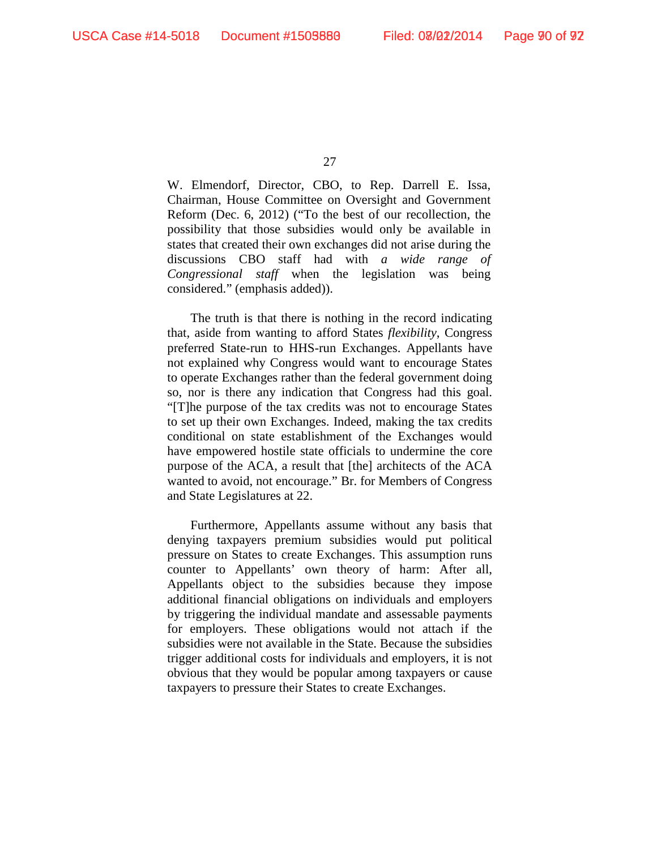W. Elmendorf, Director, CBO, to Rep. Darrell E. Issa, Chairman, House Committee on Oversight and Government Reform (Dec. 6, 2012) ("To the best of our recollection, the possibility that those subsidies would only be available in states that created their own exchanges did not arise during the discussions CBO staff had with *a wide range of Congressional staff* when the legislation was being considered." (emphasis added)).

The truth is that there is nothing in the record indicating that, aside from wanting to afford States *flexibility*, Congress preferred State-run to HHS-run Exchanges. Appellants have not explained why Congress would want to encourage States to operate Exchanges rather than the federal government doing so, nor is there any indication that Congress had this goal. "[T]he purpose of the tax credits was not to encourage States to set up their own Exchanges. Indeed, making the tax credits conditional on state establishment of the Exchanges would have empowered hostile state officials to undermine the core purpose of the ACA, a result that [the] architects of the ACA wanted to avoid, not encourage." Br. for Members of Congress and State Legislatures at 22.

Furthermore, Appellants assume without any basis that denying taxpayers premium subsidies would put political pressure on States to create Exchanges. This assumption runs counter to Appellants' own theory of harm: After all, Appellants object to the subsidies because they impose additional financial obligations on individuals and employers by triggering the individual mandate and assessable payments for employers. These obligations would not attach if the subsidies were not available in the State. Because the subsidies trigger additional costs for individuals and employers, it is not obvious that they would be popular among taxpayers or cause taxpayers to pressure their States to create Exchanges.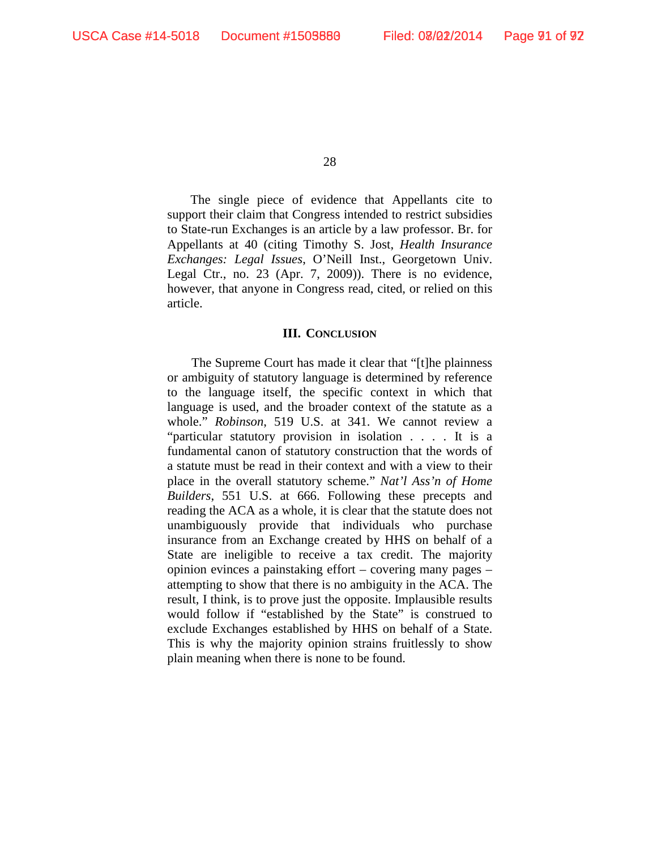The single piece of evidence that Appellants cite to support their claim that Congress intended to restrict subsidies to State-run Exchanges is an article by a law professor. Br. for Appellants at 40 (citing Timothy S. Jost, *Health Insurance Exchanges: Legal Issues*, O'Neill Inst., Georgetown Univ. Legal Ctr., no. 23 (Apr. 7, 2009)). There is no evidence, however, that anyone in Congress read, cited, or relied on this article.

#### **III. CONCLUSION**

The Supreme Court has made it clear that "[t]he plainness or ambiguity of statutory language is determined by reference to the language itself, the specific context in which that language is used, and the broader context of the statute as a whole." *Robinson*, 519 U.S. at 341. We cannot review a "particular statutory provision in isolation . . . . It is a fundamental canon of statutory construction that the words of a statute must be read in their context and with a view to their place in the overall statutory scheme." *Nat'l Ass'n of Home Builders*, 551 U.S. at 666. Following these precepts and reading the ACA as a whole, it is clear that the statute does not unambiguously provide that individuals who purchase insurance from an Exchange created by HHS on behalf of a State are ineligible to receive a tax credit. The majority opinion evinces a painstaking effort – covering many pages – attempting to show that there is no ambiguity in the ACA. The result, I think, is to prove just the opposite. Implausible results would follow if "established by the State" is construed to exclude Exchanges established by HHS on behalf of a State. This is why the majority opinion strains fruitlessly to show plain meaning when there is none to be found.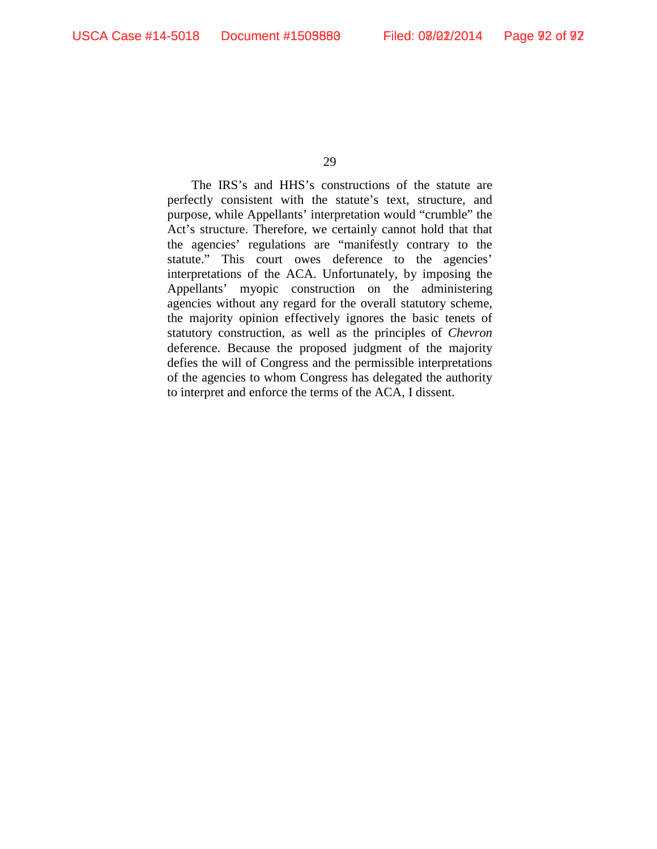The IRS's and HHS's constructions of the statute are perfectly consistent with the statute's text, structure, and purpose, while Appellants' interpretation would "crumble" the Act's structure. Therefore, we certainly cannot hold that that the agencies' regulations are "manifestly contrary to the statute." This court owes deference to the agencies' interpretations of the ACA. Unfortunately, by imposing the Appellants' myopic construction on the administering agencies without any regard for the overall statutory scheme, the majority opinion effectively ignores the basic tenets of statutory construction, as well as the principles of *Chevron*  deference. Because the proposed judgment of the majority defies the will of Congress and the permissible interpretations of the agencies to whom Congress has delegated the authority to interpret and enforce the terms of the ACA, I dissent.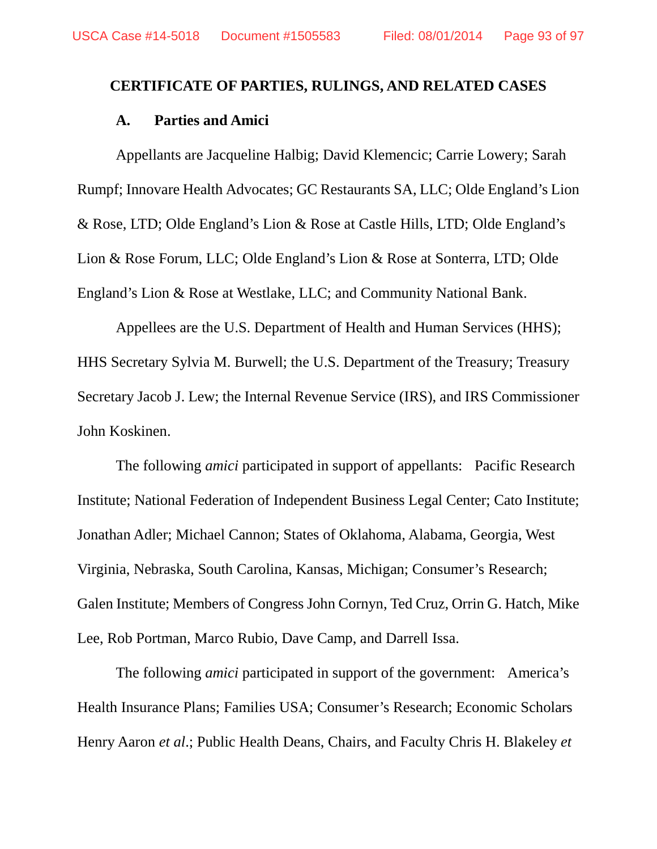# **CERTIFICATE OF PARTIES, RULINGS, AND RELATED CASES**

## **A. Parties and Amici**

Appellants are Jacqueline Halbig; David Klemencic; Carrie Lowery; Sarah Rumpf; Innovare Health Advocates; GC Restaurants SA, LLC; Olde England's Lion & Rose, LTD; Olde England's Lion & Rose at Castle Hills, LTD; Olde England's Lion & Rose Forum, LLC; Olde England's Lion & Rose at Sonterra, LTD; Olde England's Lion & Rose at Westlake, LLC; and Community National Bank.

Appellees are the U.S. Department of Health and Human Services (HHS); HHS Secretary Sylvia M. Burwell; the U.S. Department of the Treasury; Treasury Secretary Jacob J. Lew; the Internal Revenue Service (IRS), and IRS Commissioner John Koskinen.

The following *amici* participated in support of appellants: Pacific Research Institute; National Federation of Independent Business Legal Center; Cato Institute; Jonathan Adler; Michael Cannon; States of Oklahoma, Alabama, Georgia, West Virginia, Nebraska, South Carolina, Kansas, Michigan; Consumer's Research; Galen Institute; Members of Congress John Cornyn, Ted Cruz, Orrin G. Hatch, Mike Lee, Rob Portman, Marco Rubio, Dave Camp, and Darrell Issa.

The following *amici* participated in support of the government: America's Health Insurance Plans; Families USA; Consumer's Research; Economic Scholars Henry Aaron *et al*.; Public Health Deans, Chairs, and Faculty Chris H. Blakeley *et*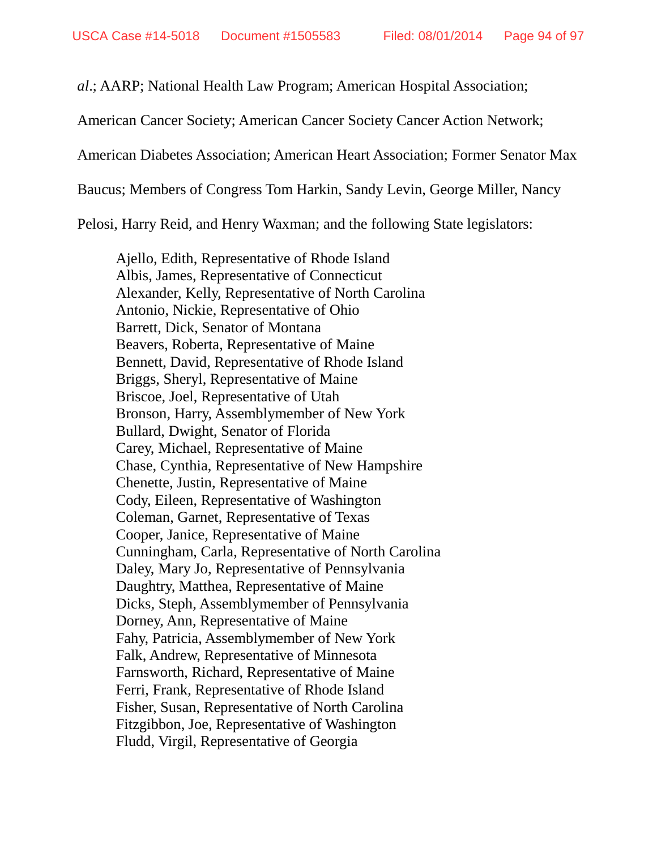*al*.; AARP; National Health Law Program; American Hospital Association;

American Cancer Society; American Cancer Society Cancer Action Network;

American Diabetes Association; American Heart Association; Former Senator Max

Baucus; Members of Congress Tom Harkin, Sandy Levin, George Miller, Nancy

Pelosi, Harry Reid, and Henry Waxman; and the following State legislators:

Ajello, Edith, Representative of Rhode Island Albis, James, Representative of Connecticut Alexander, Kelly, Representative of North Carolina Antonio, Nickie, Representative of Ohio Barrett, Dick, Senator of Montana Beavers, Roberta, Representative of Maine Bennett, David, Representative of Rhode Island Briggs, Sheryl, Representative of Maine Briscoe, Joel, Representative of Utah Bronson, Harry, Assemblymember of New York Bullard, Dwight, Senator of Florida Carey, Michael, Representative of Maine Chase, Cynthia, Representative of New Hampshire Chenette, Justin, Representative of Maine Cody, Eileen, Representative of Washington Coleman, Garnet, Representative of Texas Cooper, Janice, Representative of Maine Cunningham, Carla, Representative of North Carolina Daley, Mary Jo, Representative of Pennsylvania Daughtry, Matthea, Representative of Maine Dicks, Steph, Assemblymember of Pennsylvania Dorney, Ann, Representative of Maine Fahy, Patricia, Assemblymember of New York Falk, Andrew, Representative of Minnesota Farnsworth, Richard, Representative of Maine Ferri, Frank, Representative of Rhode Island Fisher, Susan, Representative of North Carolina Fitzgibbon, Joe, Representative of Washington Fludd, Virgil, Representative of Georgia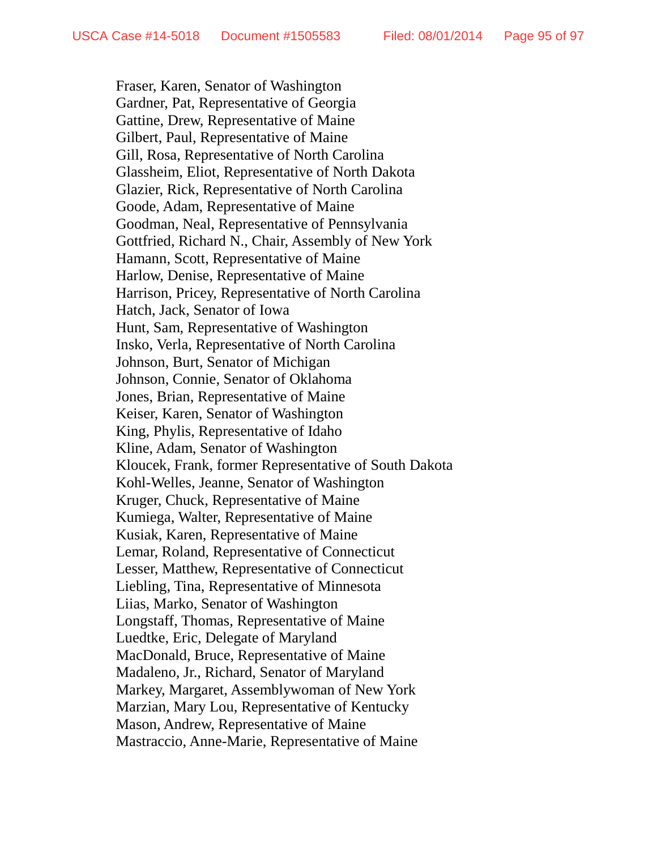Fraser, Karen, Senator of Washington Gardner, Pat, Representative of Georgia Gattine, Drew, Representative of Maine Gilbert, Paul, Representative of Maine Gill, Rosa, Representative of North Carolina Glassheim, Eliot, Representative of North Dakota Glazier, Rick, Representative of North Carolina Goode, Adam, Representative of Maine Goodman, Neal, Representative of Pennsylvania Gottfried, Richard N., Chair, Assembly of New York Hamann, Scott, Representative of Maine Harlow, Denise, Representative of Maine Harrison, Pricey, Representative of North Carolina Hatch, Jack, Senator of Iowa Hunt, Sam, Representative of Washington Insko, Verla, Representative of North Carolina Johnson, Burt, Senator of Michigan Johnson, Connie, Senator of Oklahoma Jones, Brian, Representative of Maine Keiser, Karen, Senator of Washington King, Phylis, Representative of Idaho Kline, Adam, Senator of Washington Kloucek, Frank, former Representative of South Dakota Kohl-Welles, Jeanne, Senator of Washington Kruger, Chuck, Representative of Maine Kumiega, Walter, Representative of Maine Kusiak, Karen, Representative of Maine Lemar, Roland, Representative of Connecticut Lesser, Matthew, Representative of Connecticut Liebling, Tina, Representative of Minnesota Liias, Marko, Senator of Washington Longstaff, Thomas, Representative of Maine Luedtke, Eric, Delegate of Maryland MacDonald, Bruce, Representative of Maine Madaleno, Jr., Richard, Senator of Maryland Markey, Margaret, Assemblywoman of New York Marzian, Mary Lou, Representative of Kentucky Mason, Andrew, Representative of Maine Mastraccio, Anne-Marie, Representative of Maine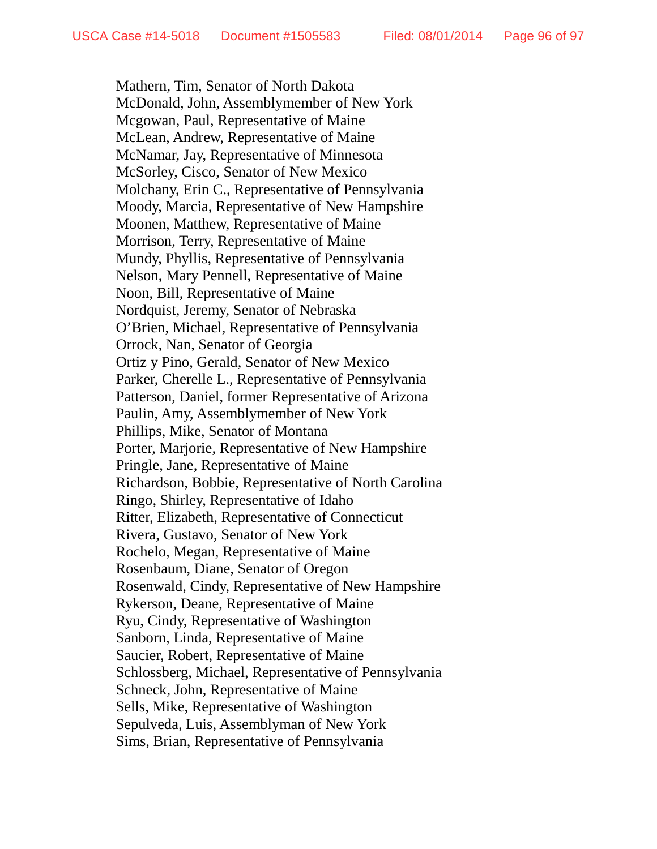Mathern, Tim, Senator of North Dakota McDonald, John, Assemblymember of New York Mcgowan, Paul, Representative of Maine McLean, Andrew, Representative of Maine McNamar, Jay, Representative of Minnesota McSorley, Cisco, Senator of New Mexico Molchany, Erin C., Representative of Pennsylvania Moody, Marcia, Representative of New Hampshire Moonen, Matthew, Representative of Maine Morrison, Terry, Representative of Maine Mundy, Phyllis, Representative of Pennsylvania Nelson, Mary Pennell, Representative of Maine Noon, Bill, Representative of Maine Nordquist, Jeremy, Senator of Nebraska O'Brien, Michael, Representative of Pennsylvania Orrock, Nan, Senator of Georgia Ortiz y Pino, Gerald, Senator of New Mexico Parker, Cherelle L., Representative of Pennsylvania Patterson, Daniel, former Representative of Arizona Paulin, Amy, Assemblymember of New York Phillips, Mike, Senator of Montana Porter, Marjorie, Representative of New Hampshire Pringle, Jane, Representative of Maine Richardson, Bobbie, Representative of North Carolina Ringo, Shirley, Representative of Idaho Ritter, Elizabeth, Representative of Connecticut Rivera, Gustavo, Senator of New York Rochelo, Megan, Representative of Maine Rosenbaum, Diane, Senator of Oregon Rosenwald, Cindy, Representative of New Hampshire Rykerson, Deane, Representative of Maine Ryu, Cindy, Representative of Washington Sanborn, Linda, Representative of Maine Saucier, Robert, Representative of Maine Schlossberg, Michael, Representative of Pennsylvania Schneck, John, Representative of Maine Sells, Mike, Representative of Washington Sepulveda, Luis, Assemblyman of New York Sims, Brian, Representative of Pennsylvania